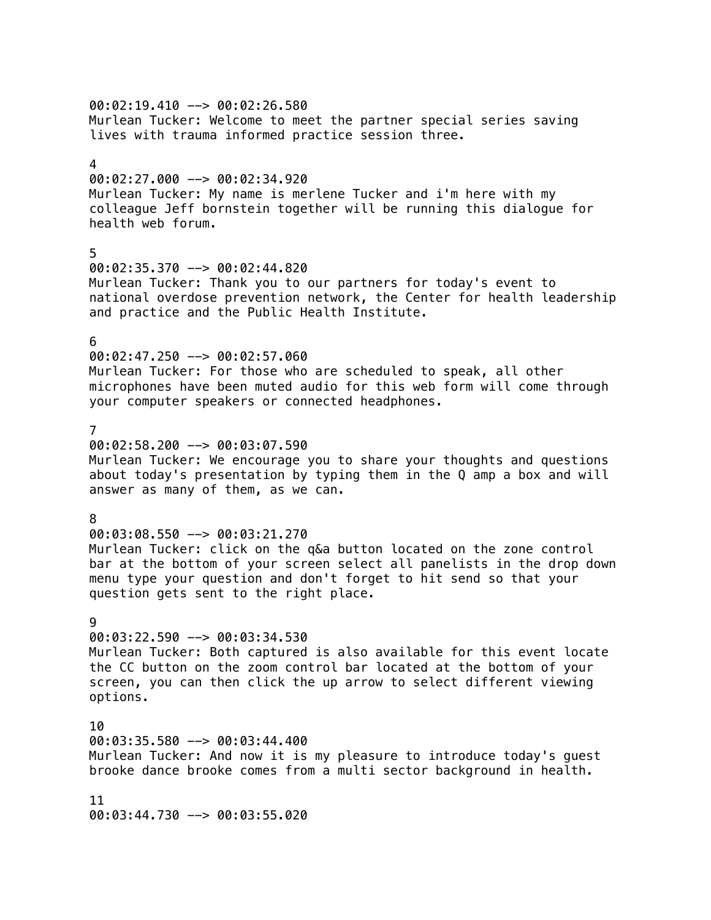### $00:02:19.410$  -->  $00:02:26.580$ Murlean Tucker: Welcome to meet the partner special series saving lives with trauma informed practice session three.

#### 4

00:02:27.000 --> 00:02:34.920 Murlean Tucker: My name is merlene Tucker and i'm here with my colleague Jeff bornstein together will be running this dialogue for health web forum.

### 5

00:02:35.370 --> 00:02:44.820 Murlean Tucker: Thank you to our partners for today's event to national overdose prevention network, the Center for health leadership and practice and the Public Health Institute.

#### 6

#### 00:02:47.250 --> 00:02:57.060

Murlean Tucker: For those who are scheduled to speak, all other microphones have been muted audio for this web form will come through your computer speakers or connected headphones.

### 7

00:02:58.200 --> 00:03:07.590 Murlean Tucker: We encourage you to share your thoughts and questions about today's presentation by typing them in the Q amp a box and will answer as many of them, as we can.

#### 8

00:03:08.550 --> 00:03:21.270 Murlean Tucker: click on the q&a button located on the zone control

bar at the bottom of your screen select all panelists in the drop down menu type your question and don't forget to hit send so that your question gets sent to the right place.

#### 9

### 00:03:22.590 --> 00:03:34.530

Murlean Tucker: Both captured is also available for this event locate the CC button on the zoom control bar located at the bottom of your screen, you can then click the up arrow to select different viewing options.

10 00:03:35.580 --> 00:03:44.400 Murlean Tucker: And now it is my pleasure to introduce today's guest brooke dance brooke comes from a multi sector background in health.

#### 11

00:03:44.730 --> 00:03:55.020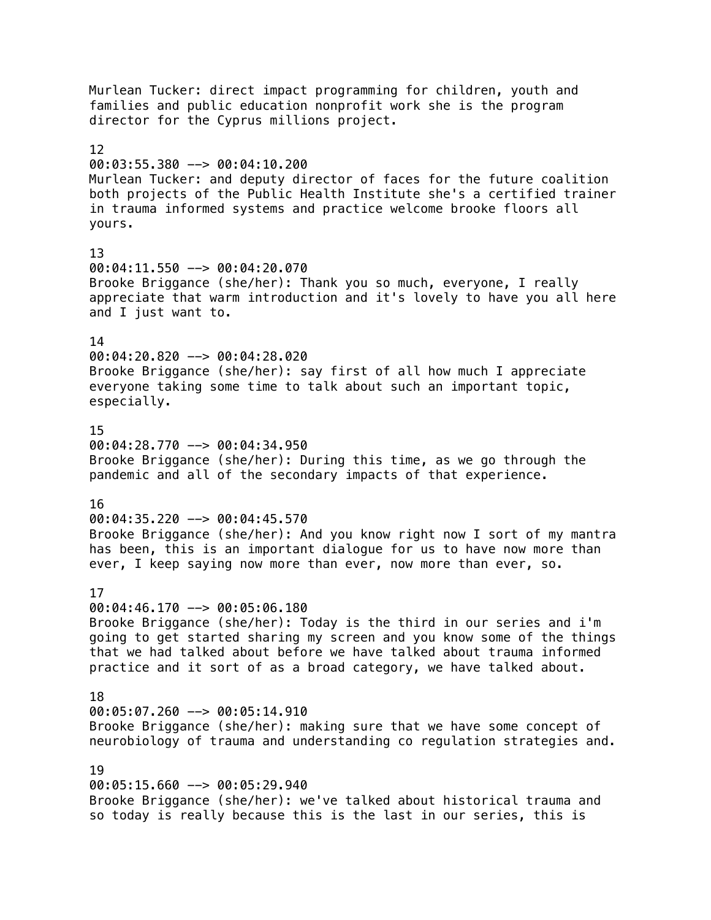Murlean Tucker: direct impact programming for children, youth and families and public education nonprofit work she is the program director for the Cyprus millions project. 12 00:03:55.380 --> 00:04:10.200 Murlean Tucker: and deputy director of faces for the future coalition both projects of the Public Health Institute she's a certified trainer in trauma informed systems and practice welcome brooke floors all yours. 13 00:04:11.550 --> 00:04:20.070 Brooke Briggance (she/her): Thank you so much, everyone, I really appreciate that warm introduction and it's lovely to have you all here and I just want to. 14 00:04:20.820 --> 00:04:28.020 Brooke Briggance (she/her): say first of all how much I appreciate everyone taking some time to talk about such an important topic, especially. 15 00:04:28.770 --> 00:04:34.950 Brooke Briggance (she/her): During this time, as we go through the pandemic and all of the secondary impacts of that experience. 16 00:04:35.220 --> 00:04:45.570 Brooke Briggance (she/her): And you know right now I sort of my mantra has been, this is an important dialogue for us to have now more than ever, I keep saying now more than ever, now more than ever, so. 17 00:04:46.170 --> 00:05:06.180 Brooke Briggance (she/her): Today is the third in our series and i'm going to get started sharing my screen and you know some of the things that we had talked about before we have talked about trauma informed practice and it sort of as a broad category, we have talked about. 18  $00:05:07.260$  -->  $00:05:14.910$ Brooke Briggance (she/her): making sure that we have some concept of neurobiology of trauma and understanding co regulation strategies and. 19 00:05:15.660 --> 00:05:29.940 Brooke Briggance (she/her): we've talked about historical trauma and so today is really because this is the last in our series, this is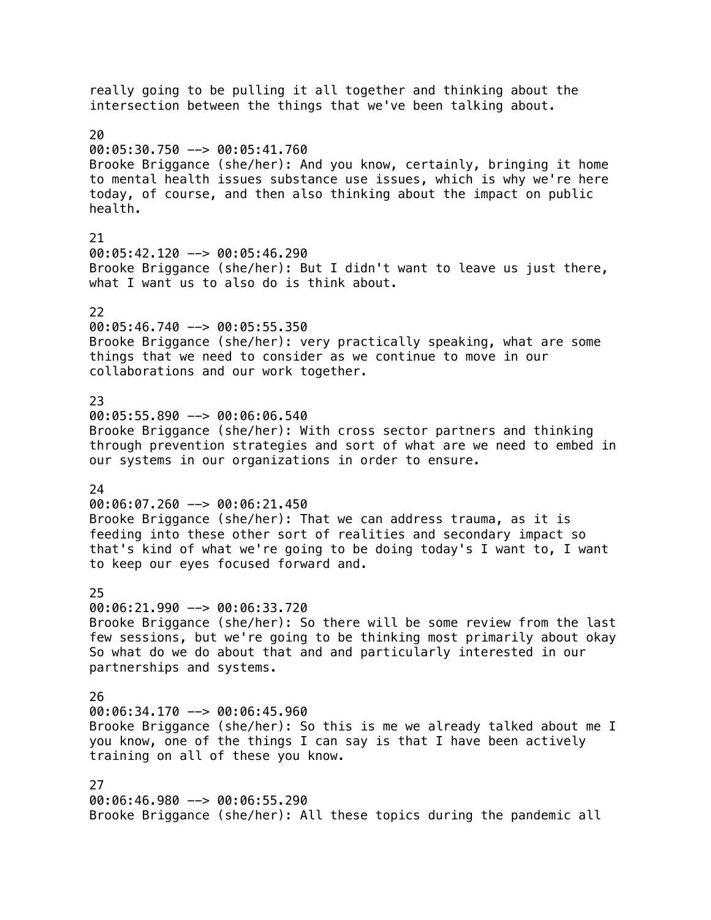really going to be pulling it all together and thinking about the intersection between the things that we've been talking about. 20 00:05:30.750 --> 00:05:41.760 Brooke Briggance (she/her): And you know, certainly, bringing it home to mental health issues substance use issues, which is why we're here today, of course, and then also thinking about the impact on public health. 21 00:05:42.120 --> 00:05:46.290 Brooke Briggance (she/her): But I didn't want to leave us just there, what I want us to also do is think about. 22 00:05:46.740 --> 00:05:55.350 Brooke Briggance (she/her): very practically speaking, what are some things that we need to consider as we continue to move in our collaborations and our work together. 23 00:05:55.890 --> 00:06:06.540 Brooke Briggance (she/her): With cross sector partners and thinking through prevention strategies and sort of what are we need to embed in our systems in our organizations in order to ensure.  $24$ 00:06:07.260 --> 00:06:21.450 Brooke Briggance (she/her): That we can address trauma, as it is feeding into these other sort of realities and secondary impact so that's kind of what we're going to be doing today's I want to, I want to keep our eyes focused forward and. 25 00:06:21.990 --> 00:06:33.720 Brooke Briggance (she/her): So there will be some review from the last few sessions, but we're going to be thinking most primarily about okay So what do we do about that and and particularly interested in our partnerships and systems. 26  $00:06:34.170$  -->  $00:06:45.960$ Brooke Briggance (she/her): So this is me we already talked about me I you know, one of the things I can say is that I have been actively training on all of these you know. 27 00:06:46.980 --> 00:06:55.290 Brooke Briggance (she/her): All these topics during the pandemic all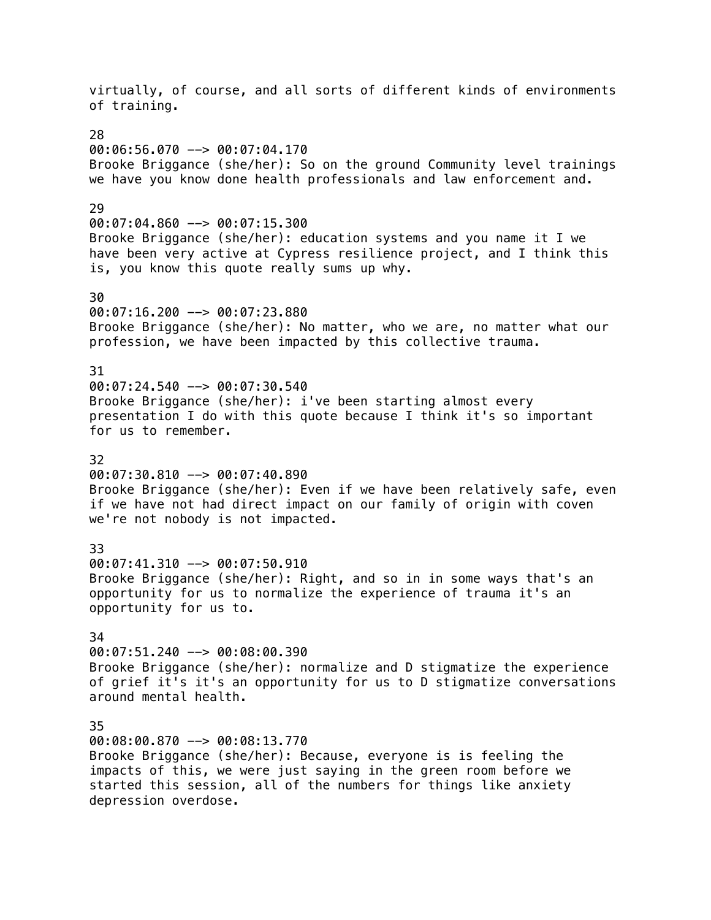virtually, of course, and all sorts of different kinds of environments of training. 28  $00:06:56.070$  -->  $00:07:04.170$ Brooke Briggance (she/her): So on the ground Community level trainings we have you know done health professionals and law enforcement and.  $29$ 00:07:04.860 --> 00:07:15.300 Brooke Briggance (she/her): education systems and you name it I we have been very active at Cypress resilience project, and I think this is, you know this quote really sums up why. 30 00:07:16.200 --> 00:07:23.880 Brooke Briggance (she/her): No matter, who we are, no matter what our profession, we have been impacted by this collective trauma. 31 00:07:24.540 --> 00:07:30.540 Brooke Briggance (she/her): i've been starting almost every presentation I do with this quote because I think it's so important for us to remember. 32 00:07:30.810 --> 00:07:40.890 Brooke Briggance (she/her): Even if we have been relatively safe, even if we have not had direct impact on our family of origin with coven we're not nobody is not impacted. 33 00:07:41.310 --> 00:07:50.910 Brooke Briggance (she/her): Right, and so in in some ways that's an opportunity for us to normalize the experience of trauma it's an opportunity for us to. 34 00:07:51.240 --> 00:08:00.390 Brooke Briggance (she/her): normalize and D stigmatize the experience of grief it's it's an opportunity for us to D stigmatize conversations around mental health. 35 00:08:00.870 --> 00:08:13.770 Brooke Briggance (she/her): Because, everyone is is feeling the impacts of this, we were just saying in the green room before we started this session, all of the numbers for things like anxiety depression overdose.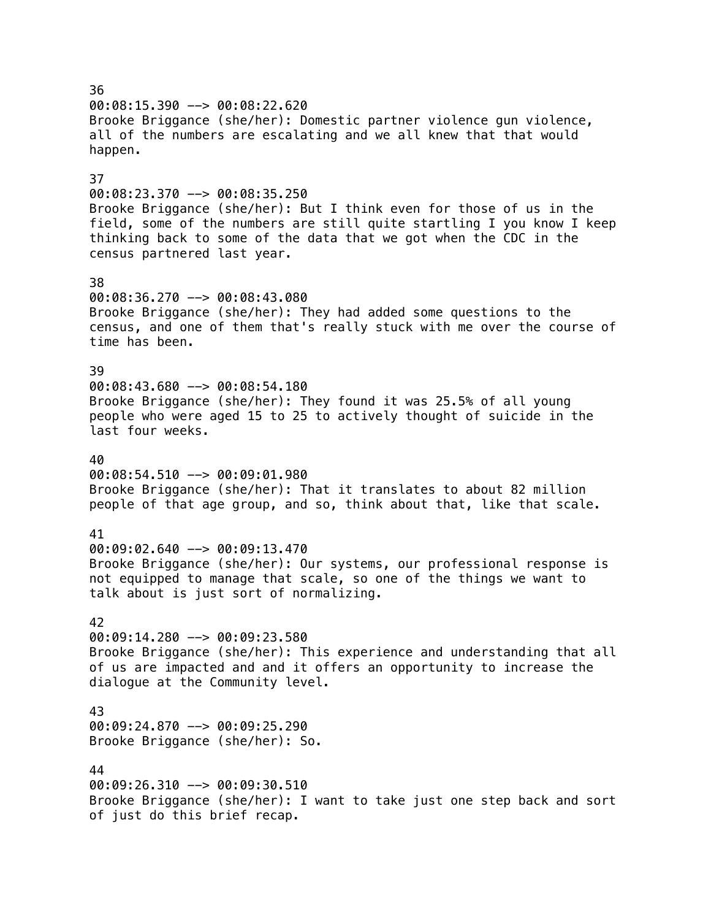36  $00:08:15.390$  -->  $00:08:22.620$ Brooke Briggance (she/her): Domestic partner violence gun violence, all of the numbers are escalating and we all knew that that would happen. 37  $00:08:23.370$  -->  $00:08:35.250$ Brooke Briggance (she/her): But I think even for those of us in the field, some of the numbers are still quite startling I you know I keep thinking back to some of the data that we got when the CDC in the census partnered last year. 38 00:08:36.270 --> 00:08:43.080 Brooke Briggance (she/her): They had added some questions to the census, and one of them that's really stuck with me over the course of time has been. 39 00:08:43.680 --> 00:08:54.180 Brooke Briggance (she/her): They found it was 25.5% of all young people who were aged 15 to 25 to actively thought of suicide in the last four weeks. 40 00:08:54.510 --> 00:09:01.980 Brooke Briggance (she/her): That it translates to about 82 million people of that age group, and so, think about that, like that scale. 41 00:09:02.640 --> 00:09:13.470 Brooke Briggance (she/her): Our systems, our professional response is not equipped to manage that scale, so one of the things we want to talk about is just sort of normalizing. 42 00:09:14.280 --> 00:09:23.580 Brooke Briggance (she/her): This experience and understanding that all of us are impacted and and it offers an opportunity to increase the dialogue at the Community level. 43 00:09:24.870 --> 00:09:25.290 Brooke Briggance (she/her): So. 44 00:09:26.310 --> 00:09:30.510 Brooke Briggance (she/her): I want to take just one step back and sort of just do this brief recap.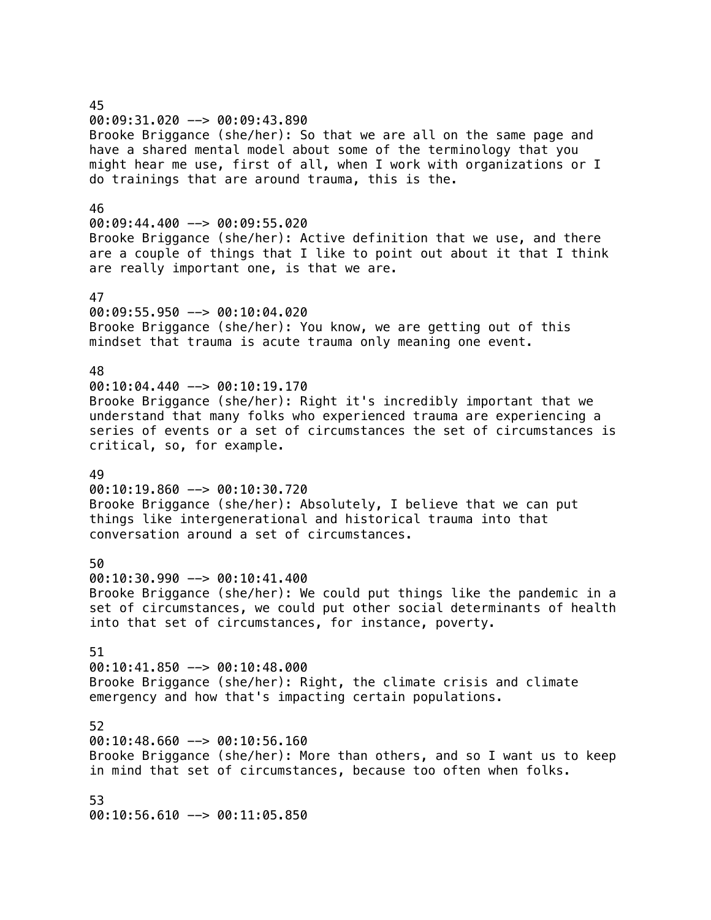# 45 00:09:31.020 --> 00:09:43.890 Brooke Briggance (she/her): So that we are all on the same page and have a shared mental model about some of the terminology that you might hear me use, first of all, when I work with organizations or I do trainings that are around trauma, this is the. 46 00:09:44.400 --> 00:09:55.020 Brooke Briggance (she/her): Active definition that we use, and there are a couple of things that I like to point out about it that I think are really important one, is that we are. 47 00:09:55.950 --> 00:10:04.020 Brooke Briggance (she/her): You know, we are getting out of this mindset that trauma is acute trauma only meaning one event. 48  $00:10:04.440$   $\rightarrow$  00:10:19.170 Brooke Briggance (she/her): Right it's incredibly important that we understand that many folks who experienced trauma are experiencing a series of events or a set of circumstances the set of circumstances is critical, so, for example. 49 00:10:19.860 --> 00:10:30.720 Brooke Briggance (she/her): Absolutely, I believe that we can put things like intergenerational and historical trauma into that conversation around a set of circumstances. 50 00:10:30.990 --> 00:10:41.400 Brooke Briggance (she/her): We could put things like the pandemic in a set of circumstances, we could put other social determinants of health into that set of circumstances, for instance, poverty. 51 00:10:41.850 --> 00:10:48.000 Brooke Briggance (she/her): Right, the climate crisis and climate emergency and how that's impacting certain populations. 52 00:10:48.660 --> 00:10:56.160 Brooke Briggance (she/her): More than others, and so I want us to keep in mind that set of circumstances, because too often when folks. 53 00:10:56.610 --> 00:11:05.850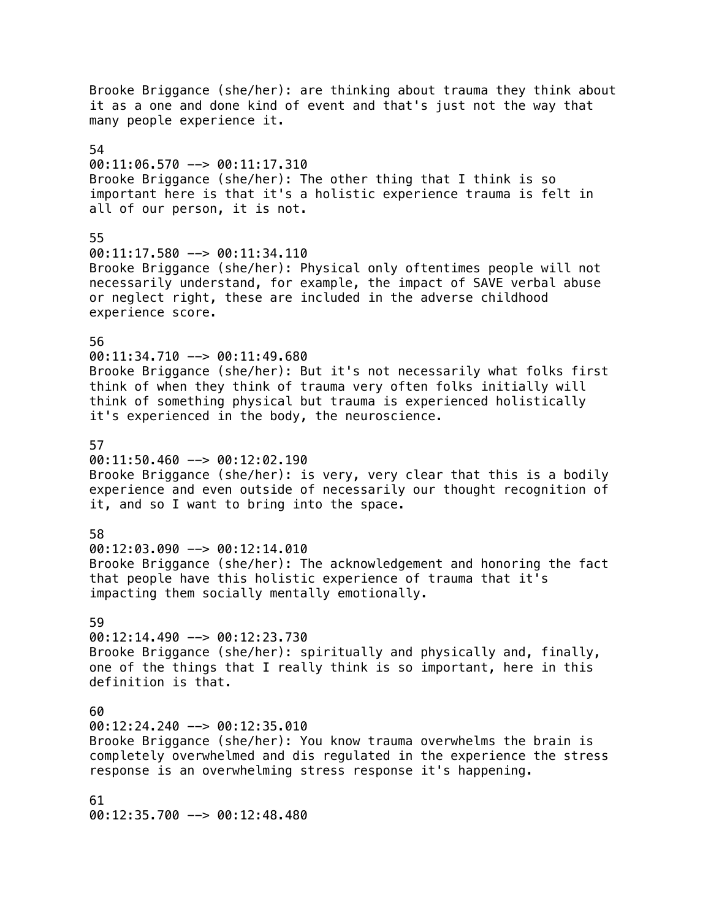Brooke Briggance (she/her): are thinking about trauma they think about it as a one and done kind of event and that's just not the way that many people experience it. 54 00:11:06.570 --> 00:11:17.310 Brooke Briggance (she/her): The other thing that I think is so important here is that it's a holistic experience trauma is felt in all of our person, it is not. 55 00:11:17.580 --> 00:11:34.110 Brooke Briggance (she/her): Physical only oftentimes people will not necessarily understand, for example, the impact of SAVE verbal abuse or neglect right, these are included in the adverse childhood experience score. 56 00:11:34.710 --> 00:11:49.680 Brooke Briggance (she/her): But it's not necessarily what folks first think of when they think of trauma very often folks initially will think of something physical but trauma is experienced holistically it's experienced in the body, the neuroscience. 57  $00:11:50.460$  -->  $00:12:02.190$ Brooke Briggance (she/her): is very, very clear that this is a bodily experience and even outside of necessarily our thought recognition of it, and so I want to bring into the space. 58 00:12:03.090 --> 00:12:14.010 Brooke Briggance (she/her): The acknowledgement and honoring the fact that people have this holistic experience of trauma that it's impacting them socially mentally emotionally. 59 00:12:14.490 --> 00:12:23.730 Brooke Briggance (she/her): spiritually and physically and, finally, one of the things that I really think is so important, here in this definition is that. 60 00:12:24.240 --> 00:12:35.010 Brooke Briggance (she/her): You know trauma overwhelms the brain is completely overwhelmed and dis regulated in the experience the stress response is an overwhelming stress response it's happening. 61 00:12:35.700 --> 00:12:48.480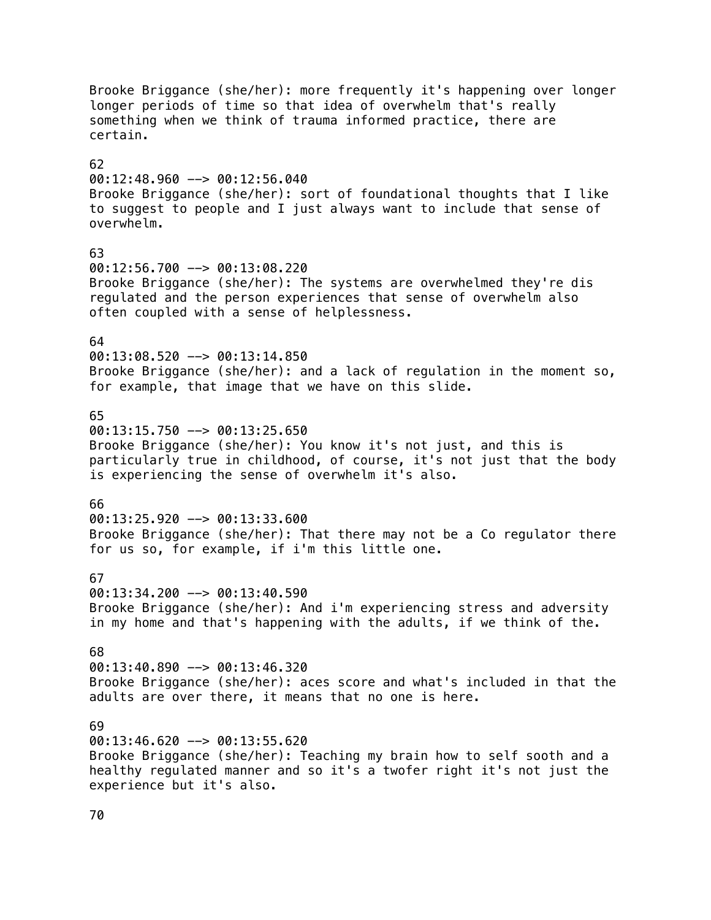Brooke Briggance (she/her): more frequently it's happening over longer longer periods of time so that idea of overwhelm that's really something when we think of trauma informed practice, there are certain. 62 00:12:48.960 --> 00:12:56.040 Brooke Briggance (she/her): sort of foundational thoughts that I like to suggest to people and I just always want to include that sense of overwhelm. 63 00:12:56.700 --> 00:13:08.220 Brooke Briggance (she/her): The systems are overwhelmed they're dis regulated and the person experiences that sense of overwhelm also often coupled with a sense of helplessness. 64 00:13:08.520 --> 00:13:14.850 Brooke Briggance (she/her): and a lack of regulation in the moment so, for example, that image that we have on this slide. 65 00:13:15.750 --> 00:13:25.650 Brooke Briggance (she/her): You know it's not just, and this is particularly true in childhood, of course, it's not just that the body is experiencing the sense of overwhelm it's also. 66 00:13:25.920 --> 00:13:33.600 Brooke Briggance (she/her): That there may not be a Co regulator there for us so, for example, if i'm this little one. 67 00:13:34.200 --> 00:13:40.590 Brooke Briggance (she/her): And i'm experiencing stress and adversity in my home and that's happening with the adults, if we think of the. 68 00:13:40.890 --> 00:13:46.320 Brooke Briggance (she/her): aces score and what's included in that the adults are over there, it means that no one is here. 69  $00:13:46.620$  -->  $00:13:55.620$ Brooke Briggance (she/her): Teaching my brain how to self sooth and a healthy regulated manner and so it's a twofer right it's not just the experience but it's also.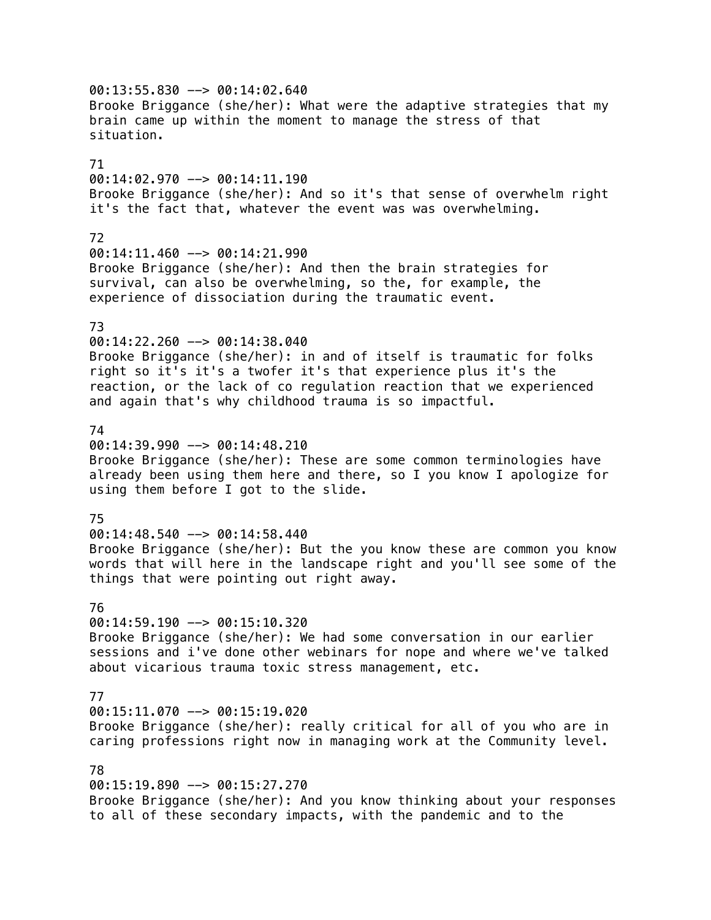00:13:55.830 --> 00:14:02.640 Brooke Briggance (she/her): What were the adaptive strategies that my brain came up within the moment to manage the stress of that situation. 71 00:14:02.970 --> 00:14:11.190 Brooke Briggance (she/her): And so it's that sense of overwhelm right it's the fact that, whatever the event was was overwhelming. 72 00:14:11.460 --> 00:14:21.990 Brooke Briggance (she/her): And then the brain strategies for survival, can also be overwhelming, so the, for example, the experience of dissociation during the traumatic event. 73 00:14:22.260 --> 00:14:38.040 Brooke Briggance (she/her): in and of itself is traumatic for folks right so it's it's a twofer it's that experience plus it's the reaction, or the lack of co regulation reaction that we experienced and again that's why childhood trauma is so impactful. 74  $00:14:39.990$  -->  $00:14:48.210$ Brooke Briggance (she/her): These are some common terminologies have already been using them here and there, so I you know I apologize for using them before I got to the slide. 75 00:14:48.540 --> 00:14:58.440 Brooke Briggance (she/her): But the you know these are common you know words that will here in the landscape right and you'll see some of the things that were pointing out right away. 76  $00:14:59.190$  -->  $00:15:10.320$ Brooke Briggance (she/her): We had some conversation in our earlier sessions and i've done other webinars for nope and where we've talked about vicarious trauma toxic stress management, etc. 77  $00:15:11.070$  -->  $00:15:19.020$ Brooke Briggance (she/her): really critical for all of you who are in caring professions right now in managing work at the Community level. 78 00:15:19.890 --> 00:15:27.270 Brooke Briggance (she/her): And you know thinking about your responses to all of these secondary impacts, with the pandemic and to the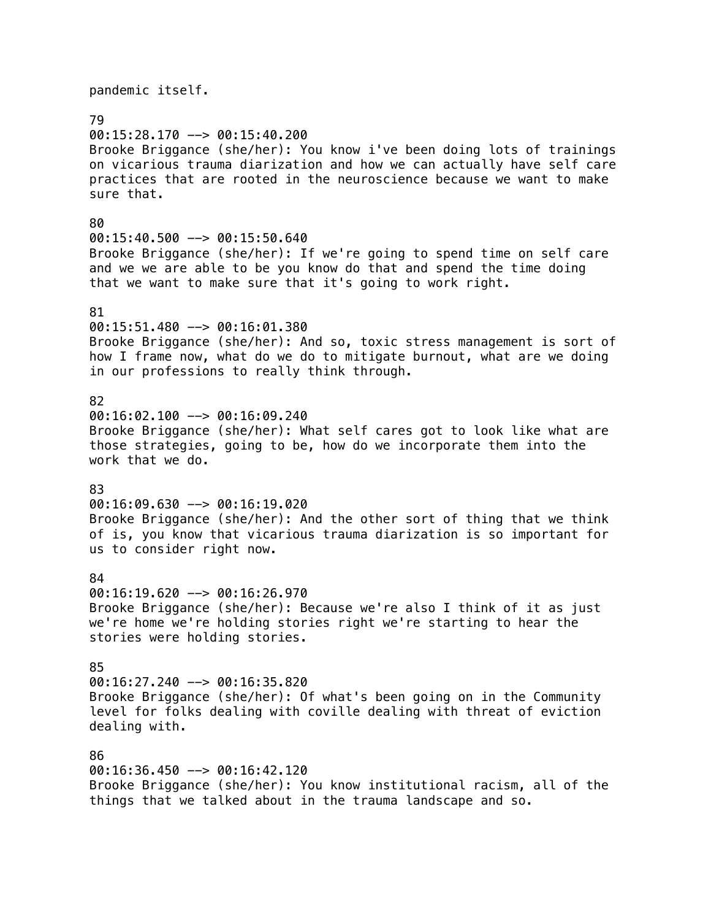pandemic itself. 79 00:15:28.170 --> 00:15:40.200 Brooke Briggance (she/her): You know i've been doing lots of trainings on vicarious trauma diarization and how we can actually have self care practices that are rooted in the neuroscience because we want to make sure that. 80 00:15:40.500 --> 00:15:50.640 Brooke Briggance (she/her): If we're going to spend time on self care and we we are able to be you know do that and spend the time doing that we want to make sure that it's going to work right. 81 00:15:51.480 --> 00:16:01.380 Brooke Briggance (she/her): And so, toxic stress management is sort of how I frame now, what do we do to mitigate burnout, what are we doing in our professions to really think through. 82 00:16:02.100 --> 00:16:09.240 Brooke Briggance (she/her): What self cares got to look like what are those strategies, going to be, how do we incorporate them into the work that we do. 83 00:16:09.630 --> 00:16:19.020 Brooke Briggance (she/her): And the other sort of thing that we think of is, you know that vicarious trauma diarization is so important for us to consider right now. 84 00:16:19.620 --> 00:16:26.970 Brooke Briggance (she/her): Because we're also I think of it as just we're home we're holding stories right we're starting to hear the stories were holding stories. 85 00:16:27.240 --> 00:16:35.820 Brooke Briggance (she/her): Of what's been going on in the Community level for folks dealing with coville dealing with threat of eviction dealing with. 86 00:16:36.450 --> 00:16:42.120 Brooke Briggance (she/her): You know institutional racism, all of the

things that we talked about in the trauma landscape and so.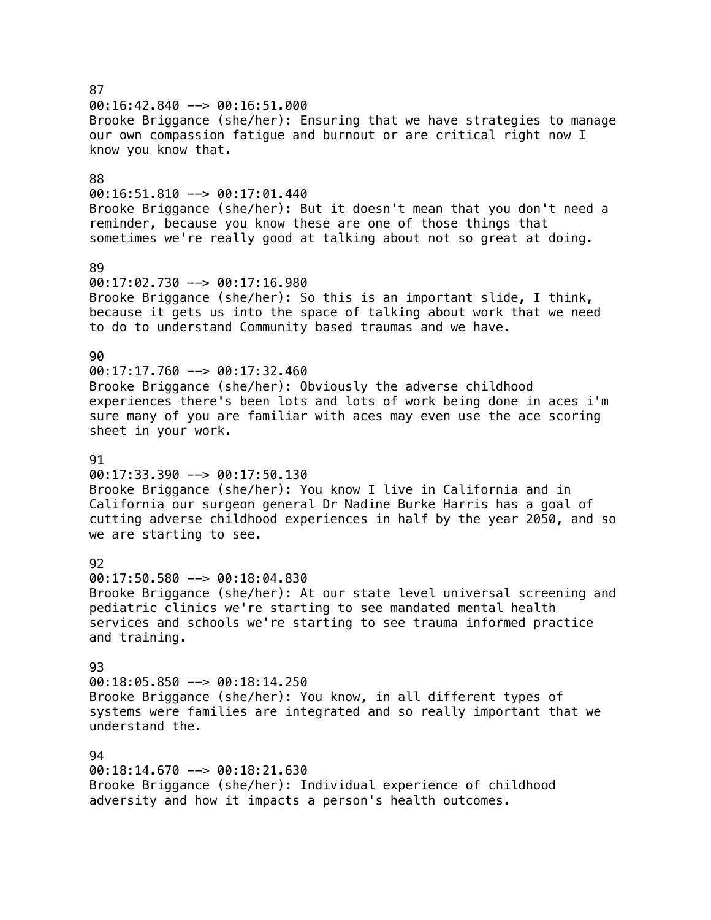# $00:16:42.840$  -->  $00:16:51.000$ Brooke Briggance (she/her): Ensuring that we have strategies to manage our own compassion fatigue and burnout or are critical right now I know you know that. 88 00:16:51.810 --> 00:17:01.440 Brooke Briggance (she/her): But it doesn't mean that you don't need a reminder, because you know these are one of those things that sometimes we're really good at talking about not so great at doing. 89 00:17:02.730 --> 00:17:16.980 Brooke Briggance (she/her): So this is an important slide, I think, because it gets us into the space of talking about work that we need to do to understand Community based traumas and we have. 90  $00:17:17.760$  -->  $00:17:32.460$ Brooke Briggance (she/her): Obviously the adverse childhood experiences there's been lots and lots of work being done in aces i'm sure many of you are familiar with aces may even use the ace scoring sheet in your work. 91 00:17:33.390 --> 00:17:50.130 Brooke Briggance (she/her): You know I live in California and in California our surgeon general Dr Nadine Burke Harris has a goal of cutting adverse childhood experiences in half by the year 2050, and so we are starting to see. 92 00:17:50.580 --> 00:18:04.830 Brooke Briggance (she/her): At our state level universal screening and pediatric clinics we're starting to see mandated mental health services and schools we're starting to see trauma informed practice and training. 93 00:18:05.850 --> 00:18:14.250 Brooke Briggance (she/her): You know, in all different types of systems were families are integrated and so really important that we understand the. 94 00:18:14.670 --> 00:18:21.630 Brooke Briggance (she/her): Individual experience of childhood

adversity and how it impacts a person's health outcomes.

### 87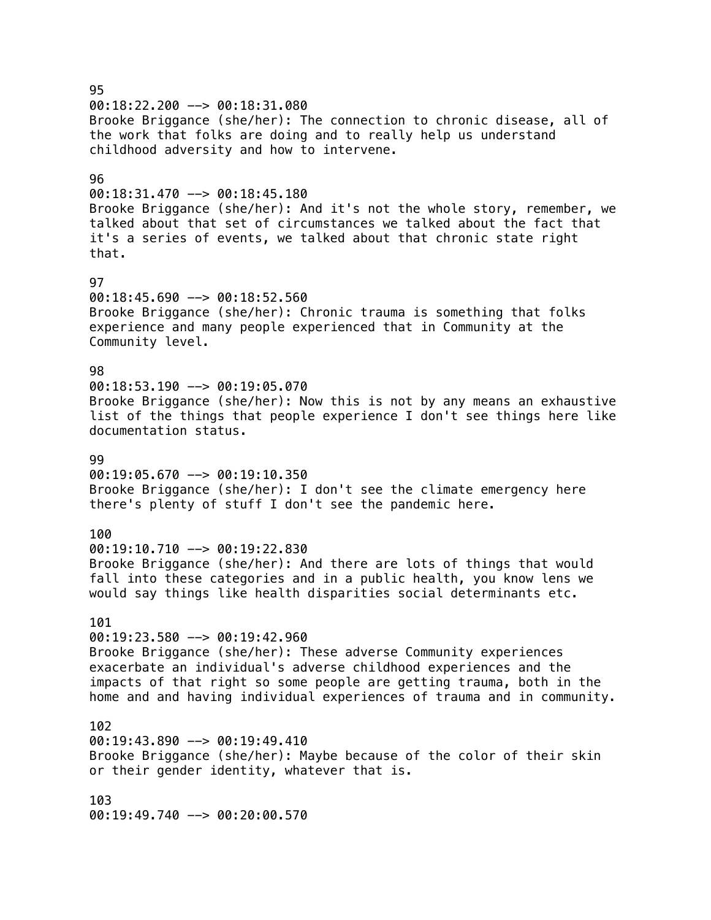95  $00:18:22.200$  -->  $00:18:31.080$ Brooke Briggance (she/her): The connection to chronic disease, all of the work that folks are doing and to really help us understand childhood adversity and how to intervene. 96 00:18:31.470 --> 00:18:45.180 Brooke Briggance (she/her): And it's not the whole story, remember, we talked about that set of circumstances we talked about the fact that it's a series of events, we talked about that chronic state right that. 97  $00:18:45.690$  -->  $00:18:52.560$ Brooke Briggance (she/her): Chronic trauma is something that folks experience and many people experienced that in Community at the Community level. 98  $00:18:53.190$  -->  $00:19:05.070$ Brooke Briggance (she/her): Now this is not by any means an exhaustive list of the things that people experience I don't see things here like documentation status. **99**  $00:19:05.670$  -->  $00:19:10.350$ Brooke Briggance (she/her): I don't see the climate emergency here there's plenty of stuff I don't see the pandemic here. 100 00:19:10.710 --> 00:19:22.830 Brooke Briggance (she/her): And there are lots of things that would fall into these categories and in a public health, you know lens we would say things like health disparities social determinants etc. 101 00:19:23.580 --> 00:19:42.960 Brooke Briggance (she/her): These adverse Community experiences exacerbate an individual's adverse childhood experiences and the impacts of that right so some people are getting trauma, both in the home and and having individual experiences of trauma and in community. 102 00:19:43.890 --> 00:19:49.410 Brooke Briggance (she/her): Maybe because of the color of their skin or their gender identity, whatever that is. 103 00:19:49.740 --> 00:20:00.570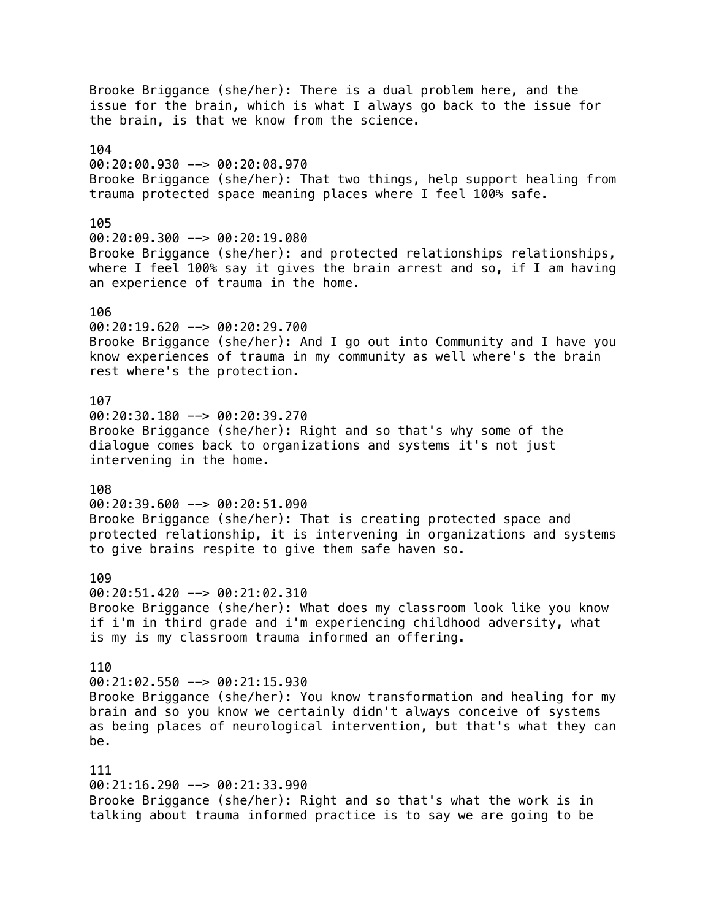Brooke Briggance (she/her): There is a dual problem here, and the issue for the brain, which is what I always go back to the issue for the brain, is that we know from the science. 104 00:20:00.930 --> 00:20:08.970 Brooke Briggance (she/her): That two things, help support healing from trauma protected space meaning places where I feel 100% safe. 105 00:20:09.300 --> 00:20:19.080 Brooke Briggance (she/her): and protected relationships relationships, where I feel 100% say it gives the brain arrest and so, if I am having an experience of trauma in the home. 106 00:20:19.620 --> 00:20:29.700 Brooke Briggance (she/her): And I go out into Community and I have you know experiences of trauma in my community as well where's the brain rest where's the protection. 107 00:20:30.180 --> 00:20:39.270 Brooke Briggance (she/her): Right and so that's why some of the dialogue comes back to organizations and systems it's not just intervening in the home. 108 00:20:39.600 --> 00:20:51.090 Brooke Briggance (she/her): That is creating protected space and protected relationship, it is intervening in organizations and systems to give brains respite to give them safe haven so. 109 00:20:51.420 --> 00:21:02.310 Brooke Briggance (she/her): What does my classroom look like you know if i'm in third grade and i'm experiencing childhood adversity, what is my is my classroom trauma informed an offering. 110 00:21:02.550 --> 00:21:15.930 Brooke Briggance (she/her): You know transformation and healing for my brain and so you know we certainly didn't always conceive of systems as being places of neurological intervention, but that's what they can be. 111 00:21:16.290 --> 00:21:33.990 Brooke Briggance (she/her): Right and so that's what the work is in talking about trauma informed practice is to say we are going to be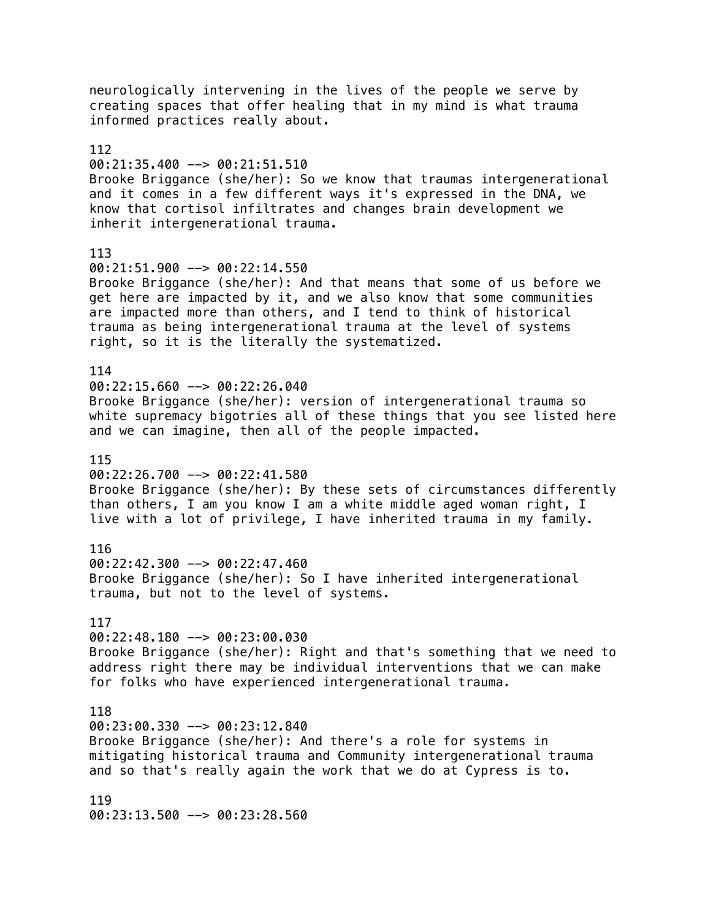neurologically intervening in the lives of the people we serve by creating spaces that offer healing that in my mind is what trauma informed practices really about. 112 00:21:35.400 --> 00:21:51.510 Brooke Briggance (she/her): So we know that traumas intergenerational and it comes in a few different ways it's expressed in the DNA, we know that cortisol infiltrates and changes brain development we inherit intergenerational trauma. 113 00:21:51.900 --> 00:22:14.550 Brooke Briggance (she/her): And that means that some of us before we get here are impacted by it, and we also know that some communities are impacted more than others, and I tend to think of historical trauma as being intergenerational trauma at the level of systems right, so it is the literally the systematized. 114  $00:22:15.660$  -->  $00:22:26.040$ Brooke Briggance (she/her): version of intergenerational trauma so white supremacy bigotries all of these things that you see listed here and we can imagine, then all of the people impacted. 115 00:22:26.700 --> 00:22:41.580 Brooke Briggance (she/her): By these sets of circumstances differently than others, I am you know I am a white middle aged woman right, I live with a lot of privilege, I have inherited trauma in my family. 116 00:22:42.300 --> 00:22:47.460 Brooke Briggance (she/her): So I have inherited intergenerational trauma, but not to the level of systems. 117 00:22:48.180 --> 00:23:00.030 Brooke Briggance (she/her): Right and that's something that we need to address right there may be individual interventions that we can make for folks who have experienced intergenerational trauma. 118 00:23:00.330 --> 00:23:12.840 Brooke Briggance (she/her): And there's a role for systems in mitigating historical trauma and Community intergenerational trauma and so that's really again the work that we do at Cypress is to. 119 00:23:13.500 --> 00:23:28.560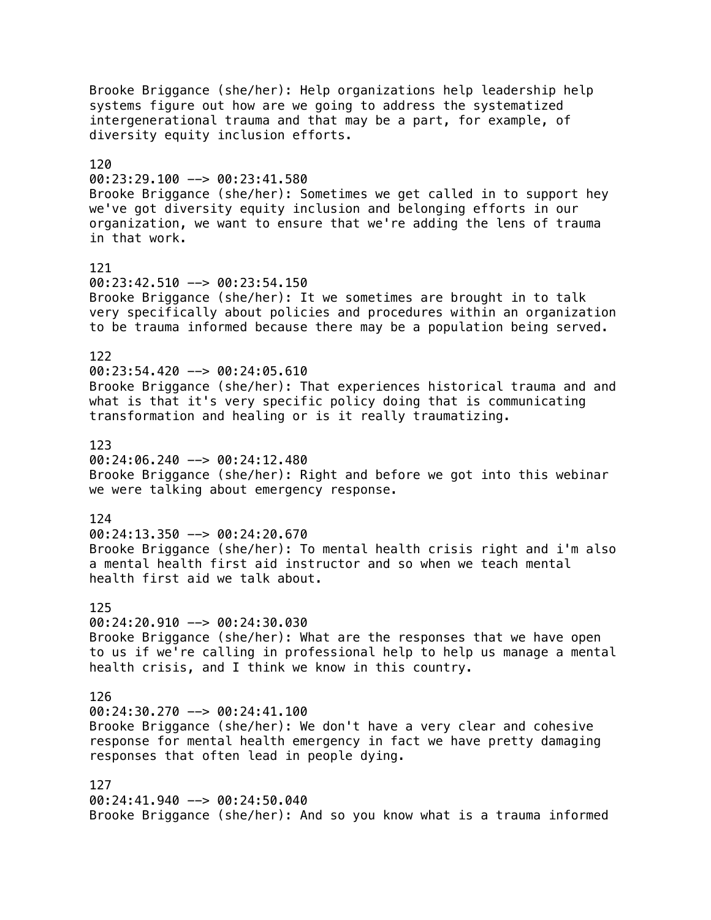Brooke Briggance (she/her): Help organizations help leadership help systems figure out how are we going to address the systematized intergenerational trauma and that may be a part, for example, of diversity equity inclusion efforts. 120 00:23:29.100 --> 00:23:41.580 Brooke Briggance (she/her): Sometimes we get called in to support hey we've got diversity equity inclusion and belonging efforts in our organization, we want to ensure that we're adding the lens of trauma in that work. 121  $00:23:42.510$  -->  $00:23:54.150$ Brooke Briggance (she/her): It we sometimes are brought in to talk very specifically about policies and procedures within an organization to be trauma informed because there may be a population being served. 122  $00:23:54.420$  -->  $00:24:05.610$ Brooke Briggance (she/her): That experiences historical trauma and and what is that it's very specific policy doing that is communicating transformation and healing or is it really traumatizing. 123 00:24:06.240 --> 00:24:12.480 Brooke Briggance (she/her): Right and before we got into this webinar we were talking about emergency response. 124 00:24:13.350 --> 00:24:20.670 Brooke Briggance (she/her): To mental health crisis right and i'm also a mental health first aid instructor and so when we teach mental health first aid we talk about. 125  $00:24:20.910$  -->  $00:24:30.030$ Brooke Briggance (she/her): What are the responses that we have open to us if we're calling in professional help to help us manage a mental health crisis, and I think we know in this country. 126  $00:24:30.270$  -->  $00:24:41.100$ Brooke Briggance (she/her): We don't have a very clear and cohesive response for mental health emergency in fact we have pretty damaging responses that often lead in people dying. 127 00:24:41.940 --> 00:24:50.040 Brooke Briggance (she/her): And so you know what is a trauma informed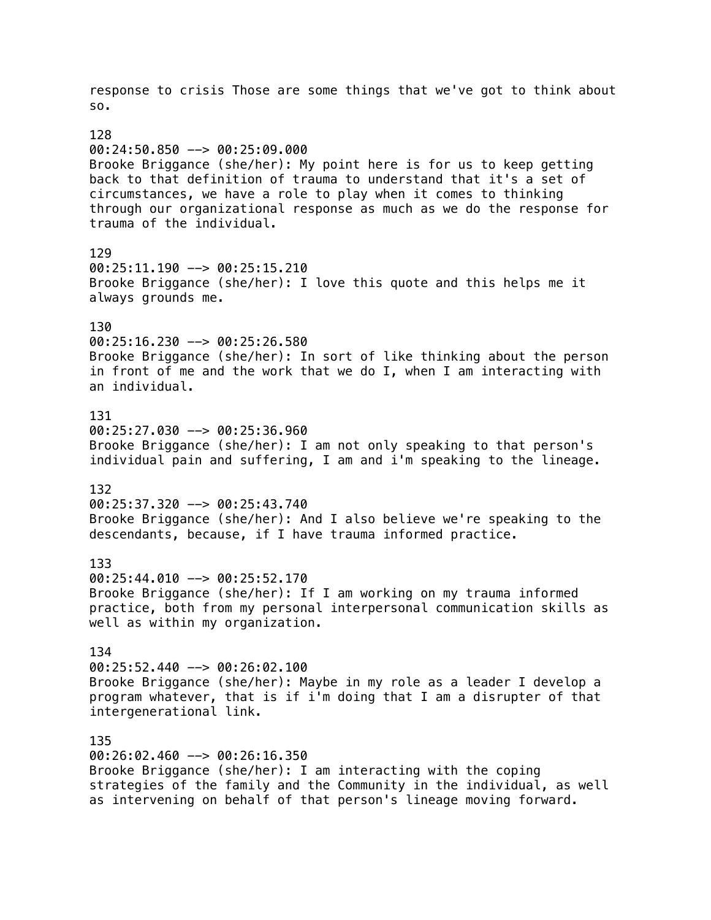response to crisis Those are some things that we've got to think about so. 128 00:24:50.850 --> 00:25:09.000 Brooke Briggance (she/her): My point here is for us to keep getting back to that definition of trauma to understand that it's a set of circumstances, we have a role to play when it comes to thinking through our organizational response as much as we do the response for trauma of the individual. 129 00:25:11.190 --> 00:25:15.210 Brooke Briggance (she/her): I love this quote and this helps me it always grounds me. 130 00:25:16.230 --> 00:25:26.580 Brooke Briggance (she/her): In sort of like thinking about the person in front of me and the work that we do I, when I am interacting with an individual. 131  $00:25:27.030$  -->  $00:25:36.960$ Brooke Briggance (she/her): I am not only speaking to that person's individual pain and suffering, I am and i'm speaking to the lineage. 132 00:25:37.320 --> 00:25:43.740 Brooke Briggance (she/her): And I also believe we're speaking to the descendants, because, if I have trauma informed practice. 133 00:25:44.010 --> 00:25:52.170 Brooke Briggance (she/her): If I am working on my trauma informed practice, both from my personal interpersonal communication skills as well as within my organization. 134 00:25:52.440 --> 00:26:02.100 Brooke Briggance (she/her): Maybe in my role as a leader I develop a program whatever, that is if i'm doing that I am a disrupter of that intergenerational link. 135 00:26:02.460 --> 00:26:16.350 Brooke Briggance (she/her): I am interacting with the coping strategies of the family and the Community in the individual, as well

as intervening on behalf of that person's lineage moving forward.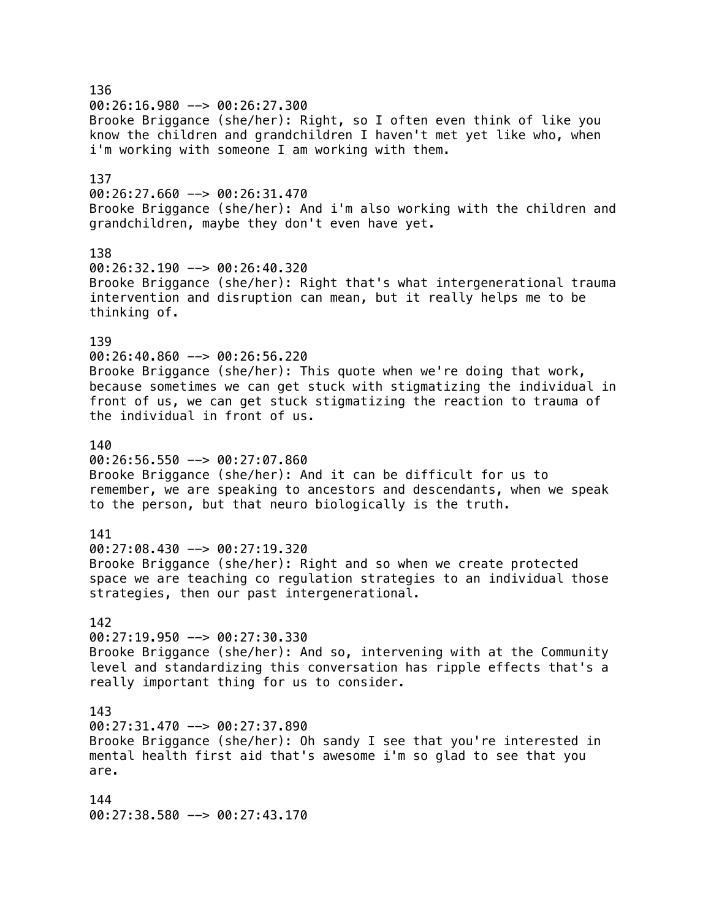136  $00:26:16.980$  -->  $00:26:27.300$ Brooke Briggance (she/her): Right, so I often even think of like you know the children and grandchildren I haven't met yet like who, when i'm working with someone I am working with them. 137  $00:26:27.660$  -->  $00:26:31.470$ Brooke Briggance (she/her): And i'm also working with the children and grandchildren, maybe they don't even have yet. 138 00:26:32.190 --> 00:26:40.320 Brooke Briggance (she/her): Right that's what intergenerational trauma intervention and disruption can mean, but it really helps me to be thinking of. 139 00:26:40.860 --> 00:26:56.220 Brooke Briggance (she/her): This quote when we're doing that work, because sometimes we can get stuck with stigmatizing the individual in front of us, we can get stuck stigmatizing the reaction to trauma of the individual in front of us. 140 00:26:56.550 --> 00:27:07.860 Brooke Briggance (she/her): And it can be difficult for us to remember, we are speaking to ancestors and descendants, when we speak to the person, but that neuro biologically is the truth. 141 00:27:08.430 --> 00:27:19.320 Brooke Briggance (she/her): Right and so when we create protected space we are teaching co regulation strategies to an individual those strategies, then our past intergenerational. 142 00:27:19.950 --> 00:27:30.330 Brooke Briggance (she/her): And so, intervening with at the Community level and standardizing this conversation has ripple effects that's a really important thing for us to consider. 143 00:27:31.470 --> 00:27:37.890 Brooke Briggance (she/her): Oh sandy I see that you're interested in mental health first aid that's awesome i'm so glad to see that you are. 144 00:27:38.580 --> 00:27:43.170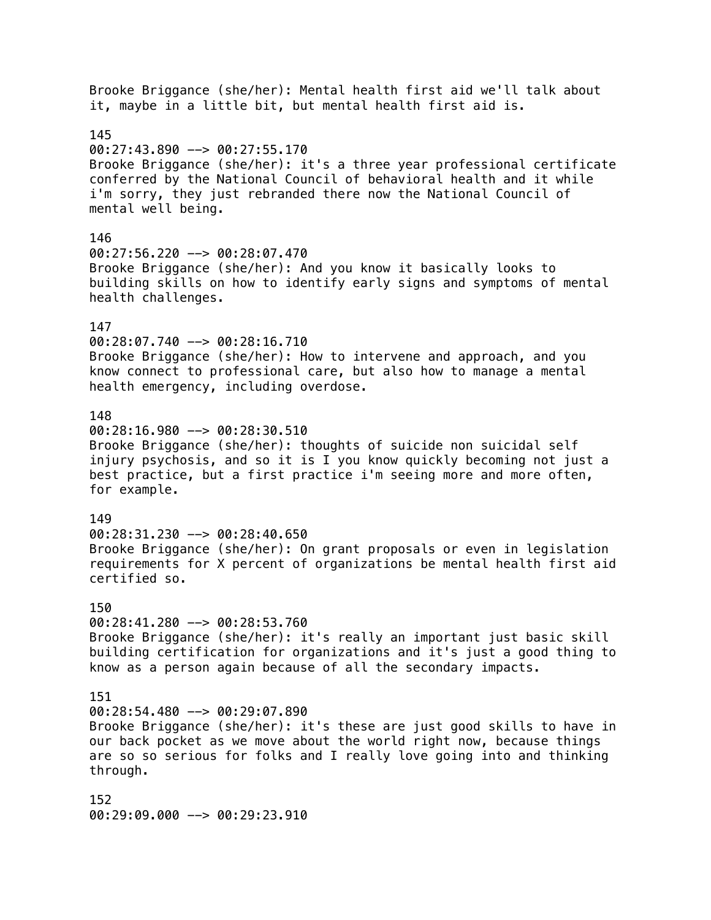Brooke Briggance (she/her): Mental health first aid we'll talk about it, maybe in a little bit, but mental health first aid is. 145  $00:27:43.890$  -->  $00:27:55.170$ Brooke Briggance (she/her): it's a three year professional certificate conferred by the National Council of behavioral health and it while i'm sorry, they just rebranded there now the National Council of mental well being. 146 00:27:56.220 --> 00:28:07.470 Brooke Briggance (she/her): And you know it basically looks to building skills on how to identify early signs and symptoms of mental health challenges. 147 00:28:07.740 --> 00:28:16.710 Brooke Briggance (she/her): How to intervene and approach, and you know connect to professional care, but also how to manage a mental health emergency, including overdose. 148  $00:28:16.980$  -->  $00:28:30.510$ Brooke Briggance (she/her): thoughts of suicide non suicidal self injury psychosis, and so it is I you know quickly becoming not just a best practice, but a first practice i'm seeing more and more often, for example. 149 00:28:31.230 --> 00:28:40.650 Brooke Briggance (she/her): On grant proposals or even in legislation requirements for X percent of organizations be mental health first aid certified so. 150  $00:28:41.280$  -->  $00:28:53.760$ Brooke Briggance (she/her): it's really an important just basic skill building certification for organizations and it's just a good thing to know as a person again because of all the secondary impacts. 151  $00:28:54.480$  -->  $00:29:07.890$ Brooke Briggance (she/her): it's these are just good skills to have in our back pocket as we move about the world right now, because things are so so serious for folks and I really love going into and thinking through. 152 00:29:09.000 --> 00:29:23.910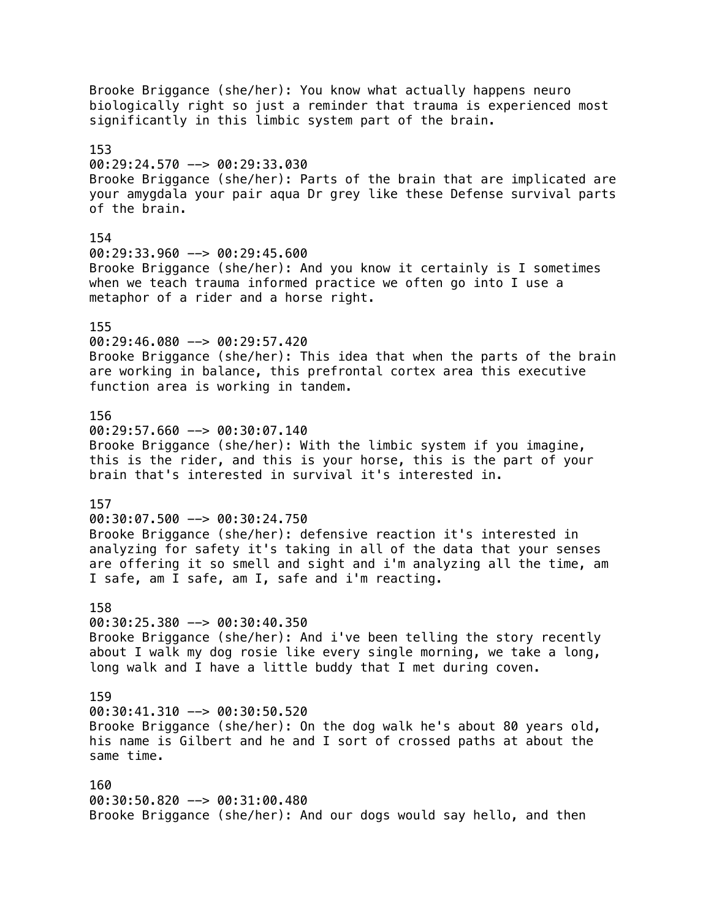Brooke Briggance (she/her): You know what actually happens neuro biologically right so just a reminder that trauma is experienced most significantly in this limbic system part of the brain. 153 00:29:24.570 --> 00:29:33.030 Brooke Briggance (she/her): Parts of the brain that are implicated are your amygdala your pair aqua Dr grey like these Defense survival parts of the brain. 154 00:29:33.960 --> 00:29:45.600 Brooke Briggance (she/her): And you know it certainly is I sometimes when we teach trauma informed practice we often go into I use a metaphor of a rider and a horse right. 155 00:29:46.080 --> 00:29:57.420 Brooke Briggance (she/her): This idea that when the parts of the brain are working in balance, this prefrontal cortex area this executive function area is working in tandem. 156  $00:29:57.660$  -->  $00:30:07.140$ Brooke Briggance (she/her): With the limbic system if you imagine, this is the rider, and this is your horse, this is the part of your brain that's interested in survival it's interested in. 157 00:30:07.500 --> 00:30:24.750 Brooke Briggance (she/her): defensive reaction it's interested in analyzing for safety it's taking in all of the data that your senses are offering it so smell and sight and i'm analyzing all the time, am I safe, am I safe, am I, safe and i'm reacting. 158 00:30:25.380 --> 00:30:40.350 Brooke Briggance (she/her): And i've been telling the story recently about I walk my dog rosie like every single morning, we take a long, long walk and I have a little buddy that I met during coven. 159  $00:30:41.310$  -->  $00:30:50.520$ Brooke Briggance (she/her): On the dog walk he's about 80 years old, his name is Gilbert and he and I sort of crossed paths at about the same time. 160 00:30:50.820 --> 00:31:00.480 Brooke Briggance (she/her): And our dogs would say hello, and then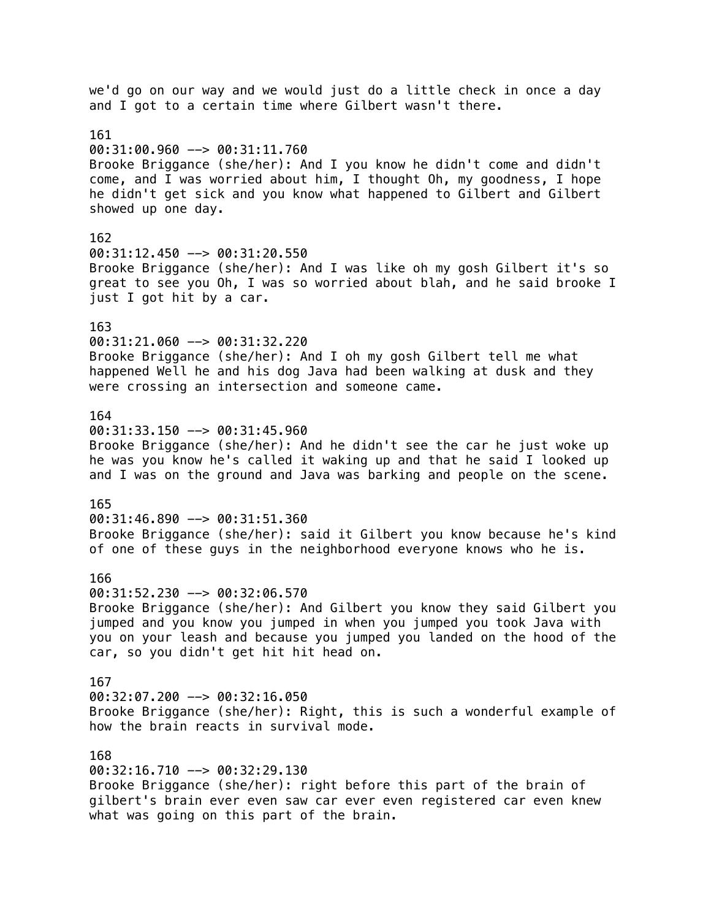we'd go on our way and we would just do a little check in once a day and I got to a certain time where Gilbert wasn't there. 161 00:31:00.960 --> 00:31:11.760 Brooke Briggance (she/her): And I you know he didn't come and didn't come, and I was worried about him, I thought Oh, my goodness, I hope he didn't get sick and you know what happened to Gilbert and Gilbert showed up one day. 162 00:31:12.450 --> 00:31:20.550 Brooke Briggance (she/her): And I was like oh my gosh Gilbert it's so great to see you Oh, I was so worried about blah, and he said brooke I just I got hit by a car. 163 00:31:21.060 --> 00:31:32.220 Brooke Briggance (she/her): And I oh my gosh Gilbert tell me what happened Well he and his dog Java had been walking at dusk and they were crossing an intersection and someone came. 164 00:31:33.150 --> 00:31:45.960 Brooke Briggance (she/her): And he didn't see the car he just woke up he was you know he's called it waking up and that he said I looked up and I was on the ground and Java was barking and people on the scene. 165 00:31:46.890 --> 00:31:51.360 Brooke Briggance (she/her): said it Gilbert you know because he's kind of one of these guys in the neighborhood everyone knows who he is. 166 00:31:52.230 --> 00:32:06.570 Brooke Briggance (she/her): And Gilbert you know they said Gilbert you jumped and you know you jumped in when you jumped you took Java with you on your leash and because you jumped you landed on the hood of the car, so you didn't get hit hit head on. 167 00:32:07.200 --> 00:32:16.050 Brooke Briggance (she/her): Right, this is such a wonderful example of how the brain reacts in survival mode. 168 00:32:16.710 --> 00:32:29.130 Brooke Briggance (she/her): right before this part of the brain of gilbert's brain ever even saw car ever even registered car even knew

what was going on this part of the brain.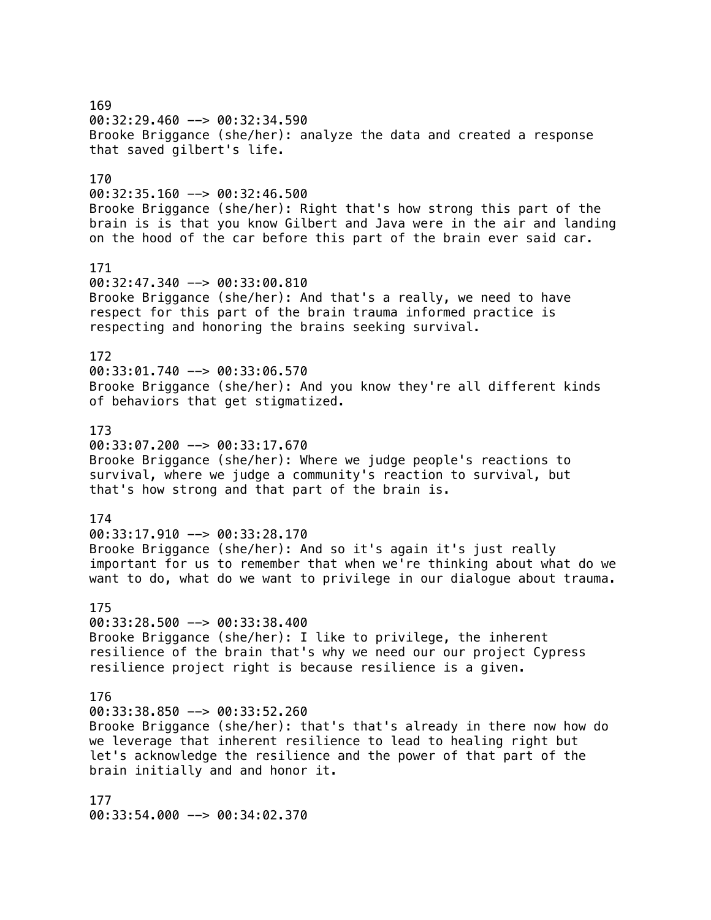169 00:32:29.460 --> 00:32:34.590 Brooke Briggance (she/her): analyze the data and created a response that saved gilbert's life. 170 00:32:35.160 --> 00:32:46.500 Brooke Briggance (she/her): Right that's how strong this part of the brain is is that you know Gilbert and Java were in the air and landing on the hood of the car before this part of the brain ever said car. 171 00:32:47.340 --> 00:33:00.810 Brooke Briggance (she/her): And that's a really, we need to have respect for this part of the brain trauma informed practice is respecting and honoring the brains seeking survival. 172 00:33:01.740 --> 00:33:06.570 Brooke Briggance (she/her): And you know they're all different kinds of behaviors that get stigmatized. 173 00:33:07.200 --> 00:33:17.670 Brooke Briggance (she/her): Where we judge people's reactions to survival, where we judge a community's reaction to survival, but that's how strong and that part of the brain is. 174 00:33:17.910 --> 00:33:28.170 Brooke Briggance (she/her): And so it's again it's just really important for us to remember that when we're thinking about what do we want to do, what do we want to privilege in our dialogue about trauma. 175  $00:33:28.500$  -->  $00:33:38.400$ Brooke Briggance (she/her): I like to privilege, the inherent resilience of the brain that's why we need our our project Cypress resilience project right is because resilience is a given. 176  $00:33:38.850$  -->  $00:33:52.260$ Brooke Briggance (she/her): that's that's already in there now how do we leverage that inherent resilience to lead to healing right but let's acknowledge the resilience and the power of that part of the brain initially and and honor it. 177

00:33:54.000 --> 00:34:02.370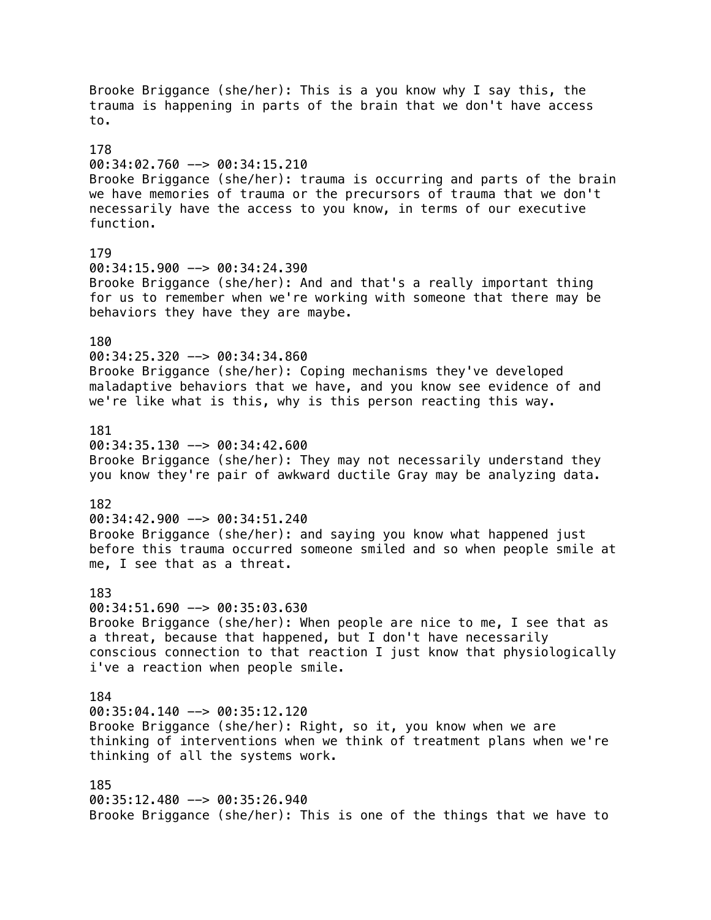Brooke Briggance (she/her): This is a you know why I say this, the trauma is happening in parts of the brain that we don't have access to. 178 00:34:02.760 --> 00:34:15.210 Brooke Briggance (she/her): trauma is occurring and parts of the brain we have memories of trauma or the precursors of trauma that we don't necessarily have the access to you know, in terms of our executive function. 179 00:34:15.900 --> 00:34:24.390 Brooke Briggance (she/her): And and that's a really important thing for us to remember when we're working with someone that there may be behaviors they have they are maybe. 180 00:34:25.320 --> 00:34:34.860 Brooke Briggance (she/her): Coping mechanisms they've developed maladaptive behaviors that we have, and you know see evidence of and we're like what is this, why is this person reacting this way. 181  $00:34:35.130$  -->  $00:34:42.600$ Brooke Briggance (she/her): They may not necessarily understand they you know they're pair of awkward ductile Gray may be analyzing data. 182 00:34:42.900 --> 00:34:51.240 Brooke Briggance (she/her): and saying you know what happened just before this trauma occurred someone smiled and so when people smile at me, I see that as a threat. 183 00:34:51.690 --> 00:35:03.630 Brooke Briggance (she/her): When people are nice to me, I see that as a threat, because that happened, but I don't have necessarily conscious connection to that reaction I just know that physiologically i've a reaction when people smile. 184 00:35:04.140 --> 00:35:12.120 Brooke Briggance (she/her): Right, so it, you know when we are thinking of interventions when we think of treatment plans when we're thinking of all the systems work. 185 00:35:12.480 --> 00:35:26.940 Brooke Briggance (she/her): This is one of the things that we have to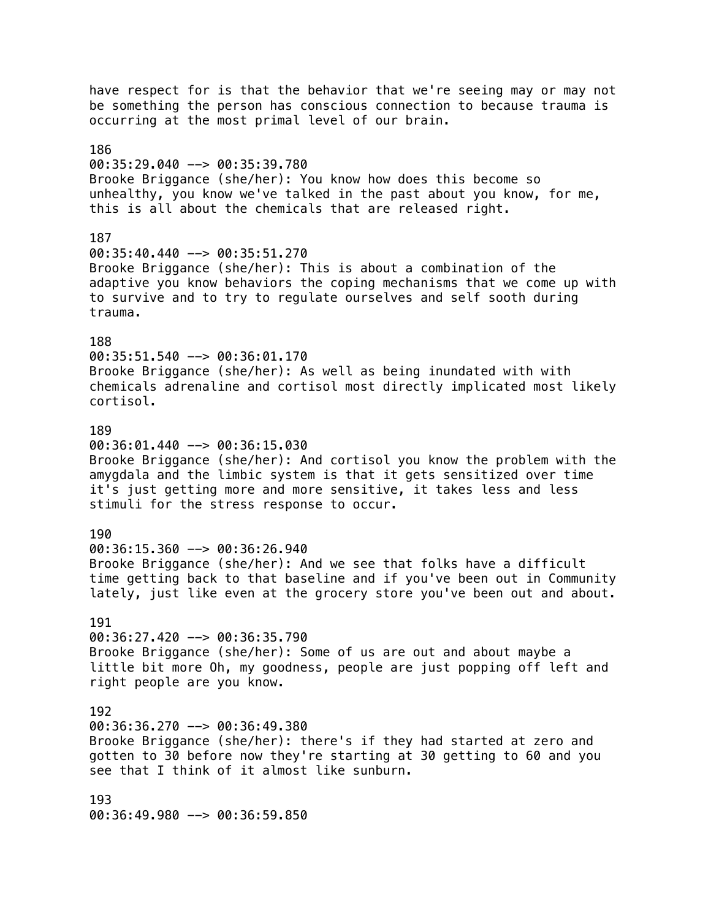have respect for is that the behavior that we're seeing may or may not be something the person has conscious connection to because trauma is occurring at the most primal level of our brain. 186 00:35:29.040 --> 00:35:39.780 Brooke Briggance (she/her): You know how does this become so unhealthy, you know we've talked in the past about you know, for me, this is all about the chemicals that are released right. 187 00:35:40.440 --> 00:35:51.270 Brooke Briggance (she/her): This is about a combination of the adaptive you know behaviors the coping mechanisms that we come up with to survive and to try to regulate ourselves and self sooth during trauma. 188 00:35:51.540 --> 00:36:01.170 Brooke Briggance (she/her): As well as being inundated with with chemicals adrenaline and cortisol most directly implicated most likely cortisol. 189 00:36:01.440 --> 00:36:15.030 Brooke Briggance (she/her): And cortisol you know the problem with the amygdala and the limbic system is that it gets sensitized over time it's just getting more and more sensitive, it takes less and less stimuli for the stress response to occur. 190 00:36:15.360 --> 00:36:26.940 Brooke Briggance (she/her): And we see that folks have a difficult time getting back to that baseline and if you've been out in Community lately, just like even at the grocery store you've been out and about. 191 00:36:27.420 --> 00:36:35.790 Brooke Briggance (she/her): Some of us are out and about maybe a little bit more Oh, my goodness, people are just popping off left and right people are you know. 192 00:36:36.270 --> 00:36:49.380 Brooke Briggance (she/her): there's if they had started at zero and gotten to 30 before now they're starting at 30 getting to 60 and you see that I think of it almost like sunburn. 193 00:36:49.980 --> 00:36:59.850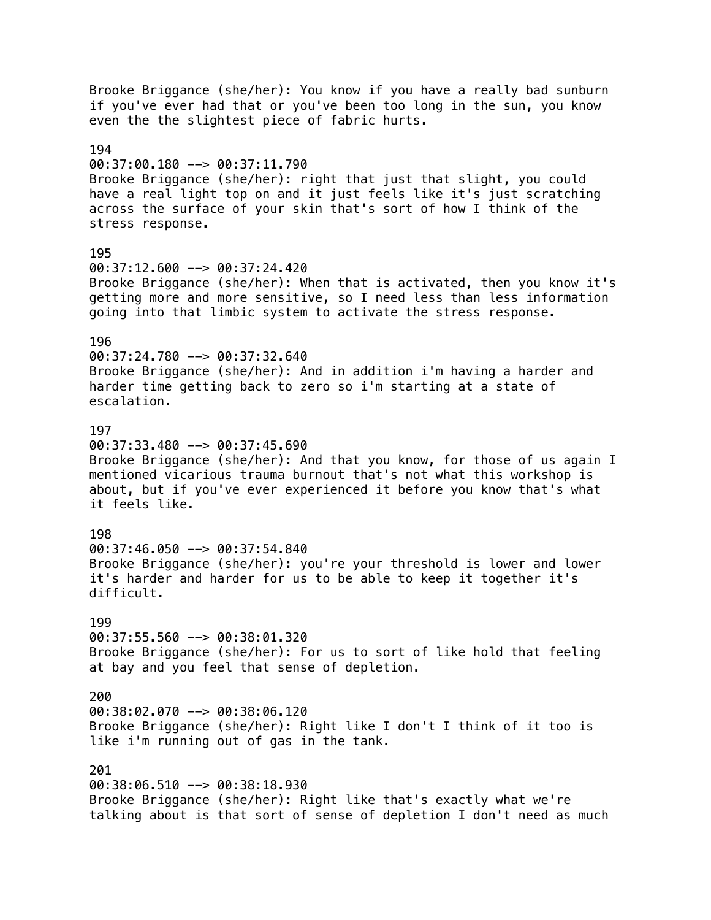Brooke Briggance (she/her): You know if you have a really bad sunburn if you've ever had that or you've been too long in the sun, you know even the the slightest piece of fabric hurts. 194 00:37:00.180 --> 00:37:11.790 Brooke Briggance (she/her): right that just that slight, you could have a real light top on and it just feels like it's just scratching across the surface of your skin that's sort of how I think of the stress response. 195 00:37:12.600 --> 00:37:24.420 Brooke Briggance (she/her): When that is activated, then you know it's getting more and more sensitive, so I need less than less information going into that limbic system to activate the stress response. 196 00:37:24.780 --> 00:37:32.640 Brooke Briggance (she/her): And in addition i'm having a harder and harder time getting back to zero so i'm starting at a state of escalation. 197 00:37:33.480 --> 00:37:45.690 Brooke Briggance (she/her): And that you know, for those of us again I mentioned vicarious trauma burnout that's not what this workshop is about, but if you've ever experienced it before you know that's what it feels like. 198 00:37:46.050 --> 00:37:54.840 Brooke Briggance (she/her): you're your threshold is lower and lower it's harder and harder for us to be able to keep it together it's difficult. 199 00:37:55.560 --> 00:38:01.320 Brooke Briggance (she/her): For us to sort of like hold that feeling at bay and you feel that sense of depletion. 200 00:38:02.070 --> 00:38:06.120 Brooke Briggance (she/her): Right like I don't I think of it too is like i'm running out of gas in the tank. 201 00:38:06.510 --> 00:38:18.930 Brooke Briggance (she/her): Right like that's exactly what we're talking about is that sort of sense of depletion I don't need as much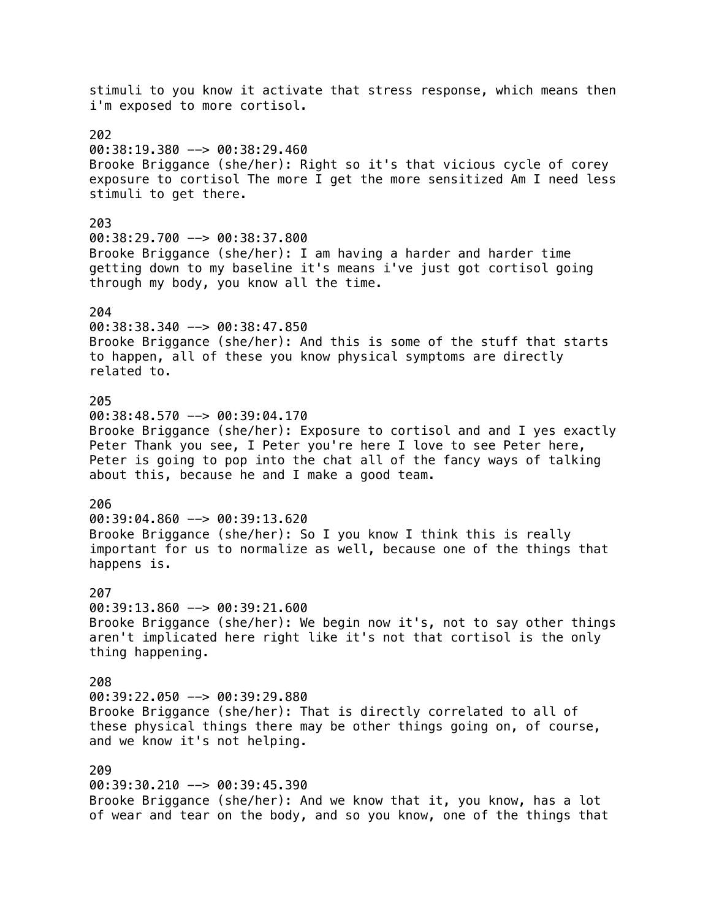stimuli to you know it activate that stress response, which means then i'm exposed to more cortisol. 202 00:38:19.380 --> 00:38:29.460 Brooke Briggance (she/her): Right so it's that vicious cycle of corey exposure to cortisol The more I get the more sensitized Am I need less stimuli to get there. 203 00:38:29.700 --> 00:38:37.800 Brooke Briggance (she/her): I am having a harder and harder time getting down to my baseline it's means i've just got cortisol going through my body, you know all the time. 204 00:38:38.340 --> 00:38:47.850 Brooke Briggance (she/her): And this is some of the stuff that starts to happen, all of these you know physical symptoms are directly related to. 205 00:38:48.570 --> 00:39:04.170 Brooke Briggance (she/her): Exposure to cortisol and and I yes exactly Peter Thank you see, I Peter you're here I love to see Peter here, Peter is going to pop into the chat all of the fancy ways of talking about this, because he and I make a good team. 206 00:39:04.860 --> 00:39:13.620 Brooke Briggance (she/her): So I you know I think this is really important for us to normalize as well, because one of the things that happens is. 207 00:39:13.860 --> 00:39:21.600 Brooke Briggance (she/her): We begin now it's, not to say other things aren't implicated here right like it's not that cortisol is the only thing happening. 208  $00:39:22.050$  -->  $00:39:29.880$ Brooke Briggance (she/her): That is directly correlated to all of these physical things there may be other things going on, of course, and we know it's not helping. 209 00:39:30.210 --> 00:39:45.390 Brooke Briggance (she/her): And we know that it, you know, has a lot of wear and tear on the body, and so you know, one of the things that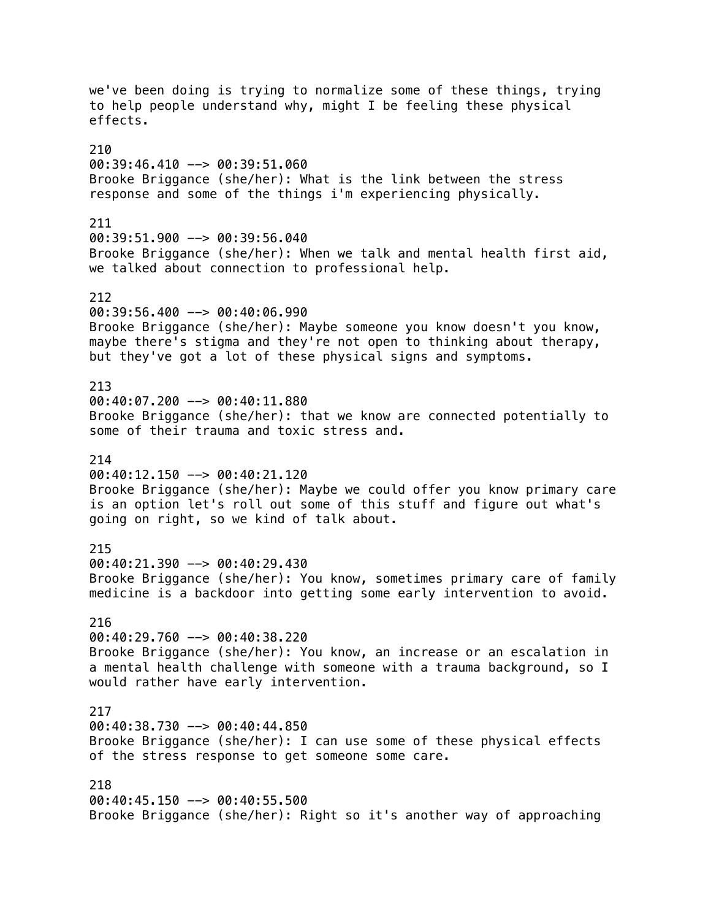we've been doing is trying to normalize some of these things, trying to help people understand why, might I be feeling these physical effects. 210 00:39:46.410 --> 00:39:51.060 Brooke Briggance (she/her): What is the link between the stress response and some of the things i'm experiencing physically. 211  $00:39:51.900$  -->  $00:39:56.040$ Brooke Briggance (she/her): When we talk and mental health first aid, we talked about connection to professional help. 212 00:39:56.400 --> 00:40:06.990 Brooke Briggance (she/her): Maybe someone you know doesn't you know, maybe there's stigma and they're not open to thinking about therapy, but they've got a lot of these physical signs and symptoms. 213 00:40:07.200 --> 00:40:11.880 Brooke Briggance (she/her): that we know are connected potentially to some of their trauma and toxic stress and. 214 00:40:12.150 --> 00:40:21.120 Brooke Briggance (she/her): Maybe we could offer you know primary care is an option let's roll out some of this stuff and figure out what's going on right, so we kind of talk about. 215 00:40:21.390 --> 00:40:29.430 Brooke Briggance (she/her): You know, sometimes primary care of family medicine is a backdoor into getting some early intervention to avoid. 216 00:40:29.760 --> 00:40:38.220 Brooke Briggance (she/her): You know, an increase or an escalation in a mental health challenge with someone with a trauma background, so I would rather have early intervention. 217 00:40:38.730 --> 00:40:44.850 Brooke Briggance (she/her): I can use some of these physical effects of the stress response to get someone some care. 218 00:40:45.150 --> 00:40:55.500 Brooke Briggance (she/her): Right so it's another way of approaching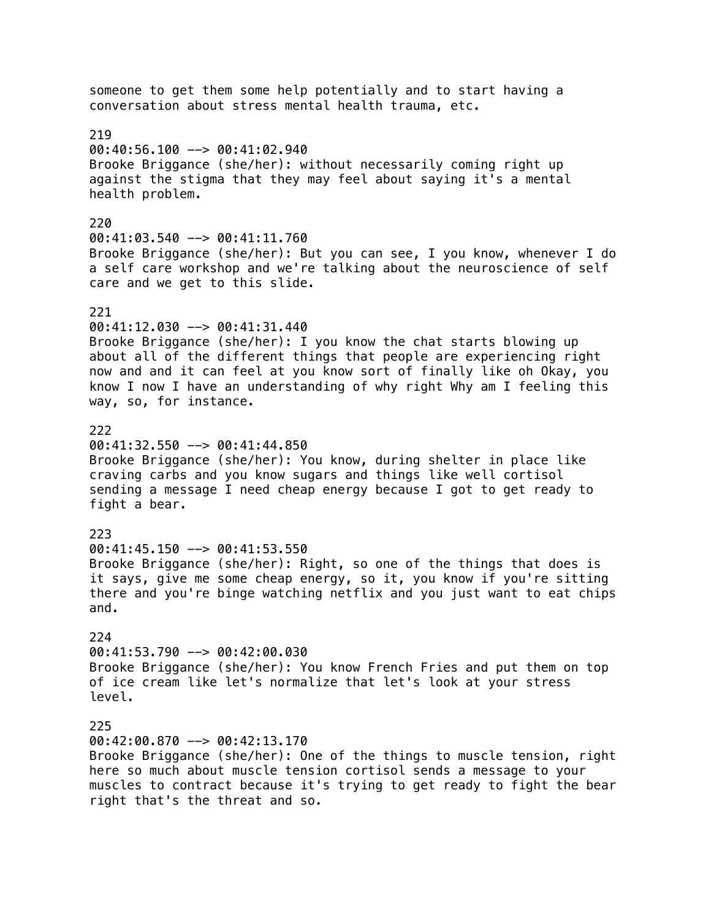someone to get them some help potentially and to start having a conversation about stress mental health trauma, etc. 219 00:40:56.100 --> 00:41:02.940 Brooke Briggance (she/her): without necessarily coming right up against the stigma that they may feel about saying it's a mental health problem. 220 00:41:03.540 --> 00:41:11.760 Brooke Briggance (she/her): But you can see, I you know, whenever I do a self care workshop and we're talking about the neuroscience of self care and we get to this slide. 221 00:41:12.030 --> 00:41:31.440 Brooke Briggance (she/her): I you know the chat starts blowing up about all of the different things that people are experiencing right now and and it can feel at you know sort of finally like oh Okay, you know I now I have an understanding of why right Why am I feeling this way, so, for instance. 222  $00:41:32.550$  -->  $00:41:44.850$ Brooke Briggance (she/her): You know, during shelter in place like craving carbs and you know sugars and things like well cortisol sending a message I need cheap energy because I got to get ready to fight a bear. 223 00:41:45.150 --> 00:41:53.550 Brooke Briggance (she/her): Right, so one of the things that does is it says, give me some cheap energy, so it, you know if you're sitting there and you're binge watching netflix and you just want to eat chips and. 224 00:41:53.790 --> 00:42:00.030 Brooke Briggance (she/her): You know French Fries and put them on top of ice cream like let's normalize that let's look at your stress level. 225 00:42:00.870 --> 00:42:13.170 Brooke Briggance (she/her): One of the things to muscle tension, right here so much about muscle tension cortisol sends a message to your muscles to contract because it's trying to get ready to fight the bear right that's the threat and so.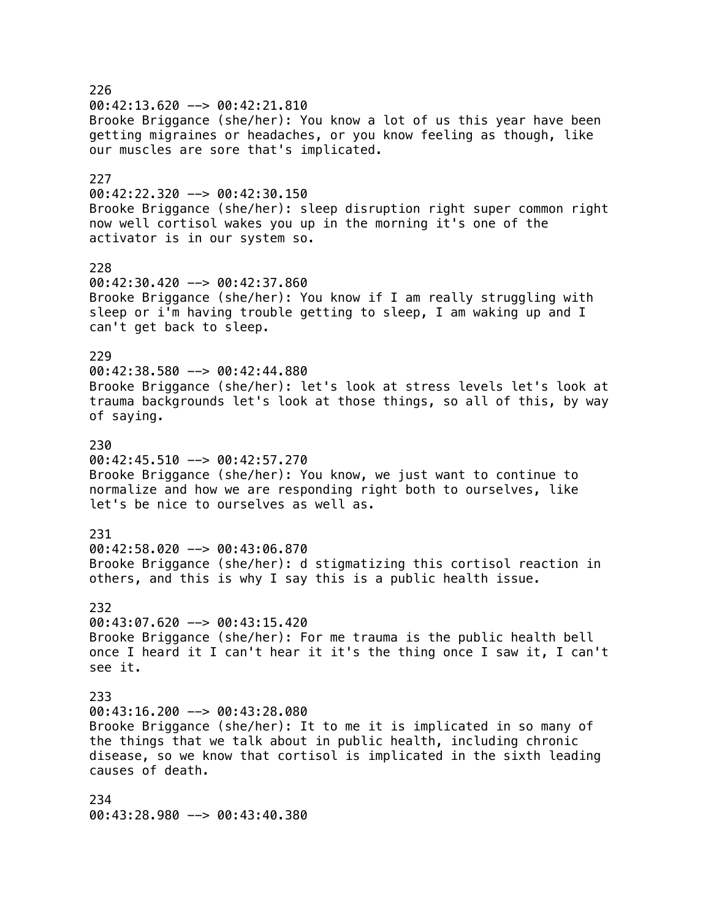226  $00:42:13.620$  -->  $00:42:21.810$ Brooke Briggance (she/her): You know a lot of us this year have been getting migraines or headaches, or you know feeling as though, like our muscles are sore that's implicated. 227 00:42:22.320 --> 00:42:30.150 Brooke Briggance (she/her): sleep disruption right super common right now well cortisol wakes you up in the morning it's one of the activator is in our system so. 228 00:42:30.420 --> 00:42:37.860 Brooke Briggance (she/her): You know if I am really struggling with sleep or i'm having trouble getting to sleep, I am waking up and I can't get back to sleep. 229 00:42:38.580 --> 00:42:44.880 Brooke Briggance (she/her): let's look at stress levels let's look at trauma backgrounds let's look at those things, so all of this, by way of saying. 230 00:42:45.510 --> 00:42:57.270 Brooke Briggance (she/her): You know, we just want to continue to normalize and how we are responding right both to ourselves, like let's be nice to ourselves as well as. 231 00:42:58.020 --> 00:43:06.870 Brooke Briggance (she/her): d stigmatizing this cortisol reaction in others, and this is why I say this is a public health issue. 232  $00:43:07.620$  -->  $00:43:15.420$ Brooke Briggance (she/her): For me trauma is the public health bell once I heard it I can't hear it it's the thing once I saw it, I can't see it. 233  $00:43:16.200$  -->  $00:43:28.080$ Brooke Briggance (she/her): It to me it is implicated in so many of the things that we talk about in public health, including chronic disease, so we know that cortisol is implicated in the sixth leading causes of death. 234 00:43:28.980 --> 00:43:40.380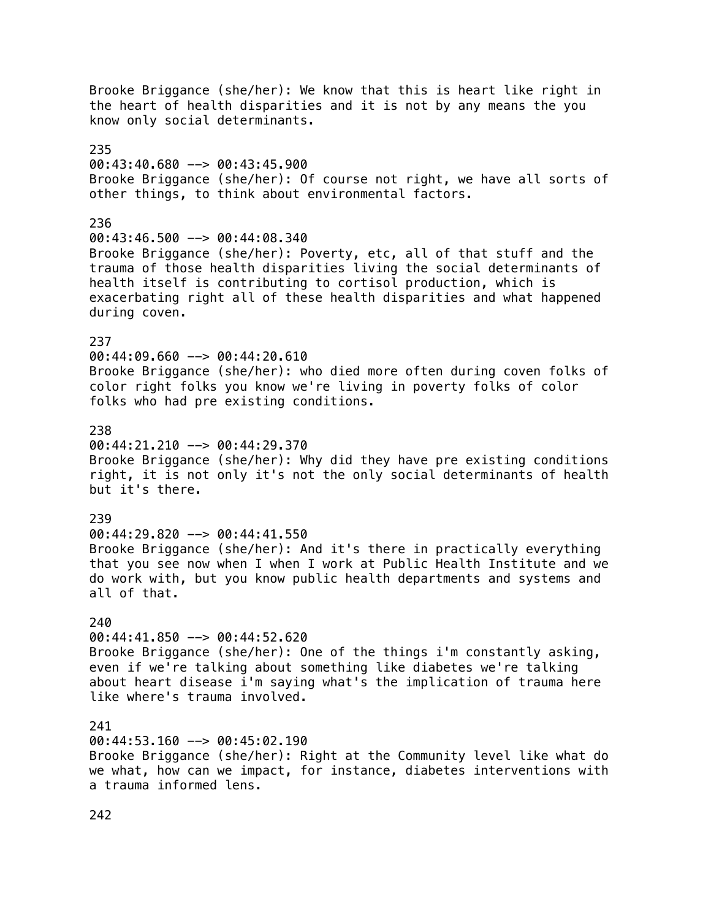Brooke Briggance (she/her): We know that this is heart like right in the heart of health disparities and it is not by any means the you know only social determinants. 235 00:43:40.680 --> 00:43:45.900 Brooke Briggance (she/her): Of course not right, we have all sorts of other things, to think about environmental factors. 236 00:43:46.500 --> 00:44:08.340 Brooke Briggance (she/her): Poverty, etc, all of that stuff and the trauma of those health disparities living the social determinants of health itself is contributing to cortisol production, which is exacerbating right all of these health disparities and what happened during coven. 237 00:44:09.660 --> 00:44:20.610 Brooke Briggance (she/her): who died more often during coven folks of color right folks you know we're living in poverty folks of color folks who had pre existing conditions. 238  $0.44:21.210$   $\rightarrow$  00:44:29.370 Brooke Briggance (she/her): Why did they have pre existing conditions right, it is not only it's not the only social determinants of health but it's there. 239 00:44:29.820 --> 00:44:41.550 Brooke Briggance (she/her): And it's there in practically everything that you see now when I when I work at Public Health Institute and we do work with, but you know public health departments and systems and all of that. 240 00:44:41.850 --> 00:44:52.620 Brooke Briggance (she/her): One of the things i'm constantly asking, even if we're talking about something like diabetes we're talking about heart disease i'm saying what's the implication of trauma here like where's trauma involved. 241 00:44:53.160 --> 00:45:02.190 Brooke Briggance (she/her): Right at the Community level like what do we what, how can we impact, for instance, diabetes interventions with a trauma informed lens.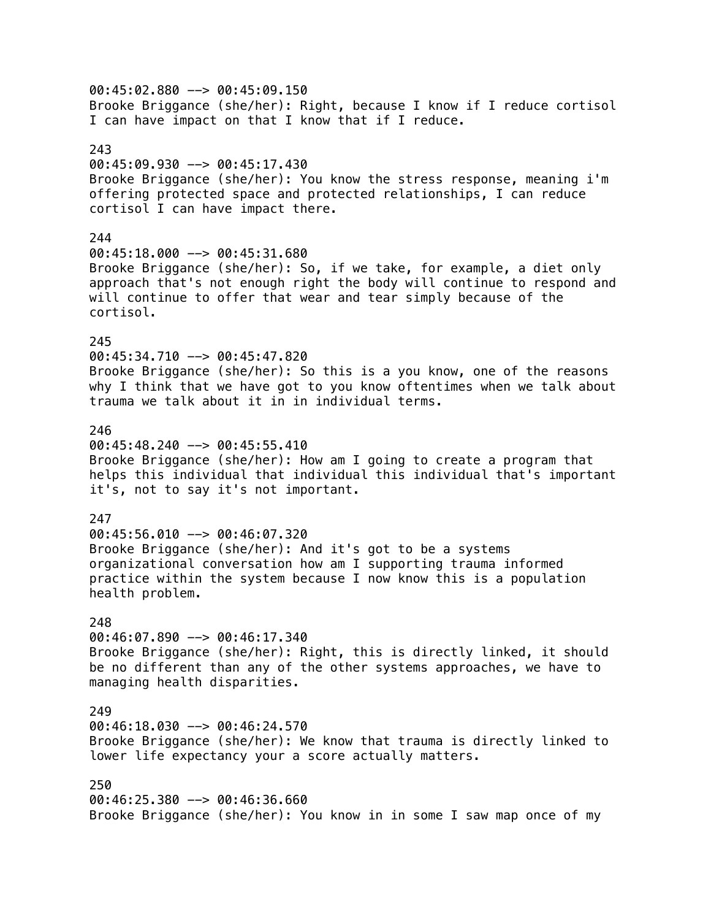00:45:02.880 --> 00:45:09.150 Brooke Briggance (she/her): Right, because I know if I reduce cortisol I can have impact on that I know that if I reduce. 243 00:45:09.930 --> 00:45:17.430 Brooke Briggance (she/her): You know the stress response, meaning i'm offering protected space and protected relationships, I can reduce cortisol I can have impact there. 244 00:45:18.000 --> 00:45:31.680 Brooke Briggance (she/her): So, if we take, for example, a diet only approach that's not enough right the body will continue to respond and will continue to offer that wear and tear simply because of the cortisol. 245 00:45:34.710 --> 00:45:47.820 Brooke Briggance (she/her): So this is a you know, one of the reasons why I think that we have got to you know oftentimes when we talk about trauma we talk about it in in individual terms. 246  $00:45:48.240$  -->  $00:45:55.410$ Brooke Briggance (she/her): How am I going to create a program that helps this individual that individual this individual that's important it's, not to say it's not important. 247 00:45:56.010 --> 00:46:07.320 Brooke Briggance (she/her): And it's got to be a systems organizational conversation how am I supporting trauma informed practice within the system because I now know this is a population health problem. 248 00:46:07.890 --> 00:46:17.340 Brooke Briggance (she/her): Right, this is directly linked, it should be no different than any of the other systems approaches, we have to managing health disparities. 249 00:46:18.030 --> 00:46:24.570 Brooke Briggance (she/her): We know that trauma is directly linked to lower life expectancy your a score actually matters. 250 00:46:25.380 --> 00:46:36.660 Brooke Briggance (she/her): You know in in some I saw map once of my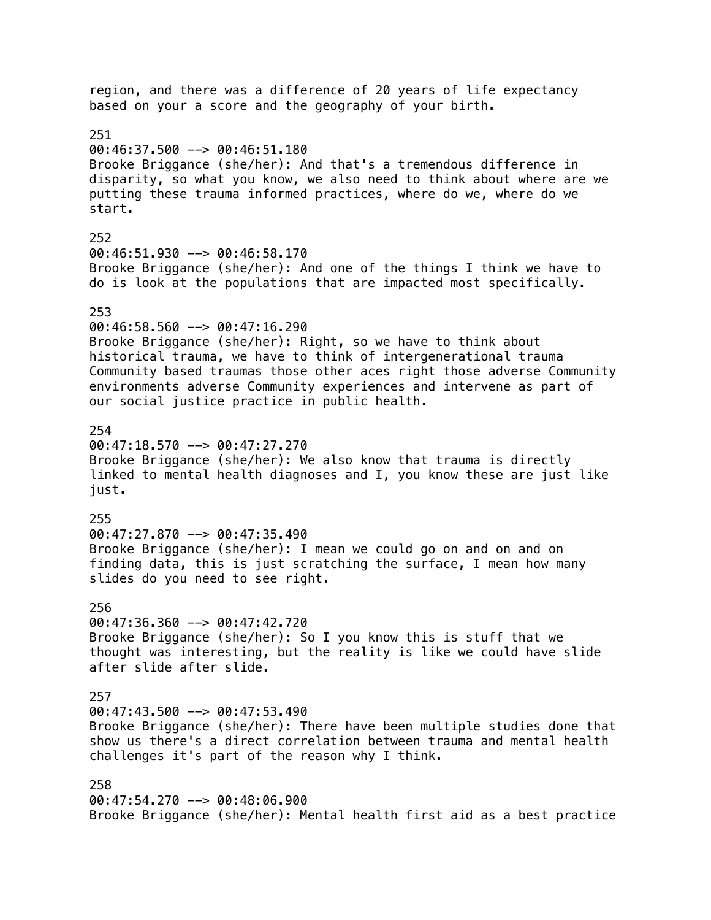region, and there was a difference of 20 years of life expectancy based on your a score and the geography of your birth. 251  $00:46:37.500$  -->  $00:46:51.180$ Brooke Briggance (she/her): And that's a tremendous difference in disparity, so what you know, we also need to think about where are we putting these trauma informed practices, where do we, where do we start. 252 00:46:51.930 --> 00:46:58.170 Brooke Briggance (she/her): And one of the things I think we have to do is look at the populations that are impacted most specifically. 253 00:46:58.560 --> 00:47:16.290 Brooke Briggance (she/her): Right, so we have to think about historical trauma, we have to think of intergenerational trauma Community based traumas those other aces right those adverse Community environments adverse Community experiences and intervene as part of our social justice practice in public health. 254  $00:47:18.570$  -->  $00:47:27.270$ Brooke Briggance (she/her): We also know that trauma is directly linked to mental health diagnoses and I, you know these are just like just. 255 00:47:27.870 --> 00:47:35.490 Brooke Briggance (she/her): I mean we could go on and on and on finding data, this is just scratching the surface, I mean how many slides do you need to see right. 256  $00:47:36.360$  -->  $00:47:42.720$ Brooke Briggance (she/her): So I you know this is stuff that we thought was interesting, but the reality is like we could have slide after slide after slide. 257 00:47:43.500 --> 00:47:53.490 Brooke Briggance (she/her): There have been multiple studies done that show us there's a direct correlation between trauma and mental health challenges it's part of the reason why I think. 258 00:47:54.270 --> 00:48:06.900 Brooke Briggance (she/her): Mental health first aid as a best practice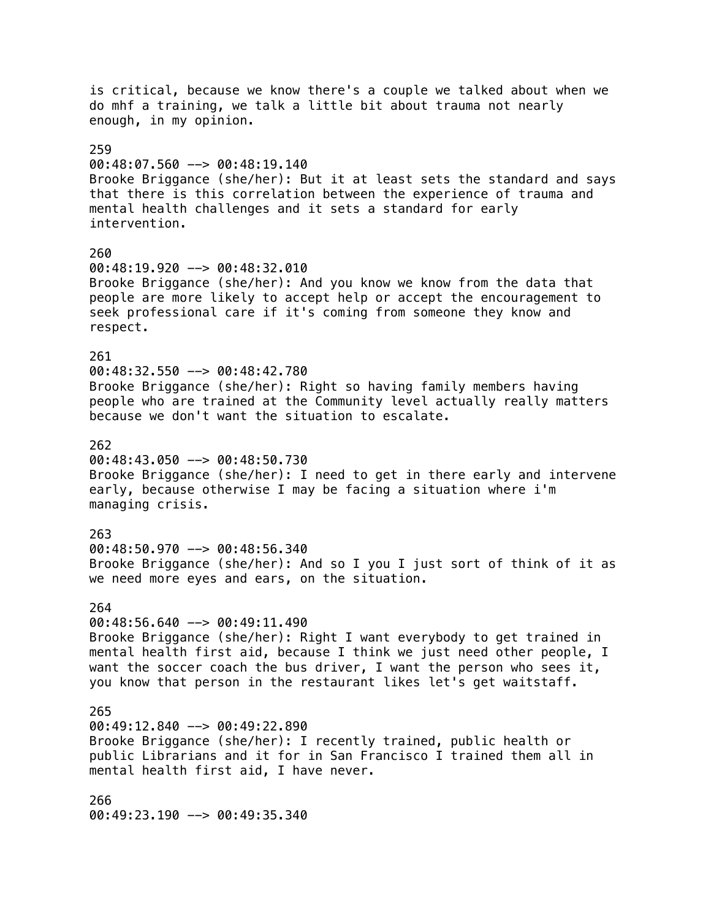is critical, because we know there's a couple we talked about when we do mhf a training, we talk a little bit about trauma not nearly enough, in my opinion. 259 00:48:07.560 --> 00:48:19.140 Brooke Briggance (she/her): But it at least sets the standard and says that there is this correlation between the experience of trauma and mental health challenges and it sets a standard for early intervention. 260 00:48:19.920 --> 00:48:32.010 Brooke Briggance (she/her): And you know we know from the data that people are more likely to accept help or accept the encouragement to seek professional care if it's coming from someone they know and respect. 261 00:48:32.550 --> 00:48:42.780 Brooke Briggance (she/her): Right so having family members having people who are trained at the Community level actually really matters because we don't want the situation to escalate. 262 00:48:43.050 --> 00:48:50.730 Brooke Briggance (she/her): I need to get in there early and intervene early, because otherwise I may be facing a situation where i'm managing crisis. 263 00:48:50.970 --> 00:48:56.340 Brooke Briggance (she/her): And so I you I just sort of think of it as we need more eyes and ears, on the situation. 264  $00:48:56.640$  -->  $00:49:11.490$ Brooke Briggance (she/her): Right I want everybody to get trained in mental health first aid, because I think we just need other people, I want the soccer coach the bus driver, I want the person who sees it, you know that person in the restaurant likes let's get waitstaff. 265 00:49:12.840 --> 00:49:22.890 Brooke Briggance (she/her): I recently trained, public health or public Librarians and it for in San Francisco I trained them all in mental health first aid, I have never. 266 00:49:23.190 --> 00:49:35.340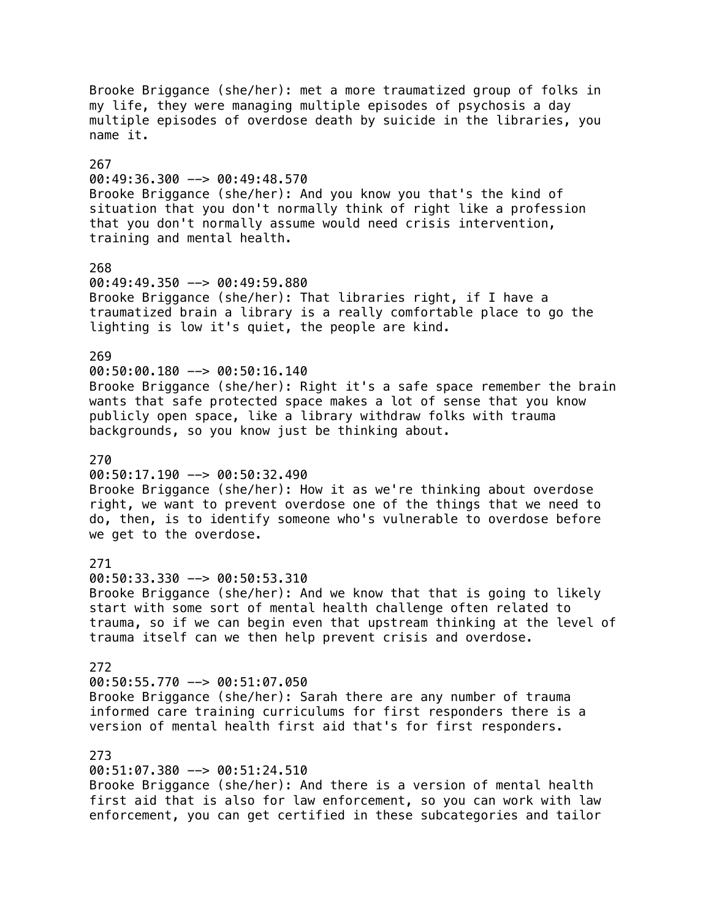Brooke Briggance (she/her): met a more traumatized group of folks in my life, they were managing multiple episodes of psychosis a day multiple episodes of overdose death by suicide in the libraries, you name it. 267 00:49:36.300 --> 00:49:48.570 Brooke Briggance (she/her): And you know you that's the kind of situation that you don't normally think of right like a profession that you don't normally assume would need crisis intervention, training and mental health. 268 00:49:49.350 --> 00:49:59.880 Brooke Briggance (she/her): That libraries right, if I have a traumatized brain a library is a really comfortable place to go the lighting is low it's quiet, the people are kind. 269 00:50:00.180 --> 00:50:16.140 Brooke Briggance (she/her): Right it's a safe space remember the brain wants that safe protected space makes a lot of sense that you know publicly open space, like a library withdraw folks with trauma backgrounds, so you know just be thinking about. 270  $00:50:17.190$  -->  $00:50:32.490$ Brooke Briggance (she/her): How it as we're thinking about overdose right, we want to prevent overdose one of the things that we need to do, then, is to identify someone who's vulnerable to overdose before we get to the overdose. 271 00:50:33.330 --> 00:50:53.310 Brooke Briggance (she/her): And we know that that is going to likely start with some sort of mental health challenge often related to trauma, so if we can begin even that upstream thinking at the level of trauma itself can we then help prevent crisis and overdose. 272 00:50:55.770 --> 00:51:07.050 Brooke Briggance (she/her): Sarah there are any number of trauma informed care training curriculums for first responders there is a version of mental health first aid that's for first responders. 273 00:51:07.380 --> 00:51:24.510 Brooke Briggance (she/her): And there is a version of mental health

first aid that is also for law enforcement, so you can work with law enforcement, you can get certified in these subcategories and tailor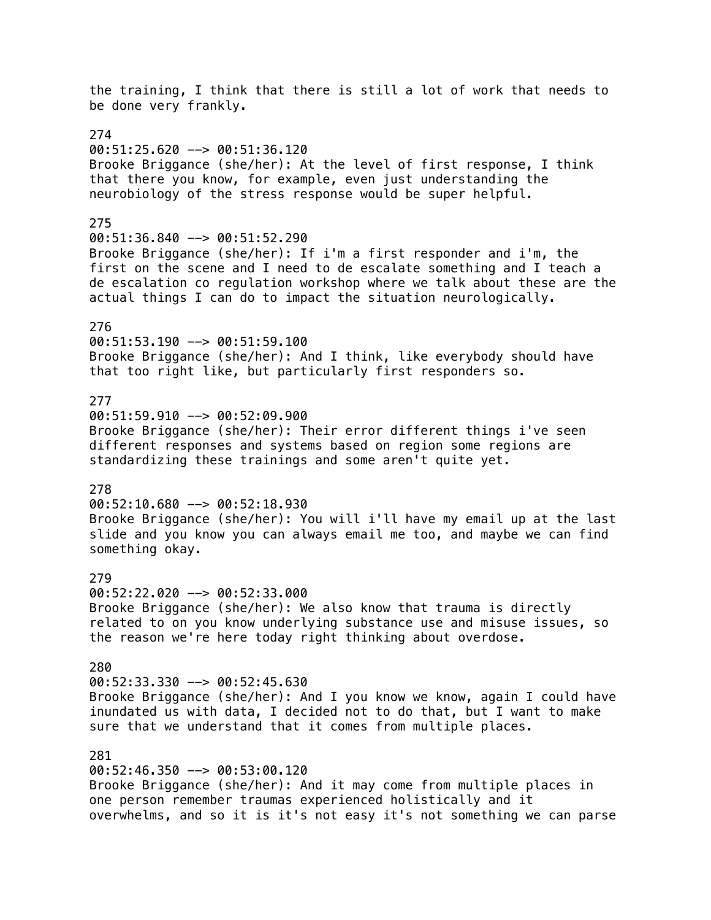the training, I think that there is still a lot of work that needs to be done very frankly. 274  $00:51:25.620$  -->  $00:51:36.120$ Brooke Briggance (she/her): At the level of first response, I think that there you know, for example, even just understanding the neurobiology of the stress response would be super helpful. 275  $00:51:36.840$  -->  $00:51:52.290$ Brooke Briggance (she/her): If i'm a first responder and i'm, the first on the scene and I need to de escalate something and I teach a de escalation co regulation workshop where we talk about these are the actual things I can do to impact the situation neurologically. 276 00:51:53.190 --> 00:51:59.100 Brooke Briggance (she/her): And I think, like everybody should have that too right like, but particularly first responders so. 277  $00:51:59.910$  -->  $00:52:09.900$ Brooke Briggance (she/her): Their error different things i've seen different responses and systems based on region some regions are standardizing these trainings and some aren't quite yet. 278 00:52:10.680 --> 00:52:18.930 Brooke Briggance (she/her): You will i'll have my email up at the last slide and you know you can always email me too, and maybe we can find something okay. 279 00:52:22.020 --> 00:52:33.000 Brooke Briggance (she/her): We also know that trauma is directly related to on you know underlying substance use and misuse issues, so the reason we're here today right thinking about overdose. 280 00:52:33.330 --> 00:52:45.630 Brooke Briggance (she/her): And I you know we know, again I could have inundated us with data, I decided not to do that, but I want to make sure that we understand that it comes from multiple places. 281 00:52:46.350 --> 00:53:00.120 Brooke Briggance (she/her): And it may come from multiple places in one person remember traumas experienced holistically and it

overwhelms, and so it is it's not easy it's not something we can parse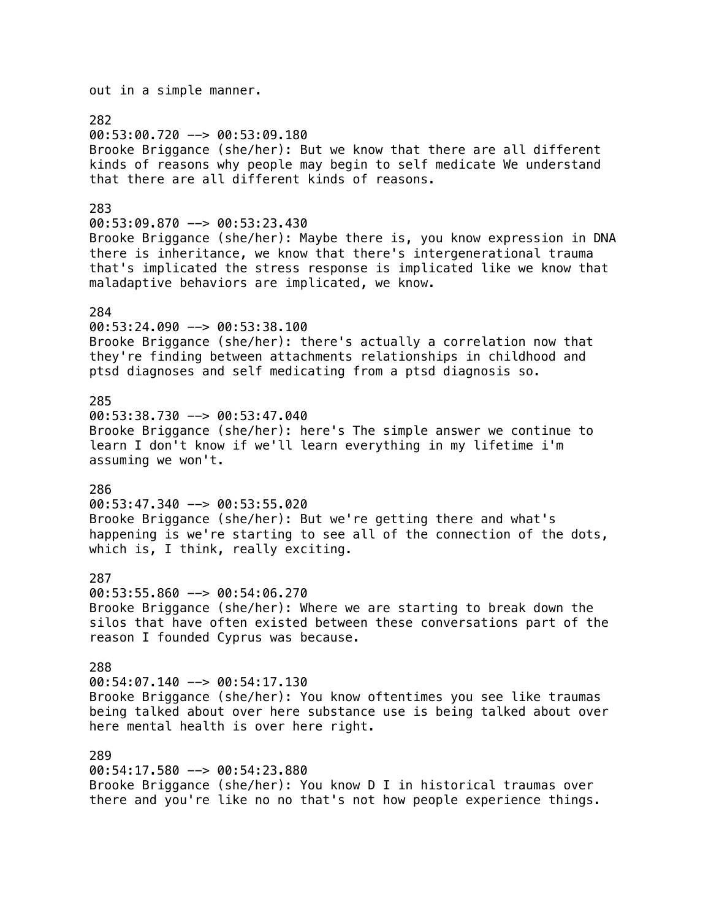out in a simple manner. 282 00:53:00.720 --> 00:53:09.180 Brooke Briggance (she/her): But we know that there are all different kinds of reasons why people may begin to self medicate We understand that there are all different kinds of reasons. 283 00:53:09.870 --> 00:53:23.430 Brooke Briggance (she/her): Maybe there is, you know expression in DNA there is inheritance, we know that there's intergenerational trauma that's implicated the stress response is implicated like we know that maladaptive behaviors are implicated, we know. 284 00:53:24.090 --> 00:53:38.100 Brooke Briggance (she/her): there's actually a correlation now that they're finding between attachments relationships in childhood and ptsd diagnoses and self medicating from a ptsd diagnosis so. 285 00:53:38.730 --> 00:53:47.040 Brooke Briggance (she/her): here's The simple answer we continue to learn I don't know if we'll learn everything in my lifetime i'm assuming we won't. 286 00:53:47.340 --> 00:53:55.020 Brooke Briggance (she/her): But we're getting there and what's happening is we're starting to see all of the connection of the dots, which is, I think, really exciting. 287 00:53:55.860 --> 00:54:06.270 Brooke Briggance (she/her): Where we are starting to break down the silos that have often existed between these conversations part of the reason I founded Cyprus was because. 288 00:54:07.140 --> 00:54:17.130 Brooke Briggance (she/her): You know oftentimes you see like traumas being talked about over here substance use is being talked about over here mental health is over here right. 289

00:54:17.580 --> 00:54:23.880 Brooke Briggance (she/her): You know D I in historical traumas over there and you're like no no that's not how people experience things.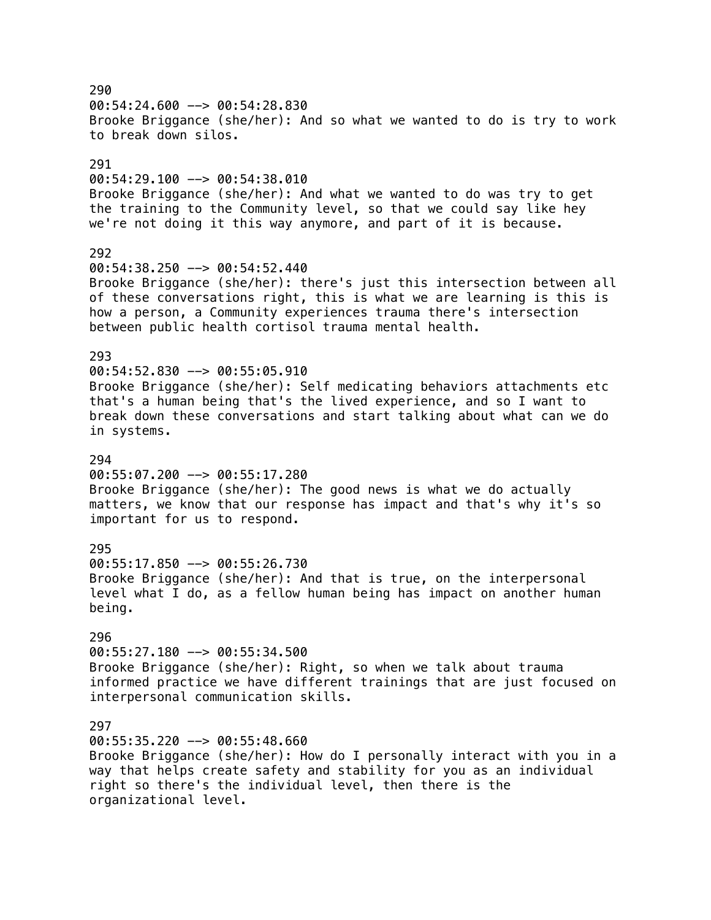290  $00:54:24.600$  -->  $00:54:28.830$ Brooke Briggance (she/her): And so what we wanted to do is try to work to break down silos. 291 00:54:29.100 --> 00:54:38.010 Brooke Briggance (she/her): And what we wanted to do was try to get the training to the Community level, so that we could say like hey we're not doing it this way anymore, and part of it is because. 292 00:54:38.250 --> 00:54:52.440 Brooke Briggance (she/her): there's just this intersection between all of these conversations right, this is what we are learning is this is how a person, a Community experiences trauma there's intersection between public health cortisol trauma mental health. 293 00:54:52.830 --> 00:55:05.910 Brooke Briggance (she/her): Self medicating behaviors attachments etc that's a human being that's the lived experience, and so I want to break down these conversations and start talking about what can we do in systems. 294 00:55:07.200 --> 00:55:17.280 Brooke Briggance (she/her): The good news is what we do actually matters, we know that our response has impact and that's why it's so important for us to respond. 295 00:55:17.850 --> 00:55:26.730 Brooke Briggance (she/her): And that is true, on the interpersonal level what I do, as a fellow human being has impact on another human being. 296 00:55:27.180 --> 00:55:34.500 Brooke Briggance (she/her): Right, so when we talk about trauma informed practice we have different trainings that are just focused on interpersonal communication skills. 297  $00:55:35.220$  -->  $00:55:48.660$ Brooke Briggance (she/her): How do I personally interact with you in a way that helps create safety and stability for you as an individual right so there's the individual level, then there is the organizational level.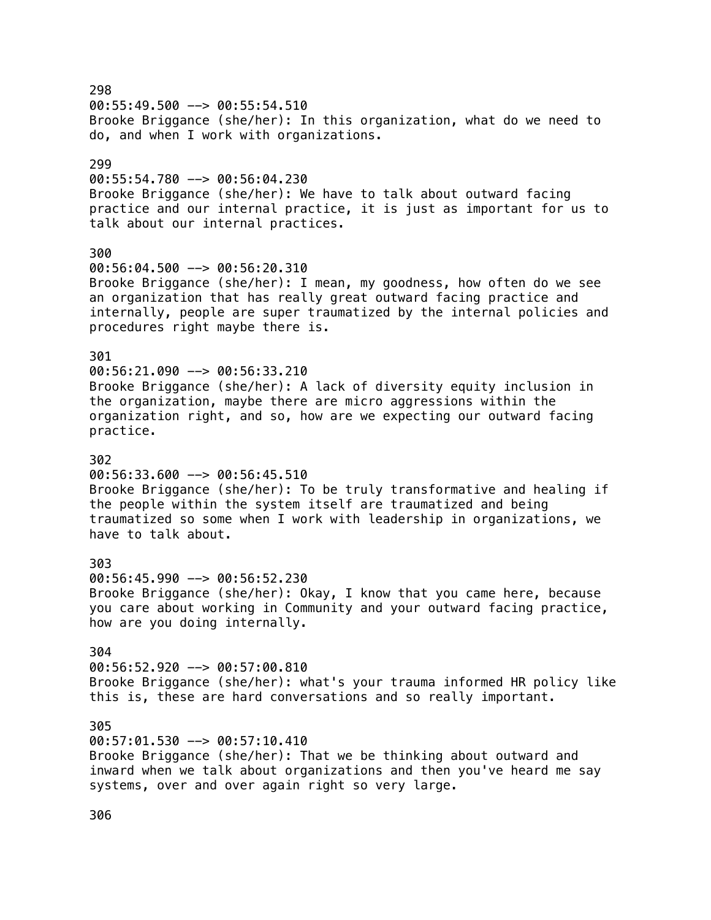298  $00:55:49.500$  -->  $00:55:54.510$ Brooke Briggance (she/her): In this organization, what do we need to do, and when I work with organizations. 299 00:55:54.780 --> 00:56:04.230 Brooke Briggance (she/her): We have to talk about outward facing practice and our internal practice, it is just as important for us to talk about our internal practices. 300 00:56:04.500 --> 00:56:20.310 Brooke Briggance (she/her): I mean, my goodness, how often do we see an organization that has really great outward facing practice and internally, people are super traumatized by the internal policies and procedures right maybe there is. 301 00:56:21.090 --> 00:56:33.210 Brooke Briggance (she/her): A lack of diversity equity inclusion in the organization, maybe there are micro aggressions within the organization right, and so, how are we expecting our outward facing practice. 302  $00:56:33.600$  -->  $00:56:45.510$ Brooke Briggance (she/her): To be truly transformative and healing if the people within the system itself are traumatized and being traumatized so some when I work with leadership in organizations, we have to talk about. 303 00:56:45.990 --> 00:56:52.230 Brooke Briggance (she/her): Okay, I know that you came here, because you care about working in Community and your outward facing practice, how are you doing internally. 304 00:56:52.920 --> 00:57:00.810 Brooke Briggance (she/her): what's your trauma informed HR policy like this is, these are hard conversations and so really important. 305 00:57:01.530 --> 00:57:10.410 Brooke Briggance (she/her): That we be thinking about outward and inward when we talk about organizations and then you've heard me say systems, over and over again right so very large.

306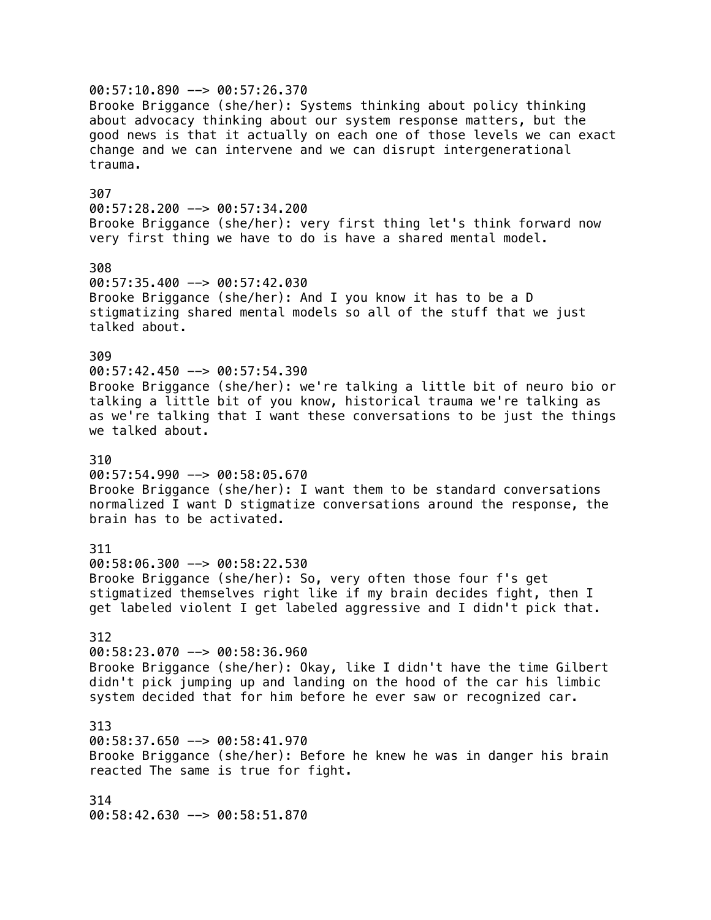00:57:10.890 --> 00:57:26.370 Brooke Briggance (she/her): Systems thinking about policy thinking about advocacy thinking about our system response matters, but the good news is that it actually on each one of those levels we can exact change and we can intervene and we can disrupt intergenerational trauma. 307 00:57:28.200 --> 00:57:34.200 Brooke Briggance (she/her): very first thing let's think forward now very first thing we have to do is have a shared mental model. 308  $00:57:35.400$  -->  $00:57:42.030$ Brooke Briggance (she/her): And I you know it has to be a D stigmatizing shared mental models so all of the stuff that we just talked about. 309 00:57:42.450 --> 00:57:54.390 Brooke Briggance (she/her): we're talking a little bit of neuro bio or talking a little bit of you know, historical trauma we're talking as as we're talking that I want these conversations to be just the things we talked about. 310 00:57:54.990 --> 00:58:05.670 Brooke Briggance (she/her): I want them to be standard conversations normalized I want D stigmatize conversations around the response, the brain has to be activated. 311 00:58:06.300 --> 00:58:22.530 Brooke Briggance (she/her): So, very often those four f's get stigmatized themselves right like if my brain decides fight, then I get labeled violent I get labeled aggressive and I didn't pick that. 312 00:58:23.070 --> 00:58:36.960 Brooke Briggance (she/her): Okay, like I didn't have the time Gilbert didn't pick jumping up and landing on the hood of the car his limbic system decided that for him before he ever saw or recognized car. 313 00:58:37.650 --> 00:58:41.970 Brooke Briggance (she/her): Before he knew he was in danger his brain reacted The same is true for fight. 314 00:58:42.630 --> 00:58:51.870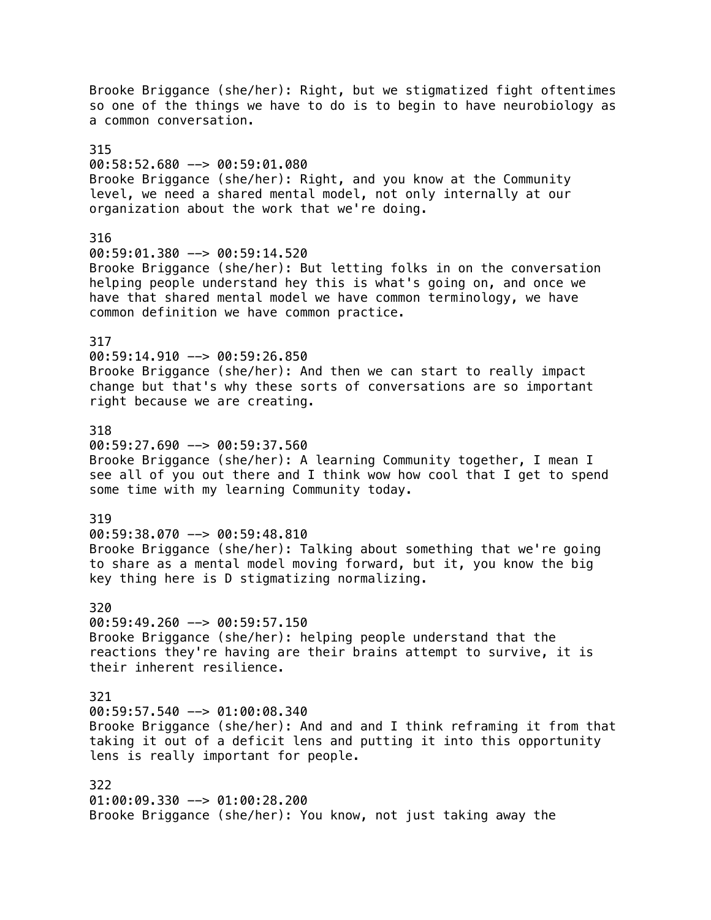Brooke Briggance (she/her): Right, but we stigmatized fight oftentimes so one of the things we have to do is to begin to have neurobiology as a common conversation. 315 00:58:52.680 --> 00:59:01.080 Brooke Briggance (she/her): Right, and you know at the Community level, we need a shared mental model, not only internally at our organization about the work that we're doing. 316 00:59:01.380 --> 00:59:14.520 Brooke Briggance (she/her): But letting folks in on the conversation helping people understand hey this is what's going on, and once we have that shared mental model we have common terminology, we have common definition we have common practice. 317 00:59:14.910 --> 00:59:26.850 Brooke Briggance (she/her): And then we can start to really impact change but that's why these sorts of conversations are so important right because we are creating. 318  $00:59:27.690$  -->  $00:59:37.560$ Brooke Briggance (she/her): A learning Community together, I mean I see all of you out there and I think wow how cool that I get to spend some time with my learning Community today. 319 00:59:38.070 --> 00:59:48.810 Brooke Briggance (she/her): Talking about something that we're going to share as a mental model moving forward, but it, you know the big key thing here is D stigmatizing normalizing. 320  $00:59:49.260$  -->  $00:59:57.150$ Brooke Briggance (she/her): helping people understand that the reactions they're having are their brains attempt to survive, it is their inherent resilience. 321 00:59:57.540 --> 01:00:08.340 Brooke Briggance (she/her): And and and I think reframing it from that taking it out of a deficit lens and putting it into this opportunity lens is really important for people. 322 01:00:09.330 --> 01:00:28.200 Brooke Briggance (she/her): You know, not just taking away the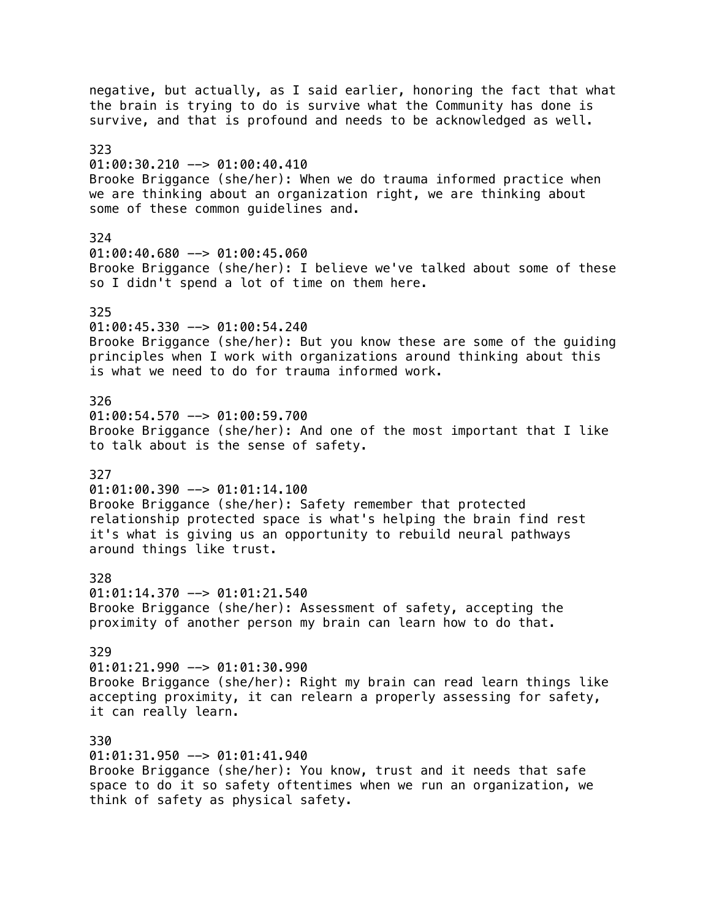negative, but actually, as I said earlier, honoring the fact that what the brain is trying to do is survive what the Community has done is survive, and that is profound and needs to be acknowledged as well. 323  $01:00:30.210$  -->  $01:00:40.410$ Brooke Briggance (she/her): When we do trauma informed practice when we are thinking about an organization right, we are thinking about some of these common guidelines and. 324 01:00:40.680 --> 01:00:45.060 Brooke Briggance (she/her): I believe we've talked about some of these so I didn't spend a lot of time on them here. 325 01:00:45.330 --> 01:00:54.240 Brooke Briggance (she/her): But you know these are some of the guiding principles when I work with organizations around thinking about this is what we need to do for trauma informed work. 326 01:00:54.570 --> 01:00:59.700 Brooke Briggance (she/her): And one of the most important that I like to talk about is the sense of safety. 327  $01:01:00.390$  -->  $01:01:14.100$ Brooke Briggance (she/her): Safety remember that protected relationship protected space is what's helping the brain find rest it's what is giving us an opportunity to rebuild neural pathways around things like trust. 328 01:01:14.370 --> 01:01:21.540 Brooke Briggance (she/her): Assessment of safety, accepting the proximity of another person my brain can learn how to do that. 329 01:01:21.990 --> 01:01:30.990 Brooke Briggance (she/her): Right my brain can read learn things like accepting proximity, it can relearn a properly assessing for safety, it can really learn. 330 01:01:31.950 --> 01:01:41.940 Brooke Briggance (she/her): You know, trust and it needs that safe space to do it so safety oftentimes when we run an organization, we think of safety as physical safety.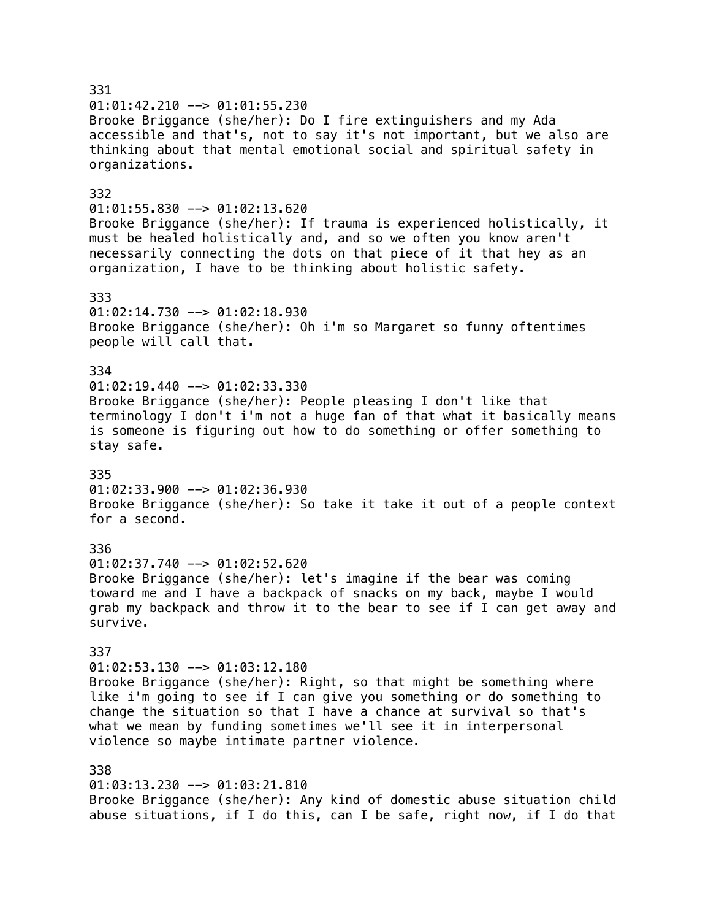331  $01:01:42.210$  -->  $01:01:55.230$ Brooke Briggance (she/her): Do I fire extinguishers and my Ada accessible and that's, not to say it's not important, but we also are thinking about that mental emotional social and spiritual safety in organizations. 332  $01:01:55.830$  -->  $01:02:13.620$ Brooke Briggance (she/her): If trauma is experienced holistically, it must be healed holistically and, and so we often you know aren't necessarily connecting the dots on that piece of it that hey as an organization, I have to be thinking about holistic safety. 333 01:02:14.730 --> 01:02:18.930 Brooke Briggance (she/her): Oh i'm so Margaret so funny oftentimes people will call that. 334  $01:02:19.440$  -->  $01:02:33.330$ Brooke Briggance (she/her): People pleasing I don't like that terminology I don't i'm not a huge fan of that what it basically means is someone is figuring out how to do something or offer something to stay safe. 335  $01:02:33.900$  -->  $01:02:36.930$ Brooke Briggance (she/her): So take it take it out of a people context for a second. 336  $01:02:37.740$  -->  $01:02:52.620$ Brooke Briggance (she/her): let's imagine if the bear was coming toward me and I have a backpack of snacks on my back, maybe I would grab my backpack and throw it to the bear to see if I can get away and survive. 337  $01:02:53.130$  -->  $01:03:12.180$ Brooke Briggance (she/her): Right, so that might be something where like i'm going to see if I can give you something or do something to change the situation so that I have a chance at survival so that's what we mean by funding sometimes we'll see it in interpersonal violence so maybe intimate partner violence. 338 01:03:13.230 --> 01:03:21.810 Brooke Briggance (she/her): Any kind of domestic abuse situation child abuse situations, if I do this, can I be safe, right now, if I do that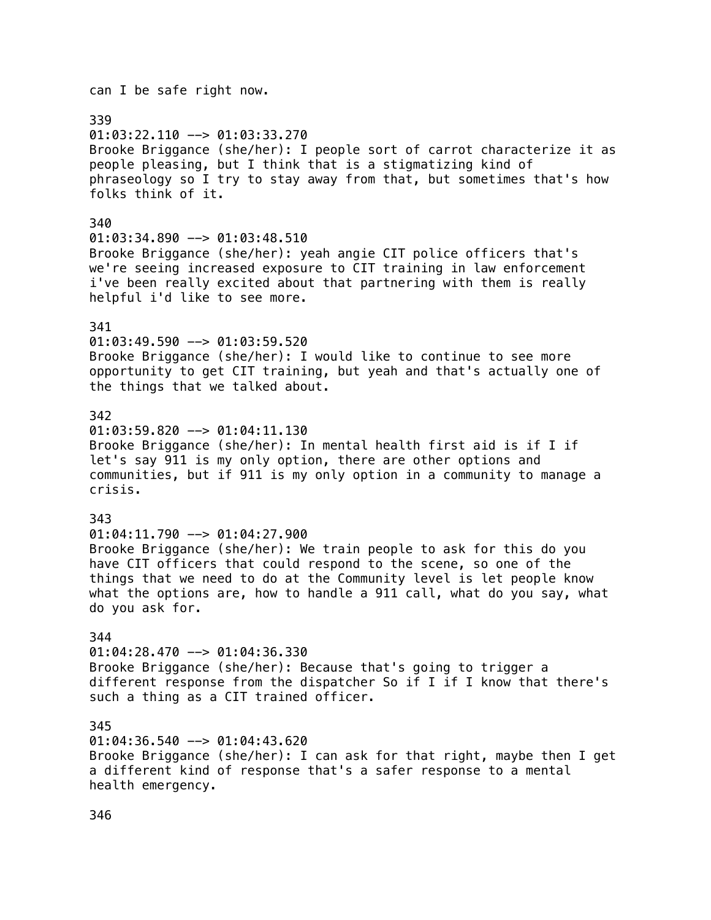## can I be safe right now. 339  $01:03:22.110$  -->  $01:03:33.270$ Brooke Briggance (she/her): I people sort of carrot characterize it as people pleasing, but I think that is a stigmatizing kind of phraseology so I try to stay away from that, but sometimes that's how folks think of it. 340  $01:03:34.890$  -->  $01:03:48.510$ Brooke Briggance (she/her): yeah angie CIT police officers that's we're seeing increased exposure to CIT training in law enforcement i've been really excited about that partnering with them is really helpful i'd like to see more. 341 01:03:49.590 --> 01:03:59.520 Brooke Briggance (she/her): I would like to continue to see more opportunity to get CIT training, but yeah and that's actually one of the things that we talked about. 342  $01:03:59.820$  -->  $01:04:11.130$ Brooke Briggance (she/her): In mental health first aid is if I if let's say 911 is my only option, there are other options and communities, but if 911 is my only option in a community to manage a crisis. 343 01:04:11.790 --> 01:04:27.900 Brooke Briggance (she/her): We train people to ask for this do you have CIT officers that could respond to the scene, so one of the things that we need to do at the Community level is let people know what the options are, how to handle a 911 call, what do you say, what do you ask for. 344  $01:04:28.470$  -->  $01:04:36.330$ Brooke Briggance (she/her): Because that's going to trigger a different response from the dispatcher So if I if I know that there's such a thing as a CIT trained officer. 345  $01:04:36.540$  -->  $01:04:43.620$ Brooke Briggance (she/her): I can ask for that right, maybe then I get a different kind of response that's a safer response to a mental health emergency.

346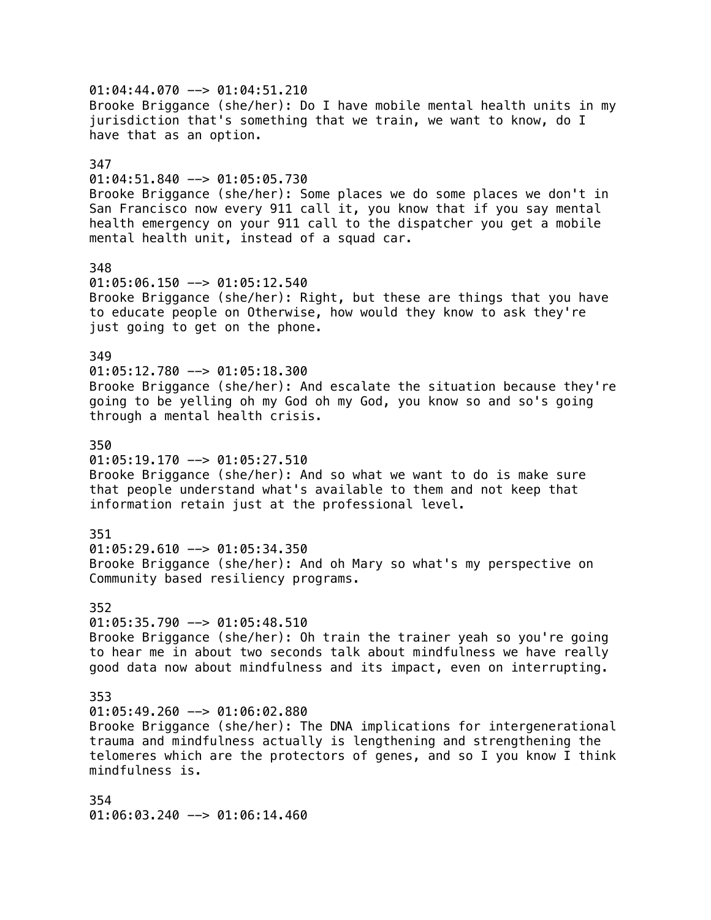$01:04:44.070$  -->  $01:04:51.210$ Brooke Briggance (she/her): Do I have mobile mental health units in my jurisdiction that's something that we train, we want to know, do I have that as an option. 347 01:04:51.840 --> 01:05:05.730 Brooke Briggance (she/her): Some places we do some places we don't in San Francisco now every 911 call it, you know that if you say mental health emergency on your 911 call to the dispatcher you get a mobile mental health unit, instead of a squad car. 348 01:05:06.150 --> 01:05:12.540 Brooke Briggance (she/her): Right, but these are things that you have to educate people on Otherwise, how would they know to ask they're just going to get on the phone. 349  $01:05:12.780$  -->  $01:05:18.300$ Brooke Briggance (she/her): And escalate the situation because they're going to be yelling oh my God oh my God, you know so and so's going through a mental health crisis. 350  $01:05:19.170$  -->  $01:05:27.510$ Brooke Briggance (she/her): And so what we want to do is make sure that people understand what's available to them and not keep that information retain just at the professional level. 351  $01:05:29.610$  -->  $01:05:34.350$ Brooke Briggance (she/her): And oh Mary so what's my perspective on Community based resiliency programs. 352  $01:05:35.790$  -->  $01:05:48.510$ Brooke Briggance (she/her): Oh train the trainer yeah so you're going to hear me in about two seconds talk about mindfulness we have really good data now about mindfulness and its impact, even on interrupting. 353  $01:05:49.260$  -->  $01:06:02.880$ Brooke Briggance (she/her): The DNA implications for intergenerational trauma and mindfulness actually is lengthening and strengthening the telomeres which are the protectors of genes, and so I you know I think mindfulness is. 354 01:06:03.240 --> 01:06:14.460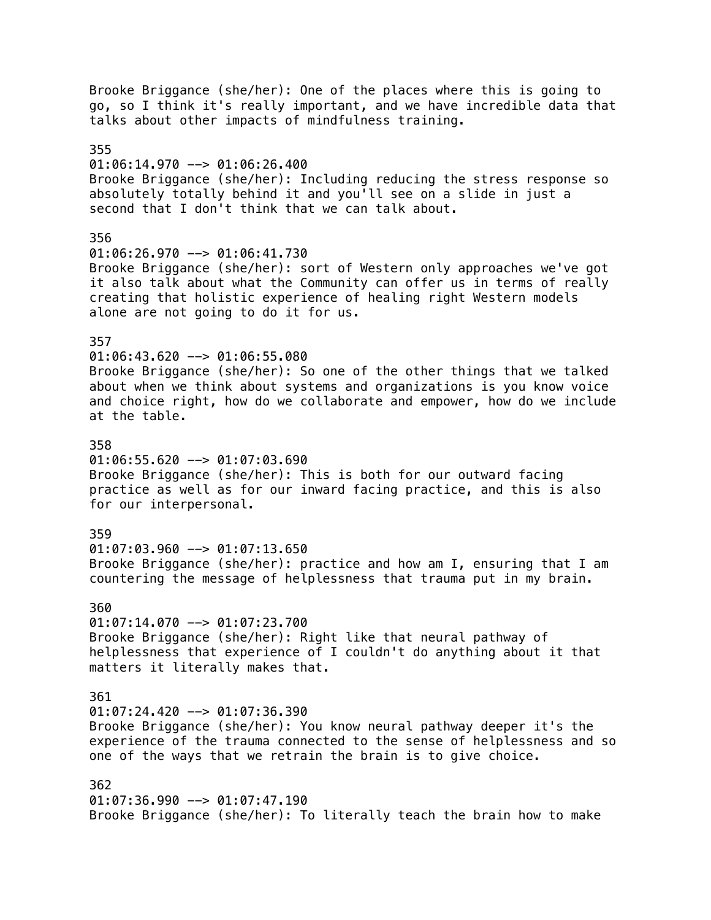Brooke Briggance (she/her): One of the places where this is going to go, so I think it's really important, and we have incredible data that talks about other impacts of mindfulness training. 355 01:06:14.970 --> 01:06:26.400 Brooke Briggance (she/her): Including reducing the stress response so absolutely totally behind it and you'll see on a slide in just a second that I don't think that we can talk about. 356 01:06:26.970 --> 01:06:41.730 Brooke Briggance (she/her): sort of Western only approaches we've got it also talk about what the Community can offer us in terms of really creating that holistic experience of healing right Western models alone are not going to do it for us. 357 01:06:43.620 --> 01:06:55.080 Brooke Briggance (she/her): So one of the other things that we talked about when we think about systems and organizations is you know voice and choice right, how do we collaborate and empower, how do we include at the table. 358  $01:06:55.620$  -->  $01:07:03.690$ Brooke Briggance (she/her): This is both for our outward facing practice as well as for our inward facing practice, and this is also for our interpersonal. 359  $01:07:03.960$  -->  $01:07:13.650$ Brooke Briggance (she/her): practice and how am I, ensuring that I am countering the message of helplessness that trauma put in my brain. 360  $01:07:14.070$  -->  $01:07:23.700$ Brooke Briggance (she/her): Right like that neural pathway of helplessness that experience of I couldn't do anything about it that matters it literally makes that. 361  $01:07:24.420$  -->  $01:07:36.390$ Brooke Briggance (she/her): You know neural pathway deeper it's the experience of the trauma connected to the sense of helplessness and so one of the ways that we retrain the brain is to give choice. 362  $01:07:36.990$  -->  $01:07:47.190$ Brooke Briggance (she/her): To literally teach the brain how to make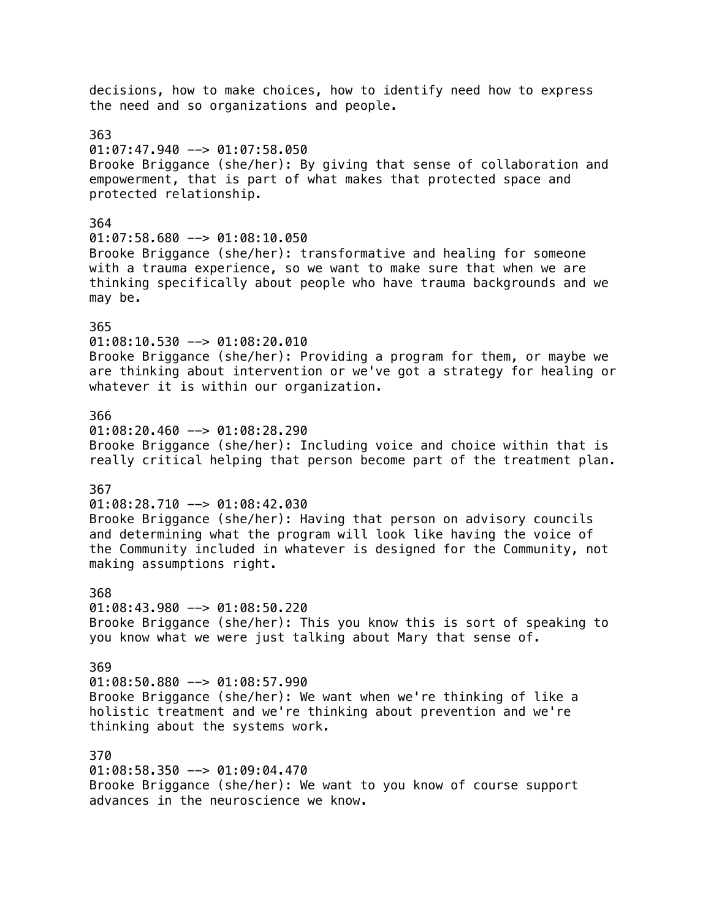decisions, how to make choices, how to identify need how to express the need and so organizations and people. 363  $01:07:47.940$  -->  $01:07:58.050$ Brooke Briggance (she/her): By giving that sense of collaboration and empowerment, that is part of what makes that protected space and protected relationship. 364  $01:07:58.680$  -->  $01:08:10.050$ Brooke Briggance (she/her): transformative and healing for someone with a trauma experience, so we want to make sure that when we are thinking specifically about people who have trauma backgrounds and we may be. 365 01:08:10.530 --> 01:08:20.010 Brooke Briggance (she/her): Providing a program for them, or maybe we are thinking about intervention or we've got a strategy for healing or whatever it is within our organization. 366  $01:08:20.460$  -->  $01:08:28.290$ Brooke Briggance (she/her): Including voice and choice within that is really critical helping that person become part of the treatment plan. 367 01:08:28.710 --> 01:08:42.030 Brooke Briggance (she/her): Having that person on advisory councils and determining what the program will look like having the voice of the Community included in whatever is designed for the Community, not making assumptions right. 368 01:08:43.980 --> 01:08:50.220 Brooke Briggance (she/her): This you know this is sort of speaking to you know what we were just talking about Mary that sense of. 369 01:08:50.880 --> 01:08:57.990 Brooke Briggance (she/her): We want when we're thinking of like a holistic treatment and we're thinking about prevention and we're thinking about the systems work. 370 01:08:58.350 --> 01:09:04.470 Brooke Briggance (she/her): We want to you know of course support advances in the neuroscience we know.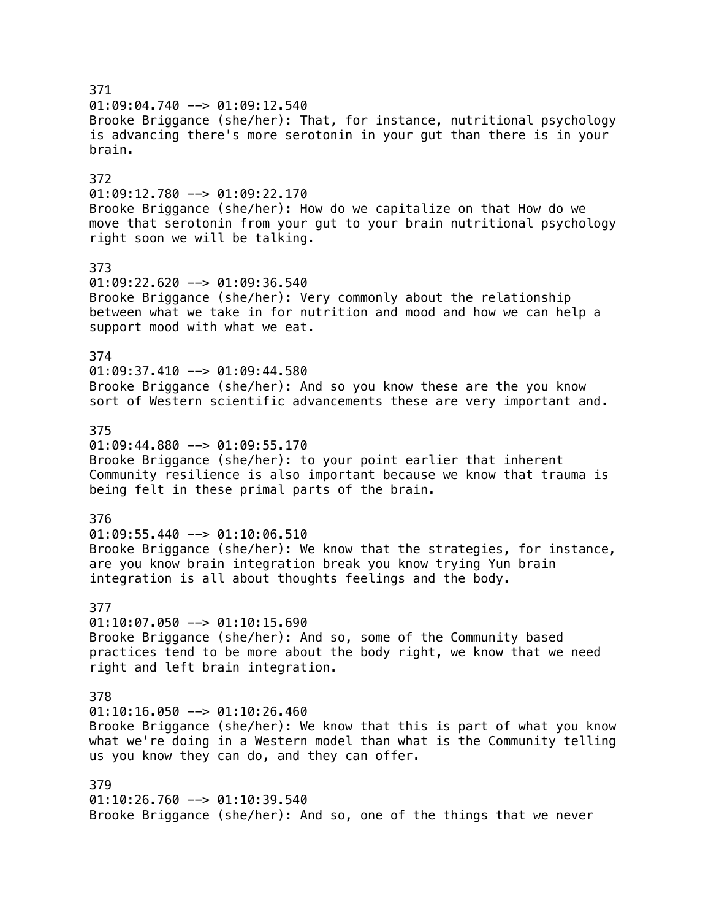371  $01:09:04.740$  -->  $01:09:12.540$ Brooke Briggance (she/her): That, for instance, nutritional psychology is advancing there's more serotonin in your gut than there is in your brain. 372 01:09:12.780 --> 01:09:22.170 Brooke Briggance (she/her): How do we capitalize on that How do we move that serotonin from your gut to your brain nutritional psychology right soon we will be talking. 373 01:09:22.620 --> 01:09:36.540 Brooke Briggance (she/her): Very commonly about the relationship between what we take in for nutrition and mood and how we can help a support mood with what we eat. 374  $01:09:37.410$  -->  $01:09:44.580$ Brooke Briggance (she/her): And so you know these are the you know sort of Western scientific advancements these are very important and. 375  $01:09:44.880$  -->  $01:09:55.170$ Brooke Briggance (she/her): to your point earlier that inherent Community resilience is also important because we know that trauma is being felt in these primal parts of the brain. 376 01:09:55.440 --> 01:10:06.510 Brooke Briggance (she/her): We know that the strategies, for instance, are you know brain integration break you know trying Yun brain integration is all about thoughts feelings and the body. 377  $01:10:07.050$  -->  $01:10:15.690$ Brooke Briggance (she/her): And so, some of the Community based practices tend to be more about the body right, we know that we need right and left brain integration. 378  $01:10:16.050$  -->  $01:10:26.460$ Brooke Briggance (she/her): We know that this is part of what you know what we're doing in a Western model than what is the Community telling us you know they can do, and they can offer. 379 01:10:26.760 --> 01:10:39.540 Brooke Briggance (she/her): And so, one of the things that we never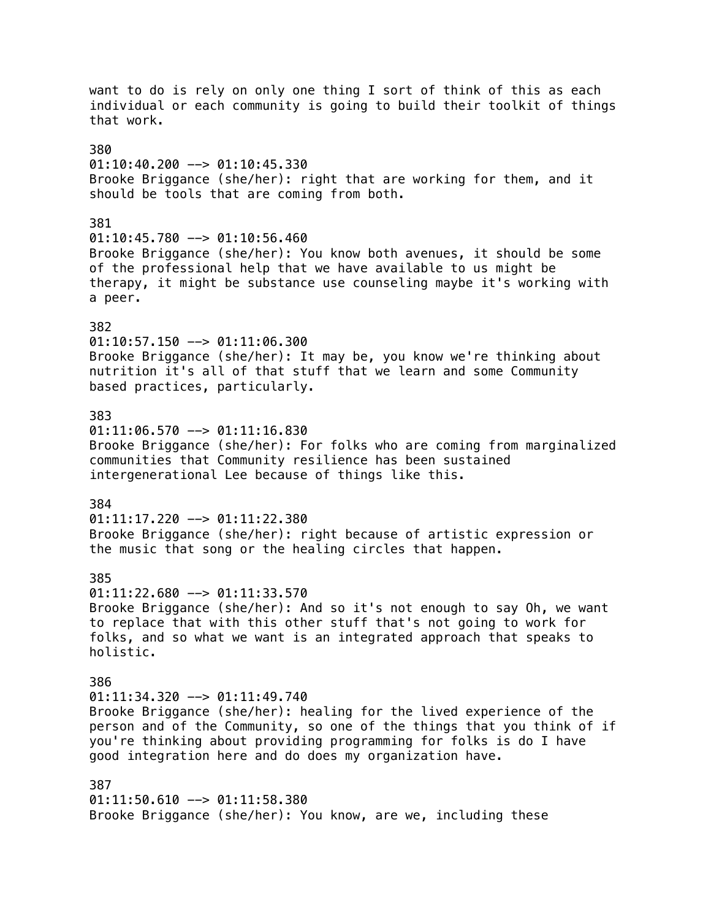want to do is rely on only one thing I sort of think of this as each individual or each community is going to build their toolkit of things that work. 380  $01:10:40.200$  -->  $01:10:45.330$ Brooke Briggance (she/her): right that are working for them, and it should be tools that are coming from both. 381  $01:10:45.780$  -->  $01:10:56.460$ Brooke Briggance (she/her): You know both avenues, it should be some of the professional help that we have available to us might be therapy, it might be substance use counseling maybe it's working with a peer. 382 01:10:57.150 --> 01:11:06.300 Brooke Briggance (she/her): It may be, you know we're thinking about nutrition it's all of that stuff that we learn and some Community based practices, particularly. 383  $01:11:06.570$  -->  $01:11:16.830$ Brooke Briggance (she/her): For folks who are coming from marginalized communities that Community resilience has been sustained intergenerational Lee because of things like this. 384  $01:11:17.220$  -->  $01:11:22.380$ Brooke Briggance (she/her): right because of artistic expression or the music that song or the healing circles that happen. 385  $01:11:22.680$  -->  $01:11:33.570$ Brooke Briggance (she/her): And so it's not enough to say Oh, we want to replace that with this other stuff that's not going to work for folks, and so what we want is an integrated approach that speaks to holistic. 386  $01:11:34.320$  -->  $01:11:49.740$ Brooke Briggance (she/her): healing for the lived experience of the person and of the Community, so one of the things that you think of if you're thinking about providing programming for folks is do I have good integration here and do does my organization have. 387 01:11:50.610 --> 01:11:58.380 Brooke Briggance (she/her): You know, are we, including these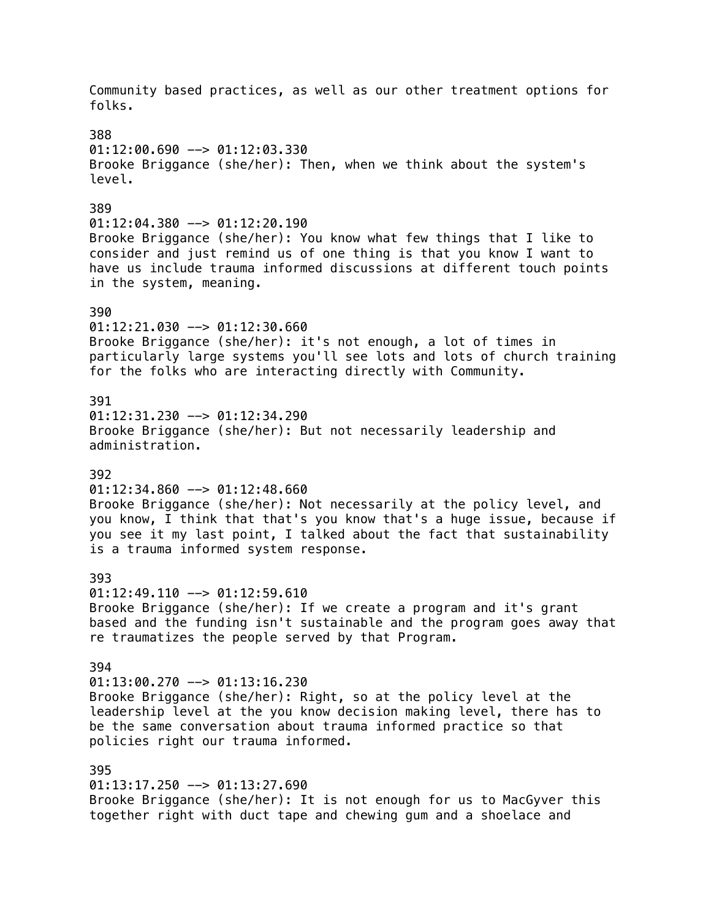Community based practices, as well as our other treatment options for folks. 388  $01:12:00.690$  -->  $01:12:03.330$ Brooke Briggance (she/her): Then, when we think about the system's level. 389  $01:12:04.380$  -->  $01:12:20.190$ Brooke Briggance (she/her): You know what few things that I like to consider and just remind us of one thing is that you know I want to have us include trauma informed discussions at different touch points in the system, meaning. 390  $01:12:21.030$  -->  $01:12:30.660$ Brooke Briggance (she/her): it's not enough, a lot of times in particularly large systems you'll see lots and lots of church training for the folks who are interacting directly with Community. 391 01:12:31.230 --> 01:12:34.290 Brooke Briggance (she/her): But not necessarily leadership and administration. 392  $01:12:34.860$  -->  $01:12:48.660$ Brooke Briggance (she/her): Not necessarily at the policy level, and you know, I think that that's you know that's a huge issue, because if you see it my last point, I talked about the fact that sustainability is a trauma informed system response. 393  $01:12:49.110$  -->  $01:12:59.610$ Brooke Briggance (she/her): If we create a program and it's grant based and the funding isn't sustainable and the program goes away that re traumatizes the people served by that Program. 394 01:13:00.270 --> 01:13:16.230 Brooke Briggance (she/her): Right, so at the policy level at the leadership level at the you know decision making level, there has to be the same conversation about trauma informed practice so that policies right our trauma informed. 395 01:13:17.250 --> 01:13:27.690 Brooke Briggance (she/her): It is not enough for us to MacGyver this together right with duct tape and chewing gum and a shoelace and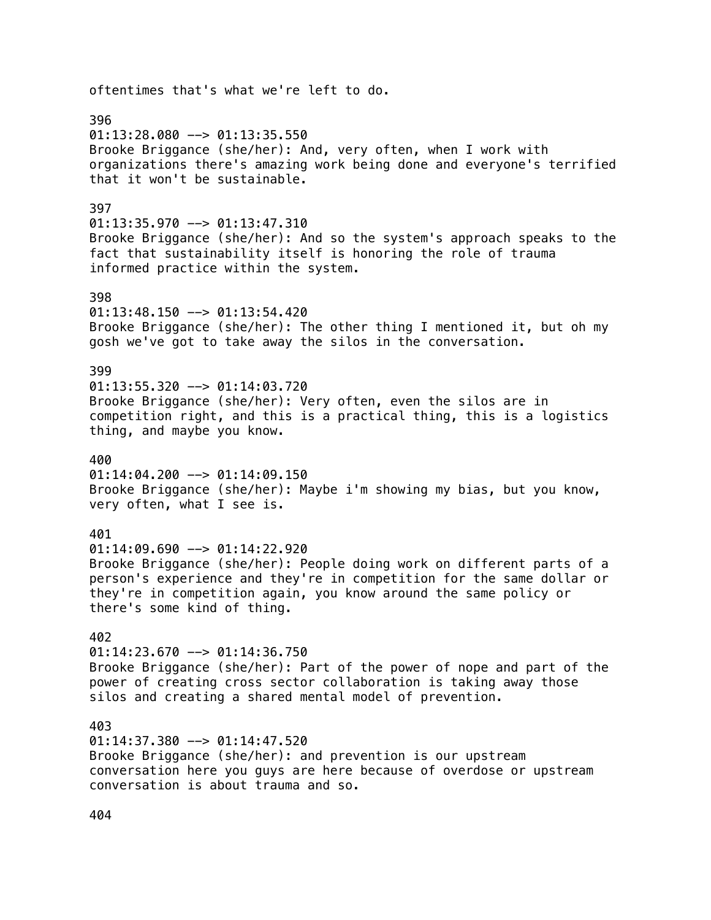# oftentimes that's what we're left to do. 396  $01:13:28.080$  -->  $01:13:35.550$ Brooke Briggance (she/her): And, very often, when I work with organizations there's amazing work being done and everyone's terrified that it won't be sustainable. 397  $01:13:35.970$  -->  $01:13:47.310$ Brooke Briggance (she/her): And so the system's approach speaks to the fact that sustainability itself is honoring the role of trauma informed practice within the system. 398 01:13:48.150 --> 01:13:54.420 Brooke Briggance (she/her): The other thing I mentioned it, but oh my gosh we've got to take away the silos in the conversation. 399  $01:13:55.320$  -->  $01:14:03.720$ Brooke Briggance (she/her): Very often, even the silos are in competition right, and this is a practical thing, this is a logistics thing, and maybe you know. 400  $01:14:04.200$  -->  $01:14:09.150$ Brooke Briggance (she/her): Maybe i'm showing my bias, but you know, very often, what I see is. 401  $01:14:09.690$  -->  $01:14:22.920$ Brooke Briggance (she/her): People doing work on different parts of a person's experience and they're in competition for the same dollar or they're in competition again, you know around the same policy or there's some kind of thing. 402  $01:14:23.670$  -->  $01:14:36.750$ Brooke Briggance (she/her): Part of the power of nope and part of the power of creating cross sector collaboration is taking away those silos and creating a shared mental model of prevention. 403  $01:14:37.380$  -->  $01:14:47.520$ Brooke Briggance (she/her): and prevention is our upstream conversation here you guys are here because of overdose or upstream conversation is about trauma and so.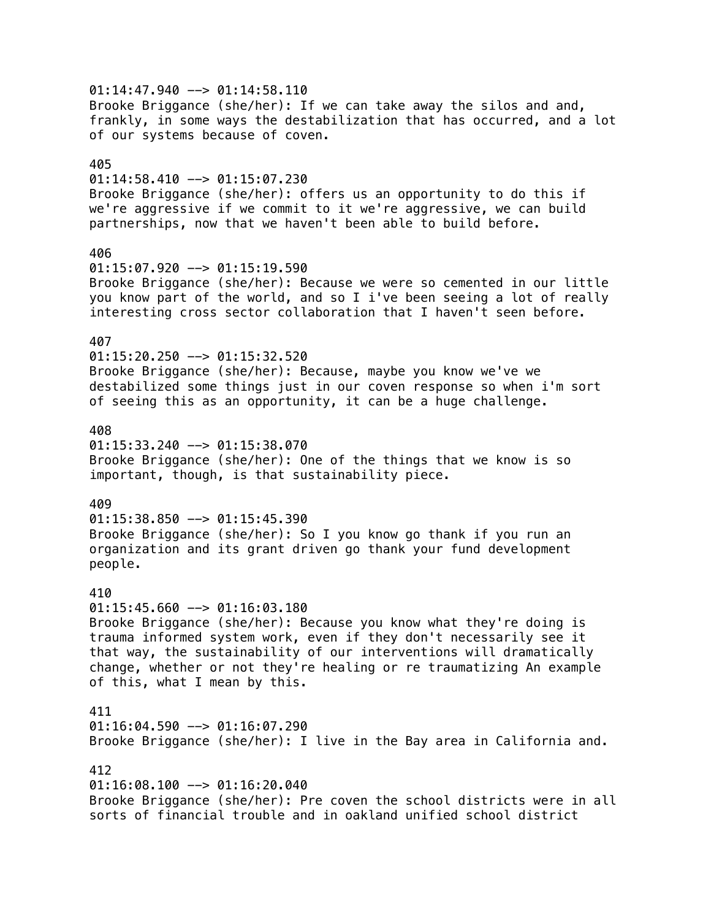$01:14:47.940$  -->  $01:14:58.110$ Brooke Briggance (she/her): If we can take away the silos and and, frankly, in some ways the destabilization that has occurred, and a lot of our systems because of coven. 405  $01:14:58.410$  -->  $01:15:07.230$ Brooke Briggance (she/her): offers us an opportunity to do this if we're aggressive if we commit to it we're aggressive, we can build partnerships, now that we haven't been able to build before. 406  $01:15:07.920$  -->  $01:15:19.590$ Brooke Briggance (she/her): Because we were so cemented in our little you know part of the world, and so I i've been seeing a lot of really interesting cross sector collaboration that I haven't seen before. 407 01:15:20.250 --> 01:15:32.520 Brooke Briggance (she/her): Because, maybe you know we've we destabilized some things just in our coven response so when i'm sort of seeing this as an opportunity, it can be a huge challenge. 408  $01:15:33.240$  -->  $01:15:38.070$ Brooke Briggance (she/her): One of the things that we know is so important, though, is that sustainability piece. 409  $01:15:38.850$  -->  $01:15:45.390$ Brooke Briggance (she/her): So I you know go thank if you run an organization and its grant driven go thank your fund development people. 410  $01:15:45.660$  -->  $01:16:03.180$ Brooke Briggance (she/her): Because you know what they're doing is trauma informed system work, even if they don't necessarily see it that way, the sustainability of our interventions will dramatically change, whether or not they're healing or re traumatizing An example of this, what I mean by this. 411 01:16:04.590 --> 01:16:07.290 Brooke Briggance (she/her): I live in the Bay area in California and. 412 01:16:08.100 --> 01:16:20.040 Brooke Briggance (she/her): Pre coven the school districts were in all sorts of financial trouble and in oakland unified school district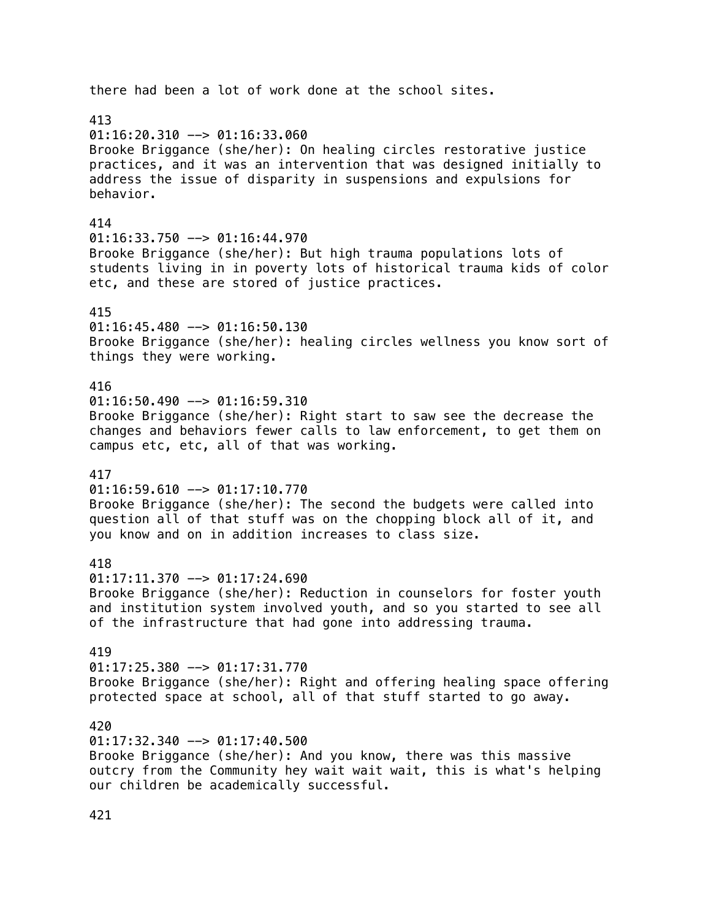# there had been a lot of work done at the school sites. 413  $01:16:20.310$  -->  $01:16:33.060$ Brooke Briggance (she/her): On healing circles restorative justice practices, and it was an intervention that was designed initially to address the issue of disparity in suspensions and expulsions for behavior. 414  $01:16:33.750$  -->  $01:16:44.970$ Brooke Briggance (she/her): But high trauma populations lots of students living in in poverty lots of historical trauma kids of color etc, and these are stored of justice practices. 415  $01:16:45.480$  -->  $01:16:50.130$ Brooke Briggance (she/her): healing circles wellness you know sort of things they were working. 416  $01:16:50.490$  -->  $01:16:59.310$ Brooke Briggance (she/her): Right start to saw see the decrease the changes and behaviors fewer calls to law enforcement, to get them on campus etc, etc, all of that was working. 417  $01:16:59.610$  -->  $01:17:10.770$ Brooke Briggance (she/her): The second the budgets were called into question all of that stuff was on the chopping block all of it, and you know and on in addition increases to class size. 418  $01:17:11.370$  -->  $01:17:24.690$ Brooke Briggance (she/her): Reduction in counselors for foster youth and institution system involved youth, and so you started to see all of the infrastructure that had gone into addressing trauma. 419 01:17:25.380 --> 01:17:31.770 Brooke Briggance (she/her): Right and offering healing space offering protected space at school, all of that stuff started to go away. 420  $01:17:32.340$  -->  $01:17:40.500$ Brooke Briggance (she/her): And you know, there was this massive outcry from the Community hey wait wait wait, this is what's helping our children be academically successful.

421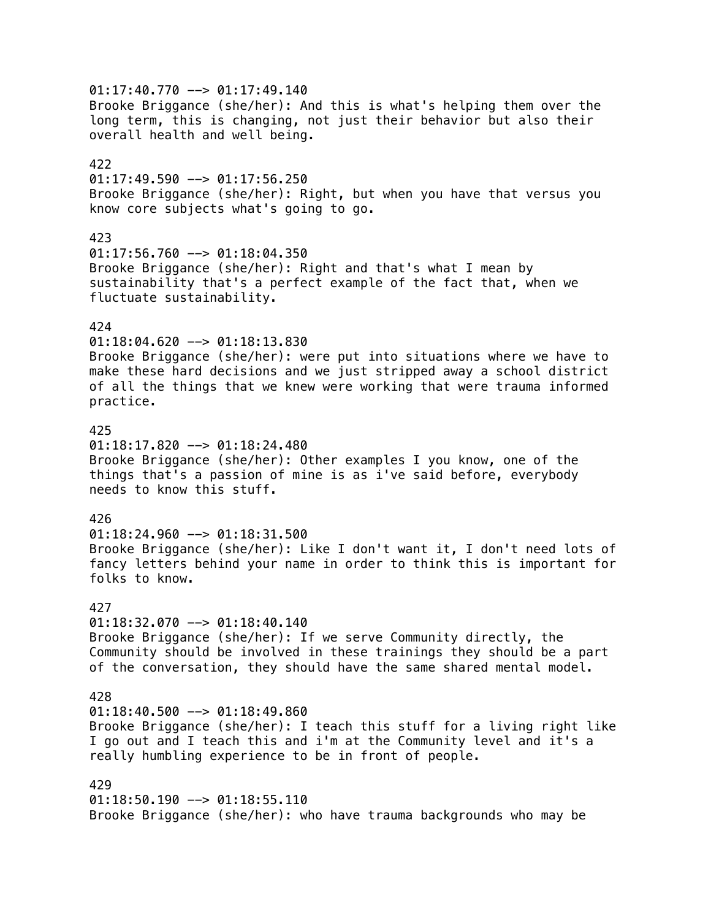$01:17:40.770$  -->  $01:17:49.140$ Brooke Briggance (she/her): And this is what's helping them over the long term, this is changing, not just their behavior but also their overall health and well being. 422  $01:17:49.590$  -->  $01:17:56.250$ Brooke Briggance (she/her): Right, but when you have that versus you know core subjects what's going to go. 423 01:17:56.760 --> 01:18:04.350 Brooke Briggance (she/her): Right and that's what I mean by sustainability that's a perfect example of the fact that, when we fluctuate sustainability. 424 01:18:04.620 --> 01:18:13.830 Brooke Briggance (she/her): were put into situations where we have to make these hard decisions and we just stripped away a school district of all the things that we knew were working that were trauma informed practice. 425  $01:18:17.820$  -->  $01:18:24.480$ Brooke Briggance (she/her): Other examples I you know, one of the things that's a passion of mine is as i've said before, everybody needs to know this stuff. 426 01:18:24.960 --> 01:18:31.500 Brooke Briggance (she/her): Like I don't want it, I don't need lots of fancy letters behind your name in order to think this is important for folks to know. 427  $01:18:32.070$  -->  $01:18:40.140$ Brooke Briggance (she/her): If we serve Community directly, the Community should be involved in these trainings they should be a part of the conversation, they should have the same shared mental model. 428  $01:18:40.500$  -->  $01:18:49.860$ Brooke Briggance (she/her): I teach this stuff for a living right like I go out and I teach this and i'm at the Community level and it's a really humbling experience to be in front of people. 429 01:18:50.190 --> 01:18:55.110 Brooke Briggance (she/her): who have trauma backgrounds who may be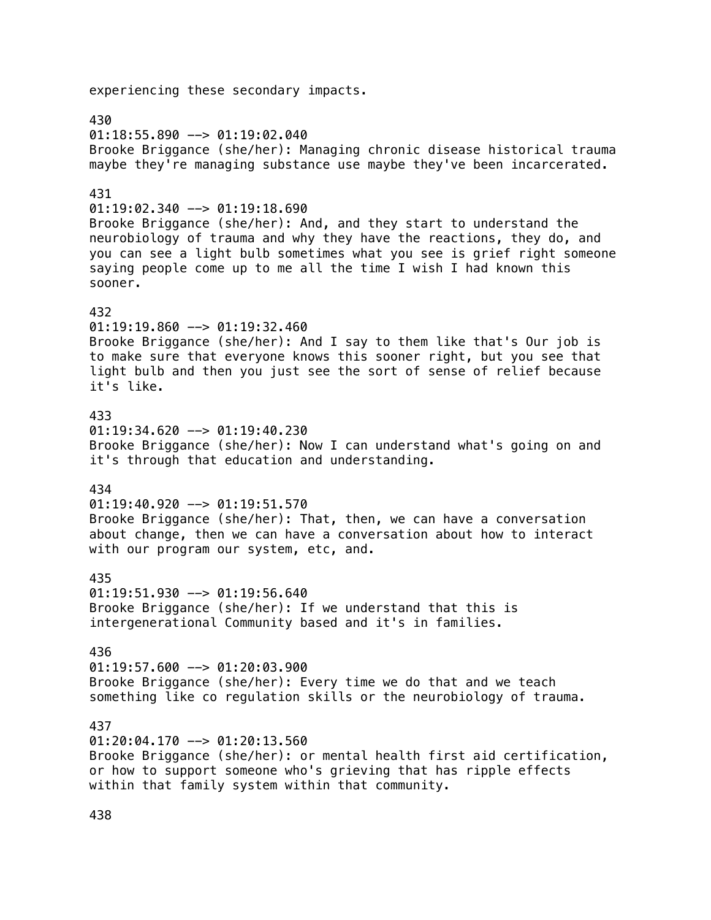experiencing these secondary impacts. 430  $01:18:55.890$  -->  $01:19:02.040$ Brooke Briggance (she/her): Managing chronic disease historical trauma maybe they're managing substance use maybe they've been incarcerated. 431  $01:19:02.340$  -->  $01:19:18.690$ Brooke Briggance (she/her): And, and they start to understand the neurobiology of trauma and why they have the reactions, they do, and you can see a light bulb sometimes what you see is grief right someone saying people come up to me all the time I wish I had known this sooner. 432 01:19:19.860 --> 01:19:32.460 Brooke Briggance (she/her): And I say to them like that's Our job is to make sure that everyone knows this sooner right, but you see that light bulb and then you just see the sort of sense of relief because it's like. 433  $01:19:34.620$  -->  $01:19:40.230$ Brooke Briggance (she/her): Now I can understand what's going on and it's through that education and understanding. 434  $01:19:40.920$  -->  $01:19:51.570$ Brooke Briggance (she/her): That, then, we can have a conversation about change, then we can have a conversation about how to interact with our program our system, etc, and. 435  $01:19:51.930$  -->  $01:19:56.640$ Brooke Briggance (she/her): If we understand that this is intergenerational Community based and it's in families. 436  $01:19:57.600$  -->  $01:20:03.900$ Brooke Briggance (she/her): Every time we do that and we teach something like co regulation skills or the neurobiology of trauma. 437  $01:20:04.170$  -->  $01:20:13.560$ Brooke Briggance (she/her): or mental health first aid certification, or how to support someone who's grieving that has ripple effects within that family system within that community.

438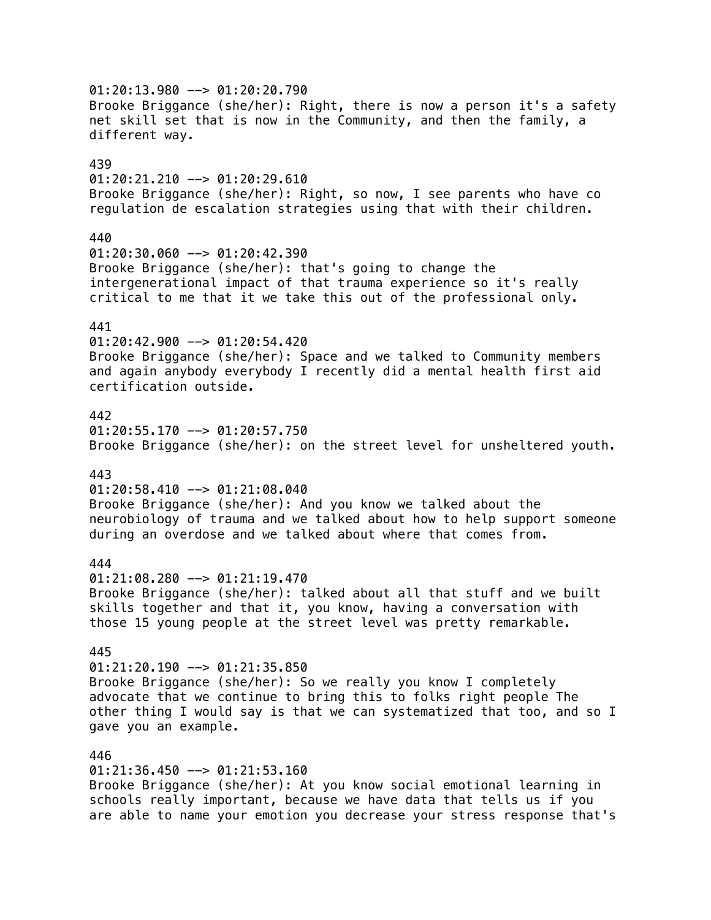$01:20:13.980$  -->  $01:20:20.790$ Brooke Briggance (she/her): Right, there is now a person it's a safety net skill set that is now in the Community, and then the family, a different way. 439  $01:20:21.210$  -->  $01:20:29.610$ Brooke Briggance (she/her): Right, so now, I see parents who have co regulation de escalation strategies using that with their children. 440 01:20:30.060 --> 01:20:42.390 Brooke Briggance (she/her): that's going to change the intergenerational impact of that trauma experience so it's really critical to me that it we take this out of the professional only. 441 01:20:42.900 --> 01:20:54.420 Brooke Briggance (she/her): Space and we talked to Community members and again anybody everybody I recently did a mental health first aid certification outside. 442  $01:20:55.170$  -->  $01:20:57.750$ Brooke Briggance (she/her): on the street level for unsheltered youth. 443  $01:20:58.410$  -->  $01:21:08.040$ Brooke Briggance (she/her): And you know we talked about the neurobiology of trauma and we talked about how to help support someone during an overdose and we talked about where that comes from. 444 01:21:08.280 --> 01:21:19.470 Brooke Briggance (she/her): talked about all that stuff and we built skills together and that it, you know, having a conversation with those 15 young people at the street level was pretty remarkable. 445  $01:21:20.190$  -->  $01:21:35.850$ Brooke Briggance (she/her): So we really you know I completely advocate that we continue to bring this to folks right people The other thing I would say is that we can systematized that too, and so I gave you an example. 446  $01:21:36.450$  -->  $01:21:53.160$ Brooke Briggance (she/her): At you know social emotional learning in schools really important, because we have data that tells us if you are able to name your emotion you decrease your stress response that's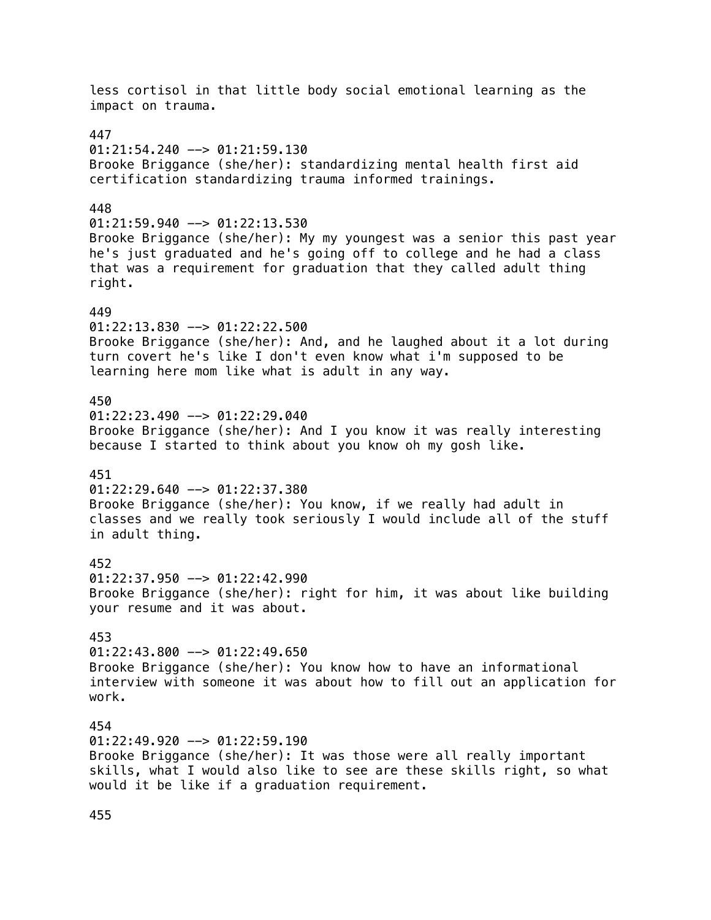less cortisol in that little body social emotional learning as the impact on trauma. 447  $01:21:54.240$  -->  $01:21:59.130$ Brooke Briggance (she/her): standardizing mental health first aid certification standardizing trauma informed trainings. 448  $01:21:59.940$  -->  $01:22:13.530$ Brooke Briggance (she/her): My my youngest was a senior this past year he's just graduated and he's going off to college and he had a class that was a requirement for graduation that they called adult thing right. 449 01:22:13.830 --> 01:22:22.500 Brooke Briggance (she/her): And, and he laughed about it a lot during turn covert he's like I don't even know what i'm supposed to be learning here mom like what is adult in any way. 450  $01:22:23.490$  -->  $01:22:29.040$ Brooke Briggance (she/her): And I you know it was really interesting because I started to think about you know oh my gosh like. 451  $01:22:29.640$  -->  $01:22:37.380$ Brooke Briggance (she/her): You know, if we really had adult in classes and we really took seriously I would include all of the stuff in adult thing. 452  $01:22:37.950$  -->  $01:22:42.990$ Brooke Briggance (she/her): right for him, it was about like building your resume and it was about. 453  $01:22:43.800$  -->  $01:22:49.650$ Brooke Briggance (she/her): You know how to have an informational interview with someone it was about how to fill out an application for work. 454  $01:22:49.920$  -->  $01:22:59.190$ Brooke Briggance (she/her): It was those were all really important skills, what I would also like to see are these skills right, so what would it be like if a graduation requirement.

455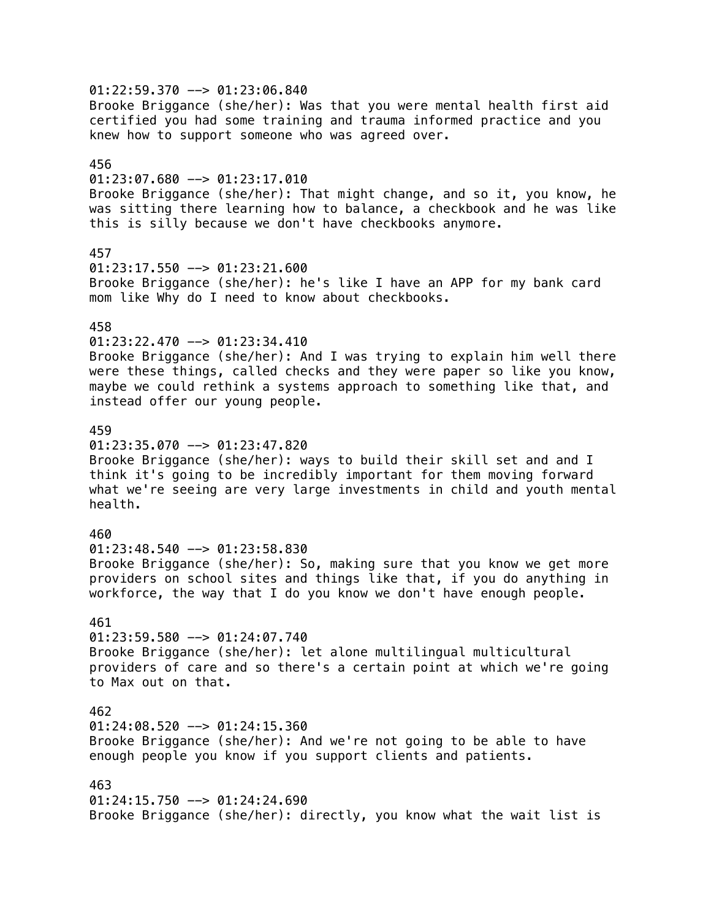$01:22:59.370$  -->  $01:23:06.840$ Brooke Briggance (she/her): Was that you were mental health first aid certified you had some training and trauma informed practice and you knew how to support someone who was agreed over. 456  $01:23:07.680$  -->  $01:23:17.010$ Brooke Briggance (she/her): That might change, and so it, you know, he was sitting there learning how to balance, a checkbook and he was like this is silly because we don't have checkbooks anymore. 457 01:23:17.550 --> 01:23:21.600 Brooke Briggance (she/her): he's like I have an APP for my bank card mom like Why do I need to know about checkbooks. 458 01:23:22.470 --> 01:23:34.410 Brooke Briggance (she/her): And I was trying to explain him well there were these things, called checks and they were paper so like you know, maybe we could rethink a systems approach to something like that, and instead offer our young people. 459  $01:23:35.070$  -->  $01:23:47.820$ Brooke Briggance (she/her): ways to build their skill set and and I think it's going to be incredibly important for them moving forward what we're seeing are very large investments in child and youth mental health. 460 01:23:48.540 --> 01:23:58.830 Brooke Briggance (she/her): So, making sure that you know we get more providers on school sites and things like that, if you do anything in workforce, the way that I do you know we don't have enough people. 461 01:23:59.580 --> 01:24:07.740 Brooke Briggance (she/her): let alone multilingual multicultural providers of care and so there's a certain point at which we're going to Max out on that. 462  $01:24:08.520$  -->  $01:24:15.360$ Brooke Briggance (she/her): And we're not going to be able to have enough people you know if you support clients and patients. 463  $01:24:15.750$  -->  $01:24:24.690$ Brooke Briggance (she/her): directly, you know what the wait list is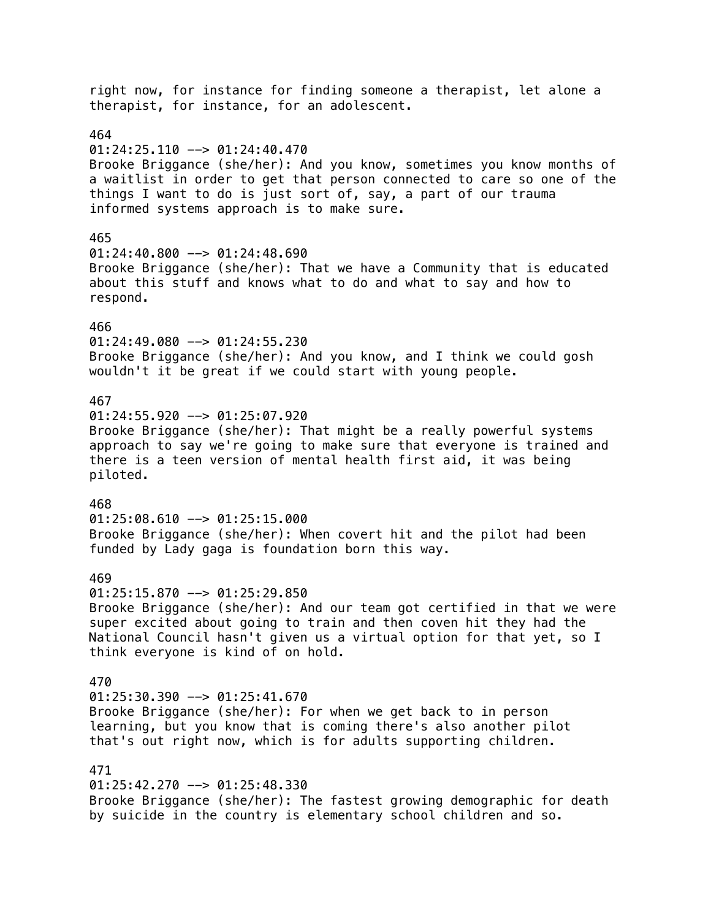right now, for instance for finding someone a therapist, let alone a therapist, for instance, for an adolescent. 464  $01:24:25.110$  -->  $01:24:40.470$ Brooke Briggance (she/her): And you know, sometimes you know months of a waitlist in order to get that person connected to care so one of the things I want to do is just sort of, say, a part of our trauma informed systems approach is to make sure. 465  $01:24:40.800$  -->  $01:24:48.690$ Brooke Briggance (she/her): That we have a Community that is educated about this stuff and knows what to do and what to say and how to respond. 466 01:24:49.080 --> 01:24:55.230 Brooke Briggance (she/her): And you know, and I think we could gosh wouldn't it be great if we could start with young people. 467  $01:24:55.920$  -->  $01:25:07.920$ Brooke Briggance (she/her): That might be a really powerful systems approach to say we're going to make sure that everyone is trained and there is a teen version of mental health first aid, it was being piloted. 468  $01:25:08.610$  -->  $01:25:15.000$ Brooke Briggance (she/her): When covert hit and the pilot had been funded by Lady gaga is foundation born this way. 469  $01:25:15.870$  -->  $01:25:29.850$ Brooke Briggance (she/her): And our team got certified in that we were super excited about going to train and then coven hit they had the National Council hasn't given us a virtual option for that yet, so I think everyone is kind of on hold. 470  $01:25:30.390$  -->  $01:25:41.670$ Brooke Briggance (she/her): For when we get back to in person learning, but you know that is coming there's also another pilot that's out right now, which is for adults supporting children. 471 01:25:42.270 --> 01:25:48.330 Brooke Briggance (she/her): The fastest growing demographic for death by suicide in the country is elementary school children and so.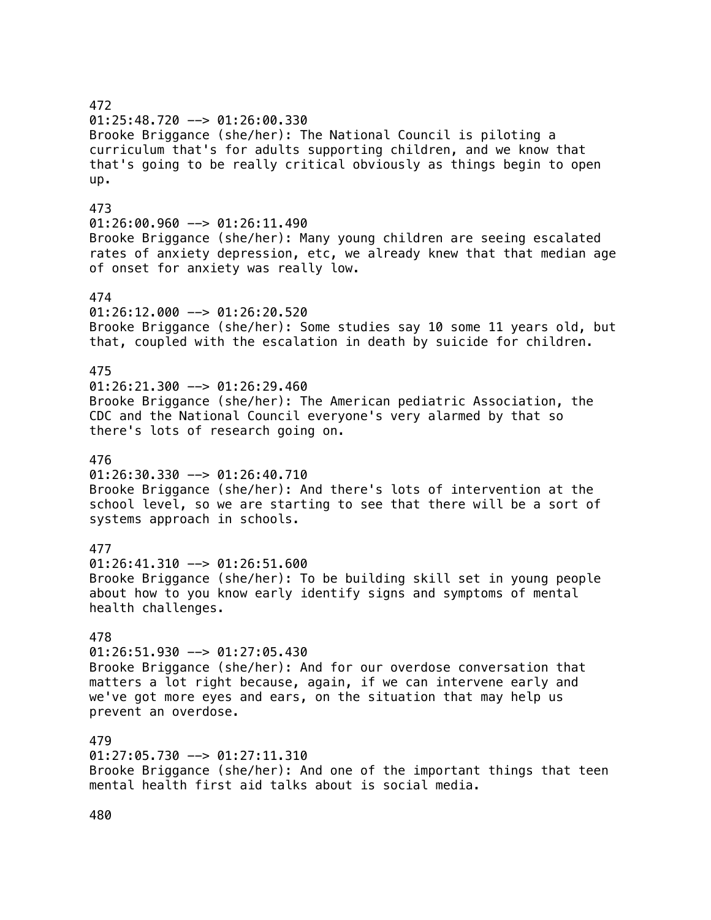# 472 01:25:48.720 --> 01:26:00.330 Brooke Briggance (she/her): The National Council is piloting a curriculum that's for adults supporting children, and we know that that's going to be really critical obviously as things begin to open up. 473  $01:26:00.960$  -->  $01:26:11.490$ Brooke Briggance (she/her): Many young children are seeing escalated rates of anxiety depression, etc, we already knew that that median age of onset for anxiety was really low. 474 01:26:12.000 --> 01:26:20.520 Brooke Briggance (she/her): Some studies say 10 some 11 years old, but that, coupled with the escalation in death by suicide for children. 475  $01:26:21.300$  -->  $01:26:29.460$ Brooke Briggance (she/her): The American pediatric Association, the CDC and the National Council everyone's very alarmed by that so there's lots of research going on. 476  $01:26:30.330$  -->  $01:26:40.710$ Brooke Briggance (she/her): And there's lots of intervention at the school level, so we are starting to see that there will be a sort of systems approach in schools. 477  $01:26:41.310$  -->  $01:26:51.600$ Brooke Briggance (she/her): To be building skill set in young people about how to you know early identify signs and symptoms of mental health challenges. 478  $01:26:51.930$  -->  $01:27:05.430$ Brooke Briggance (she/her): And for our overdose conversation that matters a lot right because, again, if we can intervene early and we've got more eyes and ears, on the situation that may help us prevent an overdose. 479 01:27:05.730 --> 01:27:11.310 Brooke Briggance (she/her): And one of the important things that teen mental health first aid talks about is social media.

480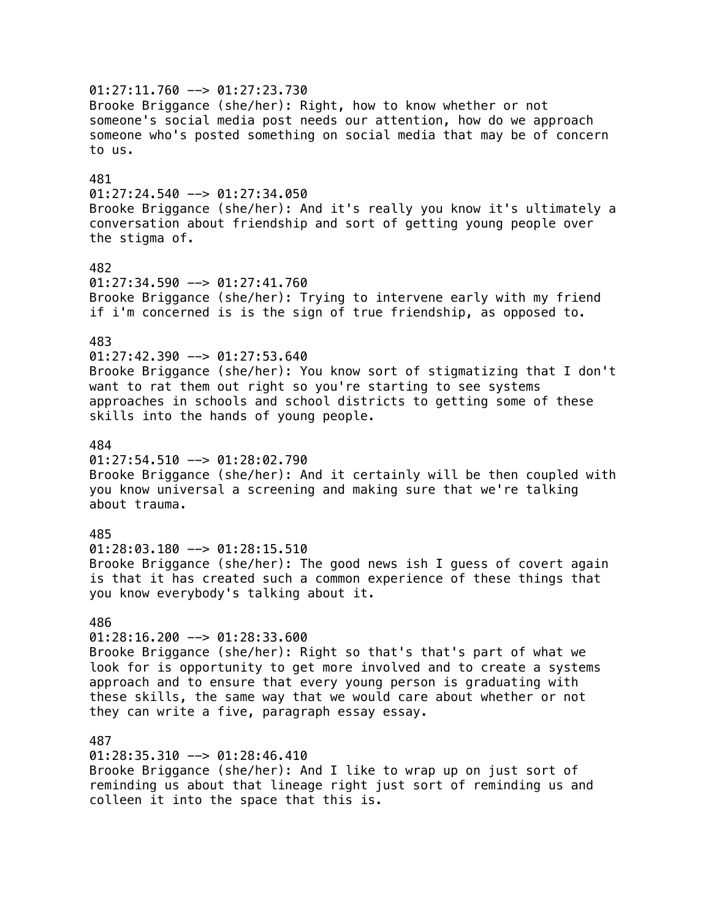01:27:11.760 --> 01:27:23.730 Brooke Briggance (she/her): Right, how to know whether or not someone's social media post needs our attention, how do we approach someone who's posted something on social media that may be of concern to us. 481  $01:27:24.540$  -->  $01:27:34.050$ Brooke Briggance (she/her): And it's really you know it's ultimately a conversation about friendship and sort of getting young people over the stigma of. 482 01:27:34.590 --> 01:27:41.760 Brooke Briggance (she/her): Trying to intervene early with my friend if i'm concerned is is the sign of true friendship, as opposed to. 483 01:27:42.390 --> 01:27:53.640 Brooke Briggance (she/her): You know sort of stigmatizing that I don't want to rat them out right so you're starting to see systems approaches in schools and school districts to getting some of these skills into the hands of young people. 484  $01:27:54.510$  -->  $01:28:02.790$ Brooke Briggance (she/her): And it certainly will be then coupled with you know universal a screening and making sure that we're talking about trauma. 485  $01:28:03.180$  -->  $01:28:15.510$ Brooke Briggance (she/her): The good news ish I guess of covert again is that it has created such a common experience of these things that you know everybody's talking about it. 486  $01:28:16.200$  -->  $01:28:33.600$ Brooke Briggance (she/her): Right so that's that's part of what we look for is opportunity to get more involved and to create a systems approach and to ensure that every young person is graduating with these skills, the same way that we would care about whether or not they can write a five, paragraph essay essay. 487 01:28:35.310 --> 01:28:46.410 Brooke Briggance (she/her): And I like to wrap up on just sort of reminding us about that lineage right just sort of reminding us and colleen it into the space that this is.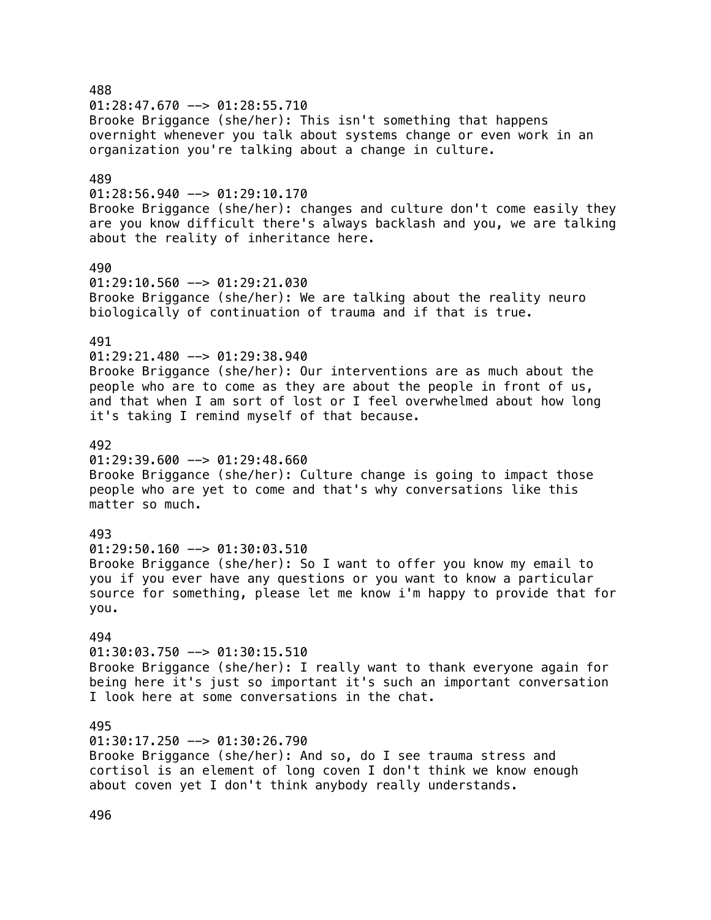488  $01:28:47.670$  -->  $01:28:55.710$ Brooke Briggance (she/her): This isn't something that happens overnight whenever you talk about systems change or even work in an organization you're talking about a change in culture. 489  $01:28:56.940$  -->  $01:29:10.170$ Brooke Briggance (she/her): changes and culture don't come easily they are you know difficult there's always backlash and you, we are talking about the reality of inheritance here. 490 01:29:10.560 --> 01:29:21.030 Brooke Briggance (she/her): We are talking about the reality neuro biologically of continuation of trauma and if that is true. 491 01:29:21.480 --> 01:29:38.940 Brooke Briggance (she/her): Our interventions are as much about the people who are to come as they are about the people in front of us, and that when I am sort of lost or I feel overwhelmed about how long it's taking I remind myself of that because. 492  $01:29:39.600$  -->  $01:29:48.660$ Brooke Briggance (she/her): Culture change is going to impact those people who are yet to come and that's why conversations like this matter so much. 493  $01:29:50.160$  -->  $01:30:03.510$ Brooke Briggance (she/her): So I want to offer you know my email to you if you ever have any questions or you want to know a particular source for something, please let me know i'm happy to provide that for you. 494  $01:30:03.750$  -->  $01:30:15.510$ Brooke Briggance (she/her): I really want to thank everyone again for being here it's just so important it's such an important conversation I look here at some conversations in the chat. 495  $01:30:17.250$  -->  $01:30:26.790$ Brooke Briggance (she/her): And so, do I see trauma stress and cortisol is an element of long coven I don't think we know enough about coven yet I don't think anybody really understands.

496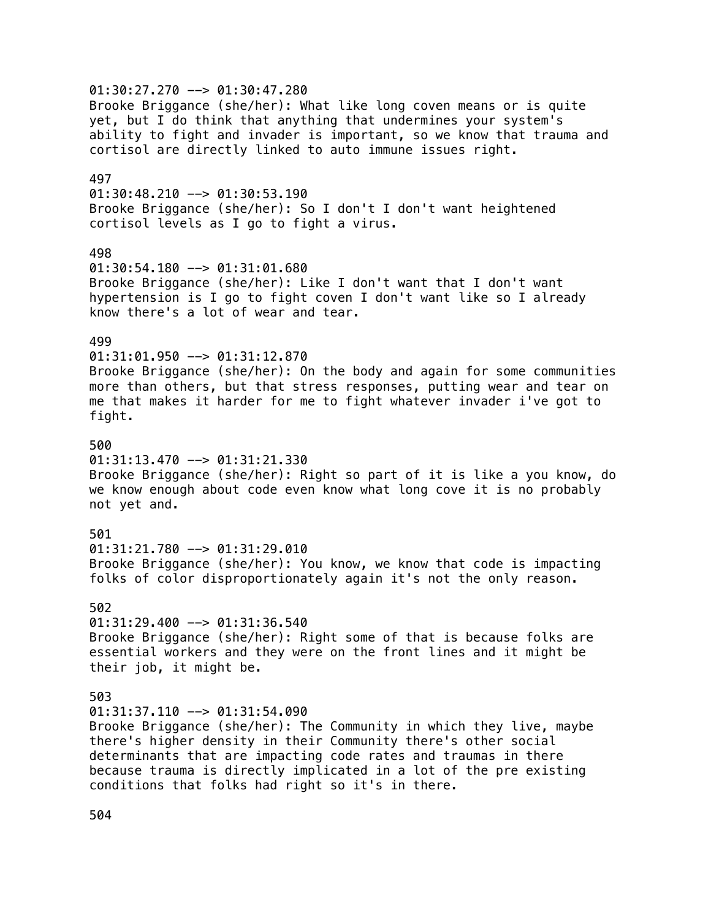$01:30:27.270$  -->  $01:30:47.280$ Brooke Briggance (she/her): What like long coven means or is quite yet, but I do think that anything that undermines your system's ability to fight and invader is important, so we know that trauma and cortisol are directly linked to auto immune issues right. 497  $01:30:48.210$  -->  $01:30:53.190$ Brooke Briggance (she/her): So I don't I don't want heightened cortisol levels as I go to fight a virus. 498 01:30:54.180 --> 01:31:01.680 Brooke Briggance (she/her): Like I don't want that I don't want hypertension is I go to fight coven I don't want like so I already know there's a lot of wear and tear. 499 01:31:01.950 --> 01:31:12.870 Brooke Briggance (she/her): On the body and again for some communities more than others, but that stress responses, putting wear and tear on me that makes it harder for me to fight whatever invader i've got to fight. 500  $01:31:13.470$  -->  $01:31:21.330$ Brooke Briggance (she/her): Right so part of it is like a you know, do we know enough about code even know what long cove it is no probably not yet and. 501 01:31:21.780 --> 01:31:29.010 Brooke Briggance (she/her): You know, we know that code is impacting folks of color disproportionately again it's not the only reason. 502  $01:31:29.400$  -->  $01:31:36.540$ Brooke Briggance (she/her): Right some of that is because folks are essential workers and they were on the front lines and it might be their job, it might be. 503 01:31:37.110 --> 01:31:54.090 Brooke Briggance (she/her): The Community in which they live, maybe there's higher density in their Community there's other social determinants that are impacting code rates and traumas in there because trauma is directly implicated in a lot of the pre existing conditions that folks had right so it's in there.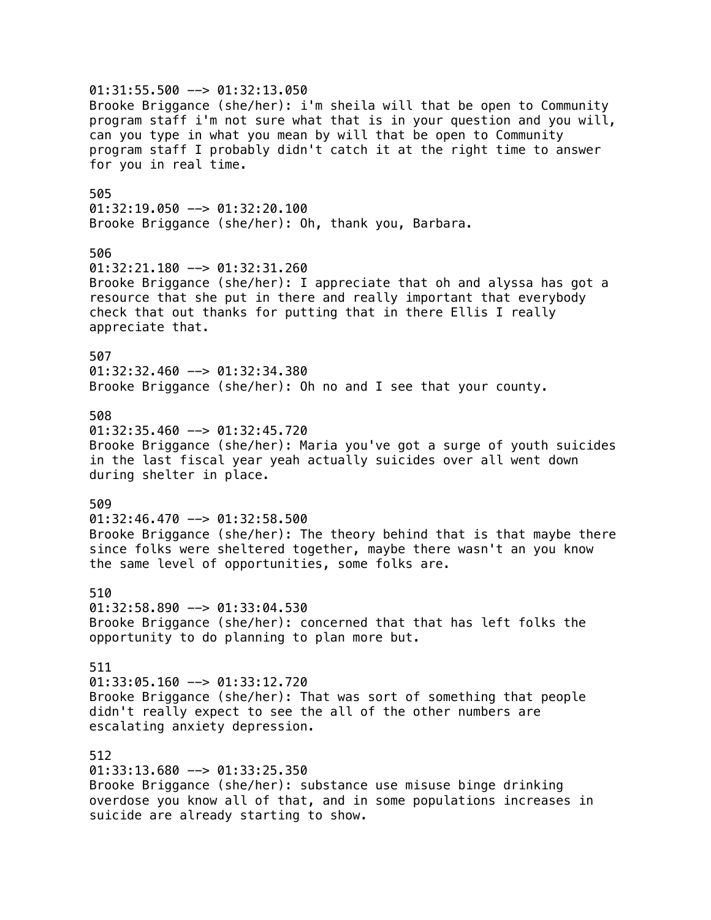01:31:55.500 --> 01:32:13.050 Brooke Briggance (she/her): i'm sheila will that be open to Community program staff i'm not sure what that is in your question and you will, can you type in what you mean by will that be open to Community program staff I probably didn't catch it at the right time to answer for you in real time. 505  $01:32:19.050$  -->  $01:32:20.100$ Brooke Briggance (she/her): Oh, thank you, Barbara. 506 01:32:21.180 --> 01:32:31.260 Brooke Briggance (she/her): I appreciate that oh and alyssa has got a resource that she put in there and really important that everybody check that out thanks for putting that in there Ellis I really appreciate that. 507 01:32:32.460 --> 01:32:34.380 Brooke Briggance (she/her): Oh no and I see that your county. 508  $01:32:35.460$  -->  $01:32:45.720$ Brooke Briggance (she/her): Maria you've got a surge of youth suicides in the last fiscal year yeah actually suicides over all went down during shelter in place. 509  $01:32:46.470$  -->  $01:32:58.500$ Brooke Briggance (she/her): The theory behind that is that maybe there since folks were sheltered together, maybe there wasn't an you know the same level of opportunities, some folks are. 510 01:32:58.890 --> 01:33:04.530 Brooke Briggance (she/her): concerned that that has left folks the opportunity to do planning to plan more but. 511 01:33:05.160 --> 01:33:12.720 Brooke Briggance (she/her): That was sort of something that people didn't really expect to see the all of the other numbers are escalating anxiety depression. 512 01:33:13.680 --> 01:33:25.350 Brooke Briggance (she/her): substance use misuse binge drinking overdose you know all of that, and in some populations increases in suicide are already starting to show.